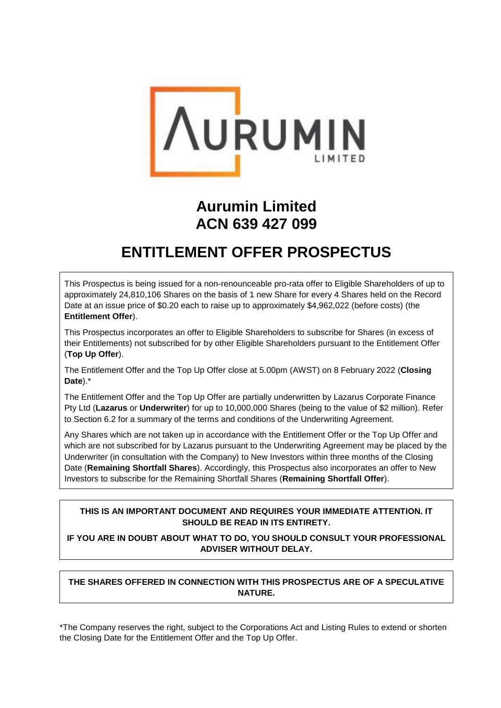

# **Aurumin Limited ACN 639 427 099**

# **ENTITLEMENT OFFER PROSPECTUS**

This Prospectus is being issued for a non-renounceable pro-rata offer to Eligible Shareholders of up to approximately 24,810,106 Shares on the basis of 1 new Share for every 4 Shares held on the Record Date at an issue price of \$0.20 each to raise up to approximately \$4,962,022 (before costs) (the **Entitlement Offer**).

This Prospectus incorporates an offer to Eligible Shareholders to subscribe for Shares (in excess of their Entitlements) not subscribed for by other Eligible Shareholders pursuant to the Entitlement Offer (**Top Up Offer**).

The Entitlement Offer and the Top Up Offer close at 5.00pm (AWST) on 8 February 2022 (**Closing Date**).\*

The Entitlement Offer and the Top Up Offer are partially underwritten by Lazarus Corporate Finance Pty Ltd (**Lazarus** or **Underwriter**) for up to 10,000,000 Shares (being to the value of \$2 million). Refer to Section [6.2](#page-43-0) for a summary of the terms and conditions of the Underwriting Agreement.

Any Shares which are not taken up in accordance with the Entitlement Offer or the Top Up Offer and which are not subscribed for by Lazarus pursuant to the Underwriting Agreement may be placed by the Underwriter (in consultation with the Company) to New Investors within three months of the Closing Date (**Remaining Shortfall Shares**). Accordingly, this Prospectus also incorporates an offer to New Investors to subscribe for the Remaining Shortfall Shares (**Remaining Shortfall Offer**).

# **THIS IS AN IMPORTANT DOCUMENT AND REQUIRES YOUR IMMEDIATE ATTENTION. IT SHOULD BE READ IN ITS ENTIRETY.**

**IF YOU ARE IN DOUBT ABOUT WHAT TO DO, YOU SHOULD CONSULT YOUR PROFESSIONAL ADVISER WITHOUT DELAY.**

# **THE SHARES OFFERED IN CONNECTION WITH THIS PROSPECTUS ARE OF A SPECULATIVE NATURE.**

\*The Company reserves the right, subject to the Corporations Act and Listing Rules to extend or shorten the Closing Date for the Entitlement Offer and the Top Up Offer.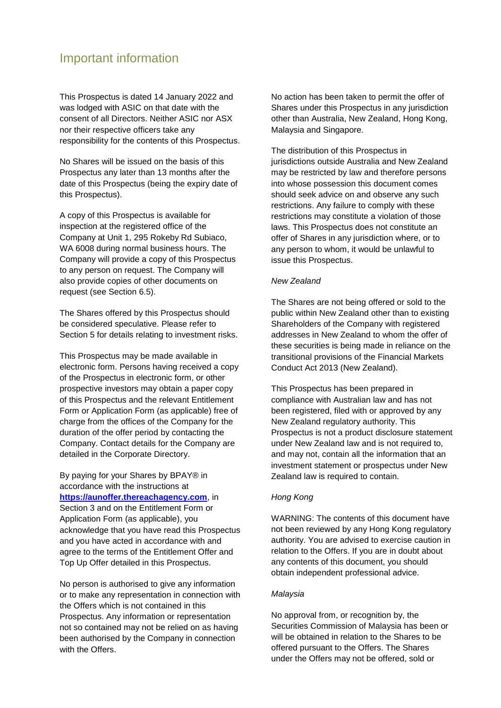# Important information

This Prospectus is dated 14 January 2022 and was lodged with ASIC on that date with the consent of all Directors. Neither ASIC nor ASX nor their respective officers take any responsibility for the contents of this Prospectus.

No Shares will be issued on the basis of this Prospectus any later than 13 months after the date of this Prospectus (being the expiry date of this Prospectus).

A copy of this Prospectus is available for inspection at the registered office of the Company at Unit 1, 295 Rokeby Rd Subiaco, WA 6008 during normal business hours. The Company will provide a copy of this Prospectus to any person on request. The Company will also provide copies of other documents on request (see Section [6.5\)](#page-49-0).

The Shares offered by this Prospectus should be considered speculative. Please refer to Section [5](#page-32-0) for details relating to investment risks.

This Prospectus may be made available in electronic form. Persons having received a copy of the Prospectus in electronic form, or other prospective investors may obtain a paper copy of this Prospectus and the relevant Entitlement Form or Application Form (as applicable) free of charge from the offices of the Company for the duration of the offer period by contacting the Company. Contact details for the Company are detailed in the Corporate Directory.

By paying for your Shares by BPAY® in accordance with the instructions at **[https://aunoffer.thereachagency.com](https://aunoffer.thereachagency.com/)**, in Section [3](#page-26-0) and on the Entitlement Form or Application Form (as applicable), you acknowledge that you have read this Prospectus and you have acted in accordance with and agree to the terms of the Entitlement Offer and Top Up Offer detailed in this Prospectus.

No person is authorised to give any information or to make any representation in connection with the Offers which is not contained in this Prospectus. Any information or representation not so contained may not be relied on as having been authorised by the Company in connection with the Offers.

No action has been taken to permit the offer of Shares under this Prospectus in any jurisdiction other than Australia, New Zealand, Hong Kong, Malaysia and Singapore.

The distribution of this Prospectus in jurisdictions outside Australia and New Zealand may be restricted by law and therefore persons into whose possession this document comes should seek advice on and observe any such restrictions. Any failure to comply with these restrictions may constitute a violation of those laws. This Prospectus does not constitute an offer of Shares in any jurisdiction where, or to any person to whom, it would be unlawful to issue this Prospectus.

### *New Zealand*

The Shares are not being offered or sold to the public within New Zealand other than to existing Shareholders of the Company with registered addresses in New Zealand to whom the offer of these securities is being made in reliance on the transitional provisions of the Financial Markets Conduct Act 2013 (New Zealand).

This Prospectus has been prepared in compliance with Australian law and has not been registered, filed with or approved by any New Zealand regulatory authority. This Prospectus is not a product disclosure statement under New Zealand law and is not required to, and may not, contain all the information that an investment statement or prospectus under New Zealand law is required to contain.

# *Hong Kong*

WARNING: The contents of this document have not been reviewed by any Hong Kong regulatory authority. You are advised to exercise caution in relation to the Offers. If you are in doubt about any contents of this document, you should obtain independent professional advice.

# *Malaysia*

No approval from, or recognition by, the Securities Commission of Malaysia has been or will be obtained in relation to the Shares to be offered pursuant to the Offers. The Shares under the Offers may not be offered, sold or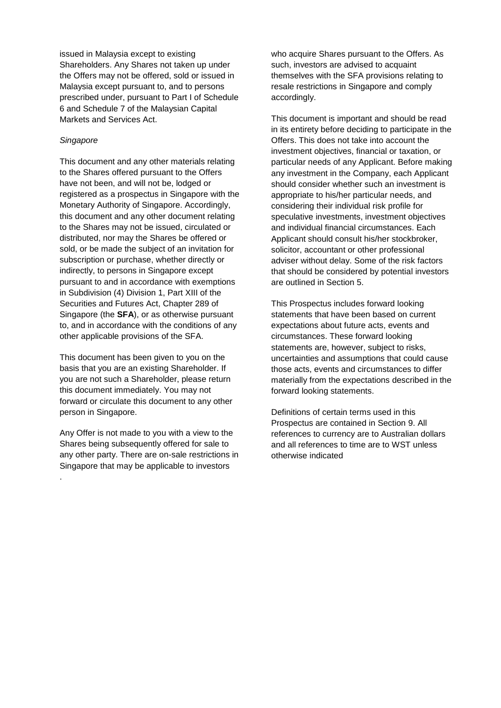issued in Malaysia except to existing Shareholders. Any Shares not taken up under the Offers may not be offered, sold or issued in Malaysia except pursuant to, and to persons prescribed under, pursuant to Part I of Schedule 6 and Schedule 7 of the Malaysian Capital Markets and Services Act.

### *Singapore*

.

This document and any other materials relating to the Shares offered pursuant to the Offers have not been, and will not be, lodged or registered as a prospectus in Singapore with the Monetary Authority of Singapore. Accordingly, this document and any other document relating to the Shares may not be issued, circulated or distributed, nor may the Shares be offered or sold, or be made the subject of an invitation for subscription or purchase, whether directly or indirectly, to persons in Singapore except pursuant to and in accordance with exemptions in Subdivision (4) Division 1, Part XIII of the Securities and Futures Act, Chapter 289 of Singapore (the **SFA**), or as otherwise pursuant to, and in accordance with the conditions of any other applicable provisions of the SFA.

This document has been given to you on the basis that you are an existing Shareholder. If you are not such a Shareholder, please return this document immediately. You may not forward or circulate this document to any other person in Singapore.

Any Offer is not made to you with a view to the Shares being subsequently offered for sale to any other party. There are on-sale restrictions in Singapore that may be applicable to investors

who acquire Shares pursuant to the Offers. As such, investors are advised to acquaint themselves with the SFA provisions relating to resale restrictions in Singapore and comply accordingly.

This document is important and should be read in its entirety before deciding to participate in the Offers. This does not take into account the investment objectives, financial or taxation, or particular needs of any Applicant. Before making any investment in the Company, each Applicant should consider whether such an investment is appropriate to his/her particular needs, and considering their individual risk profile for speculative investments, investment objectives and individual financial circumstances. Each Applicant should consult his/her stockbroker, solicitor, accountant or other professional adviser without delay. Some of the risk factors that should be considered by potential investors are outlined in Section [5.](#page-32-0)

This Prospectus includes forward looking statements that have been based on current expectations about future acts, events and circumstances. These forward looking statements are, however, subject to risks, uncertainties and assumptions that could cause those acts, events and circumstances to differ materially from the expectations described in the forward looking statements.

Definitions of certain terms used in this Prospectus are contained in Section [9.](#page-58-0) All references to currency are to Australian dollars and all references to time are to WST unless otherwise indicated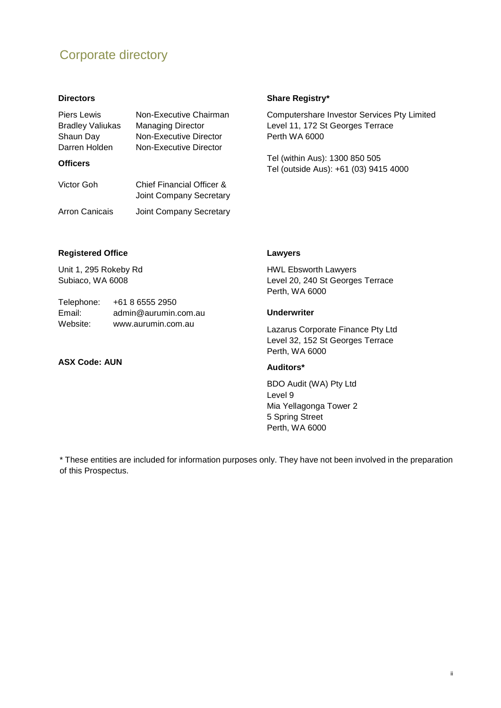# Corporate directory

| <b>Piers Lewis</b>      | Non-Executive Chairman                               |
|-------------------------|------------------------------------------------------|
| <b>Bradley Valiukas</b> | <b>Managing Director</b>                             |
| Shaun Day               | Non-Executive Director                               |
| Darren Holden           | Non-Executive Director                               |
| <b>Officers</b>         |                                                      |
| Victor Goh              | Chief Financial Officer &<br>Joint Company Secretary |

Joint Company Secretary

# **Directors Share Registry\***

Computershare Investor Services Pty Limited Level 11, 172 St Georges Terrace Perth WA 6000

Tel (within Aus): 1300 850 505 Tel (outside Aus): +61 (03) 9415 4000

# **Registered Office Lawyers**

Arron Canicais

Unit 1, 295 Rokeby Rd Subiaco, WA 6008

| Telephone: | +61 8 6555 2950      |
|------------|----------------------|
| Email:     | admin@aurumin.com.au |
| Website:   | www.aurumin.com.au   |

# **ASX Code: AUN Auditors\***

HWL Ebsworth Lawyers Level 20, 240 St Georges Terrace Perth, WA 6000

### **Underwriter**

Lazarus Corporate Finance Pty Ltd Level 32, 152 St Georges Terrace Perth, WA 6000

BDO Audit (WA) Pty Ltd Level 9 Mia Yellagonga Tower 2 5 Spring Street Perth, WA 6000

\* These entities are included for information purposes only. They have not been involved in the preparation of this Prospectus.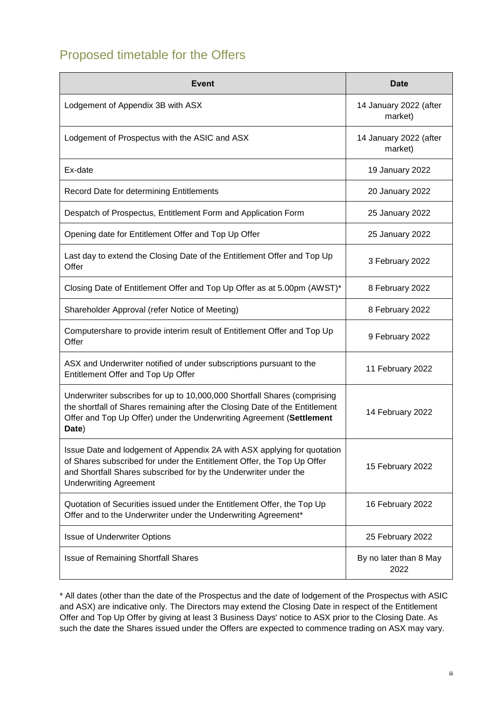# Proposed timetable for the Offers

| <b>Event</b>                                                                                                                                                                                                                                           | <b>Date</b>                       |
|--------------------------------------------------------------------------------------------------------------------------------------------------------------------------------------------------------------------------------------------------------|-----------------------------------|
| Lodgement of Appendix 3B with ASX                                                                                                                                                                                                                      | 14 January 2022 (after<br>market) |
| Lodgement of Prospectus with the ASIC and ASX                                                                                                                                                                                                          | 14 January 2022 (after<br>market) |
| Ex-date                                                                                                                                                                                                                                                | 19 January 2022                   |
| Record Date for determining Entitlements                                                                                                                                                                                                               | 20 January 2022                   |
| Despatch of Prospectus, Entitlement Form and Application Form                                                                                                                                                                                          | 25 January 2022                   |
| Opening date for Entitlement Offer and Top Up Offer                                                                                                                                                                                                    | 25 January 2022                   |
| Last day to extend the Closing Date of the Entitlement Offer and Top Up<br>Offer                                                                                                                                                                       | 3 February 2022                   |
| Closing Date of Entitlement Offer and Top Up Offer as at 5.00pm (AWST)*                                                                                                                                                                                | 8 February 2022                   |
| Shareholder Approval (refer Notice of Meeting)                                                                                                                                                                                                         | 8 February 2022                   |
| Computershare to provide interim result of Entitlement Offer and Top Up<br>Offer                                                                                                                                                                       | 9 February 2022                   |
| ASX and Underwriter notified of under subscriptions pursuant to the<br>Entitlement Offer and Top Up Offer                                                                                                                                              | 11 February 2022                  |
| Underwriter subscribes for up to 10,000,000 Shortfall Shares (comprising<br>the shortfall of Shares remaining after the Closing Date of the Entitlement<br>Offer and Top Up Offer) under the Underwriting Agreement (Settlement<br>Date)               | 14 February 2022                  |
| Issue Date and lodgement of Appendix 2A with ASX applying for quotation<br>of Shares subscribed for under the Entitlement Offer, the Top Up Offer<br>and Shortfall Shares subscribed for by the Underwriter under the<br><b>Underwriting Agreement</b> | 15 February 2022                  |
| Quotation of Securities issued under the Entitlement Offer, the Top Up<br>Offer and to the Underwriter under the Underwriting Agreement*                                                                                                               | 16 February 2022                  |
| <b>Issue of Underwriter Options</b>                                                                                                                                                                                                                    | 25 February 2022                  |
| <b>Issue of Remaining Shortfall Shares</b>                                                                                                                                                                                                             | By no later than 8 May<br>2022    |

\* All dates (other than the date of the Prospectus and the date of lodgement of the Prospectus with ASIC and ASX) are indicative only. The Directors may extend the Closing Date in respect of the Entitlement Offer and Top Up Offer by giving at least 3 Business Days' notice to ASX prior to the Closing Date. As such the date the Shares issued under the Offers are expected to commence trading on ASX may vary.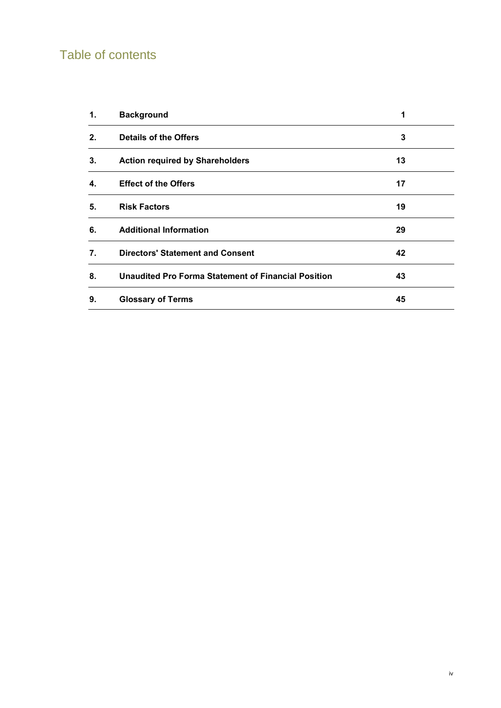# Table of contents

| $\mathbf 1$ . | <b>Background</b>                                   | 1  |
|---------------|-----------------------------------------------------|----|
| 2.            | <b>Details of the Offers</b>                        | 3  |
| 3.            | <b>Action required by Shareholders</b>              | 13 |
| 4.            | <b>Effect of the Offers</b>                         | 17 |
| 5.            | <b>Risk Factors</b>                                 | 19 |
| 6.            | <b>Additional Information</b>                       | 29 |
| 7.            | <b>Directors' Statement and Consent</b>             | 42 |
| 8.            | Unaudited Pro Forma Statement of Financial Position | 43 |
| 9.            | <b>Glossary of Terms</b>                            | 45 |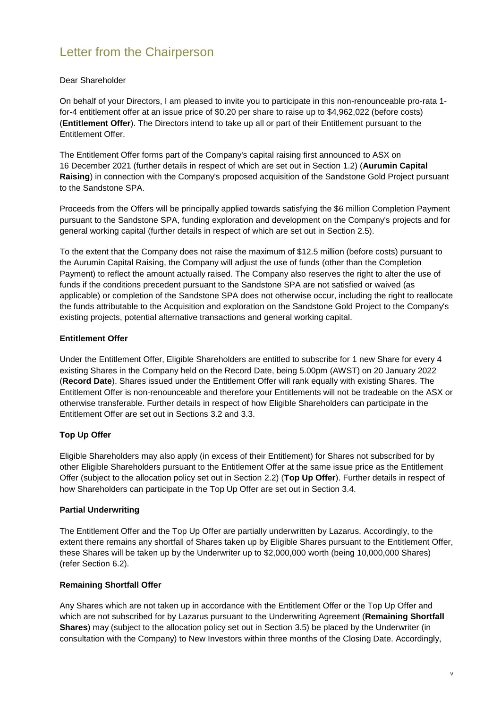# Letter from the Chairperson

# Dear Shareholder

On behalf of your Directors, I am pleased to invite you to participate in this non-renounceable pro-rata 1 for-4 entitlement offer at an issue price of \$0.20 per share to raise up to \$4,962,022 (before costs) (**Entitlement Offer**). The Directors intend to take up all or part of their Entitlement pursuant to the Entitlement Offer.

The Entitlement Offer forms part of the Company's capital raising first announced to ASX on 16 December 2021 (further details in respect of which are set out in Section [1.2\)](#page-14-1) (**Aurumin Capital Raising**) in connection with the Company's proposed acquisition of the Sandstone Gold Project pursuant to the Sandstone SPA.

Proceeds from the Offers will be principally applied towards satisfying the \$6 million Completion Payment pursuant to the Sandstone SPA, funding exploration and development on the Company's projects and for general working capital (further details in respect of which are set out in Section [2.5\)](#page-19-0).

To the extent that the Company does not raise the maximum of \$12.5 million (before costs) pursuant to the Aurumin Capital Raising, the Company will adjust the use of funds (other than the Completion Payment) to reflect the amount actually raised. The Company also reserves the right to alter the use of funds if the conditions precedent pursuant to the Sandstone SPA are not satisfied or waived (as applicable) or completion of the Sandstone SPA does not otherwise occur, including the right to reallocate the funds attributable to the Acquisition and exploration on the Sandstone Gold Project to the Company's existing projects, potential alternative transactions and general working capital.

# **Entitlement Offer**

Under the Entitlement Offer, Eligible Shareholders are entitled to subscribe for 1 new Share for every 4 existing Shares in the Company held on the Record Date, being 5.00pm (AWST) on 20 January 2022 (**Record Date**). Shares issued under the Entitlement Offer will rank equally with existing Shares. The Entitlement Offer is non-renounceable and therefore your Entitlements will not be tradeable on the ASX or otherwise transferable. Further details in respect of how Eligible Shareholders can participate in the Entitlement Offer are set out in Sections [3.2](#page-26-1) and [3.3.](#page-26-2)

# **Top Up Offer**

Eligible Shareholders may also apply (in excess of their Entitlement) for Shares not subscribed for by other Eligible Shareholders pursuant to the Entitlement Offer at the same issue price as the Entitlement Offer (subject to the allocation policy set out in Section [2.2\)](#page-16-1) (**Top Up Offer**). Further details in respect of how Shareholders can participate in the Top Up Offer are set out in Section [3.4.](#page-26-3)

# **Partial Underwriting**

The Entitlement Offer and the Top Up Offer are partially underwritten by Lazarus. Accordingly, to the extent there remains any shortfall of Shares taken up by Eligible Shares pursuant to the Entitlement Offer, these Shares will be taken up by the Underwriter up to \$2,000,000 worth (being 10,000,000 Shares) (refer Section [6.2\)](#page-43-0).

# **Remaining Shortfall Offer**

Any Shares which are not taken up in accordance with the Entitlement Offer or the Top Up Offer and which are not subscribed for by Lazarus pursuant to the Underwriting Agreement (**Remaining Shortfall Shares**) may (subject to the allocation policy set out in Section [3.5\)](#page-27-0) be placed by the Underwriter (in consultation with the Company) to New Investors within three months of the Closing Date. Accordingly,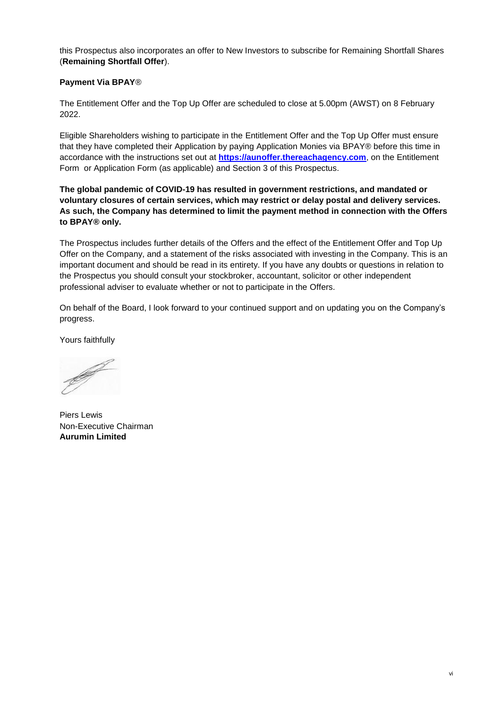this Prospectus also incorporates an offer to New Investors to subscribe for Remaining Shortfall Shares (**Remaining Shortfall Offer**).

# **Payment Via BPAY**®

The Entitlement Offer and the Top Up Offer are scheduled to close at 5.00pm (AWST) on 8 February 2022.

Eligible Shareholders wishing to participate in the Entitlement Offer and the Top Up Offer must ensure that they have completed their Application by paying Application Monies via BPAY® before this time in accordance with the instructions set out at **[https://aunoffer.thereachagency.com](https://aunoffer.thereachagency.com/)**, on the Entitlement Form or Application Form (as applicable) and Section [3](#page-26-0) of this Prospectus.

**The global pandemic of COVID-19 has resulted in government restrictions, and mandated or voluntary closures of certain services, which may restrict or delay postal and delivery services. As such, the Company has determined to limit the payment method in connection with the Offers to BPAY® only.**

The Prospectus includes further details of the Offers and the effect of the Entitlement Offer and Top Up Offer on the Company, and a statement of the risks associated with investing in the Company. This is an important document and should be read in its entirety. If you have any doubts or questions in relation to the Prospectus you should consult your stockbroker, accountant, solicitor or other independent professional adviser to evaluate whether or not to participate in the Offers.

On behalf of the Board, I look forward to your continued support and on updating you on the Company's progress.

Yours faithfully

Piers Lewis Non-Executive Chairman **Aurumin Limited**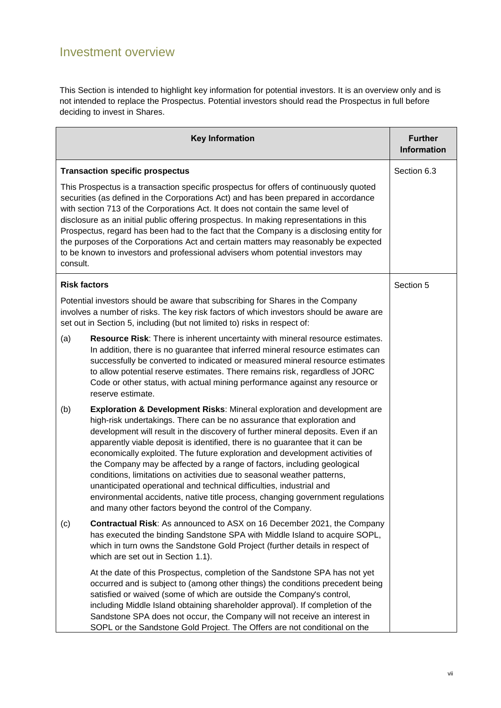# Investment overview

This Section is intended to highlight key information for potential investors. It is an overview only and is not intended to replace the Prospectus. Potential investors should read the Prospectus in full before deciding to invest in Shares.

|                     | <b>Further</b><br><b>Information</b>                                                                                                                                                                                                                                                                                                                                                                                                                                                                                                                                                                                                                                                                                                                                                 |             |
|---------------------|--------------------------------------------------------------------------------------------------------------------------------------------------------------------------------------------------------------------------------------------------------------------------------------------------------------------------------------------------------------------------------------------------------------------------------------------------------------------------------------------------------------------------------------------------------------------------------------------------------------------------------------------------------------------------------------------------------------------------------------------------------------------------------------|-------------|
| consult.            | <b>Transaction specific prospectus</b><br>This Prospectus is a transaction specific prospectus for offers of continuously quoted<br>securities (as defined in the Corporations Act) and has been prepared in accordance<br>with section 713 of the Corporations Act. It does not contain the same level of<br>disclosure as an initial public offering prospectus. In making representations in this<br>Prospectus, regard has been had to the fact that the Company is a disclosing entity for<br>the purposes of the Corporations Act and certain matters may reasonably be expected<br>to be known to investors and professional advisers whom potential investors may                                                                                                            | Section 6.3 |
| <b>Risk factors</b> | Potential investors should be aware that subscribing for Shares in the Company<br>involves a number of risks. The key risk factors of which investors should be aware are<br>set out in Section 5, including (but not limited to) risks in respect of:                                                                                                                                                                                                                                                                                                                                                                                                                                                                                                                               | Section 5   |
| (a)                 | Resource Risk: There is inherent uncertainty with mineral resource estimates.<br>In addition, there is no guarantee that inferred mineral resource estimates can<br>successfully be converted to indicated or measured mineral resource estimates<br>to allow potential reserve estimates. There remains risk, regardless of JORC<br>Code or other status, with actual mining performance against any resource or<br>reserve estimate.                                                                                                                                                                                                                                                                                                                                               |             |
| (b)                 | Exploration & Development Risks: Mineral exploration and development are<br>high-risk undertakings. There can be no assurance that exploration and<br>development will result in the discovery of further mineral deposits. Even if an<br>apparently viable deposit is identified, there is no guarantee that it can be<br>economically exploited. The future exploration and development activities of<br>the Company may be affected by a range of factors, including geological<br>conditions, limitations on activities due to seasonal weather patterns,<br>unanticipated operational and technical difficulties, industrial and<br>environmental accidents, native title process, changing government regulations<br>and many other factors beyond the control of the Company. |             |
| (c)                 | Contractual Risk: As announced to ASX on 16 December 2021, the Company<br>has executed the binding Sandstone SPA with Middle Island to acquire SOPL,<br>which in turn owns the Sandstone Gold Project (further details in respect of<br>which are set out in Section 1.1).                                                                                                                                                                                                                                                                                                                                                                                                                                                                                                           |             |
|                     | At the date of this Prospectus, completion of the Sandstone SPA has not yet<br>occurred and is subject to (among other things) the conditions precedent being<br>satisfied or waived (some of which are outside the Company's control,<br>including Middle Island obtaining shareholder approval). If completion of the<br>Sandstone SPA does not occur, the Company will not receive an interest in<br>SOPL or the Sandstone Gold Project. The Offers are not conditional on the                                                                                                                                                                                                                                                                                                    |             |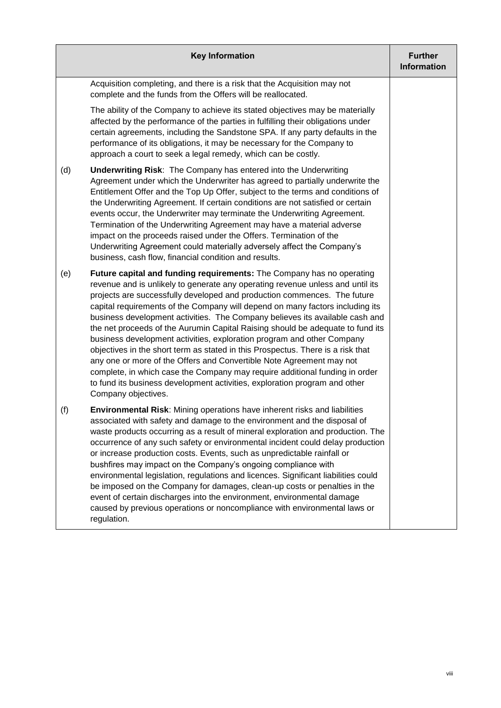|     | <b>Key Information</b>                                                                                                                                                                                                                                                                                                                                                                                                                                                                                                                                                                                                                                                                                                                                                                                                                                                                                          | <b>Further</b><br><b>Information</b> |
|-----|-----------------------------------------------------------------------------------------------------------------------------------------------------------------------------------------------------------------------------------------------------------------------------------------------------------------------------------------------------------------------------------------------------------------------------------------------------------------------------------------------------------------------------------------------------------------------------------------------------------------------------------------------------------------------------------------------------------------------------------------------------------------------------------------------------------------------------------------------------------------------------------------------------------------|--------------------------------------|
|     | Acquisition completing, and there is a risk that the Acquisition may not<br>complete and the funds from the Offers will be reallocated.                                                                                                                                                                                                                                                                                                                                                                                                                                                                                                                                                                                                                                                                                                                                                                         |                                      |
|     | The ability of the Company to achieve its stated objectives may be materially<br>affected by the performance of the parties in fulfilling their obligations under<br>certain agreements, including the Sandstone SPA. If any party defaults in the<br>performance of its obligations, it may be necessary for the Company to<br>approach a court to seek a legal remedy, which can be costly.                                                                                                                                                                                                                                                                                                                                                                                                                                                                                                                   |                                      |
| (d) | <b>Underwriting Risk:</b> The Company has entered into the Underwriting<br>Agreement under which the Underwriter has agreed to partially underwrite the<br>Entitlement Offer and the Top Up Offer, subject to the terms and conditions of<br>the Underwriting Agreement. If certain conditions are not satisfied or certain<br>events occur, the Underwriter may terminate the Underwriting Agreement.<br>Termination of the Underwriting Agreement may have a material adverse<br>impact on the proceeds raised under the Offers. Termination of the<br>Underwriting Agreement could materially adversely affect the Company's<br>business, cash flow, financial condition and results.                                                                                                                                                                                                                        |                                      |
| (e) | Future capital and funding requirements: The Company has no operating<br>revenue and is unlikely to generate any operating revenue unless and until its<br>projects are successfully developed and production commences. The future<br>capital requirements of the Company will depend on many factors including its<br>business development activities. The Company believes its available cash and<br>the net proceeds of the Aurumin Capital Raising should be adequate to fund its<br>business development activities, exploration program and other Company<br>objectives in the short term as stated in this Prospectus. There is a risk that<br>any one or more of the Offers and Convertible Note Agreement may not<br>complete, in which case the Company may require additional funding in order<br>to fund its business development activities, exploration program and other<br>Company objectives. |                                      |
| (f) | <b>Environmental Risk: Mining operations have inherent risks and liabilities</b><br>associated with safety and damage to the environment and the disposal of<br>waste products occurring as a result of mineral exploration and production. The<br>occurrence of any such safety or environmental incident could delay production<br>or increase production costs. Events, such as unpredictable rainfall or<br>bushfires may impact on the Company's ongoing compliance with<br>environmental legislation, regulations and licences. Significant liabilities could<br>be imposed on the Company for damages, clean-up costs or penalties in the<br>event of certain discharges into the environment, environmental damage<br>caused by previous operations or noncompliance with environmental laws or<br>regulation.                                                                                          |                                      |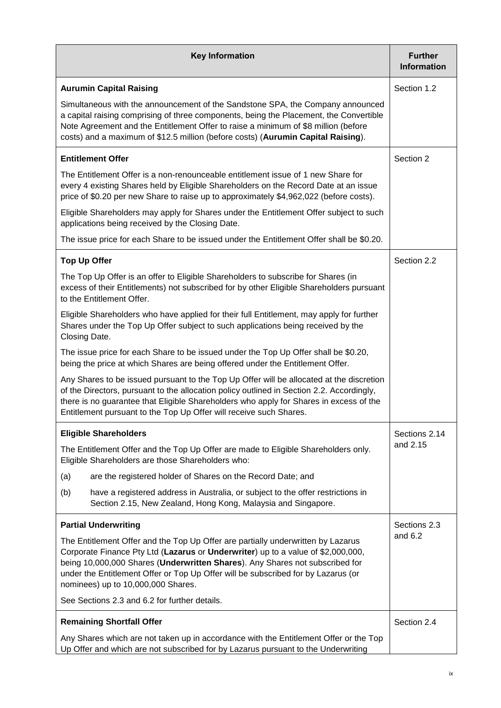| <b>Key Information</b>                                                                                                                                                                                                                                                                                                                                                          | <b>Further</b><br><b>Information</b> |
|---------------------------------------------------------------------------------------------------------------------------------------------------------------------------------------------------------------------------------------------------------------------------------------------------------------------------------------------------------------------------------|--------------------------------------|
| <b>Aurumin Capital Raising</b>                                                                                                                                                                                                                                                                                                                                                  | Section 1.2                          |
| Simultaneous with the announcement of the Sandstone SPA, the Company announced<br>a capital raising comprising of three components, being the Placement, the Convertible<br>Note Agreement and the Entitlement Offer to raise a minimum of \$8 million (before<br>costs) and a maximum of \$12.5 million (before costs) (Aurumin Capital Raising).                              |                                      |
| <b>Entitlement Offer</b>                                                                                                                                                                                                                                                                                                                                                        | Section 2                            |
| The Entitlement Offer is a non-renounceable entitlement issue of 1 new Share for<br>every 4 existing Shares held by Eligible Shareholders on the Record Date at an issue<br>price of \$0.20 per new Share to raise up to approximately \$4,962,022 (before costs).                                                                                                              |                                      |
| Eligible Shareholders may apply for Shares under the Entitlement Offer subject to such<br>applications being received by the Closing Date.                                                                                                                                                                                                                                      |                                      |
| The issue price for each Share to be issued under the Entitlement Offer shall be \$0.20.                                                                                                                                                                                                                                                                                        |                                      |
| <b>Top Up Offer</b>                                                                                                                                                                                                                                                                                                                                                             | Section 2.2                          |
| The Top Up Offer is an offer to Eligible Shareholders to subscribe for Shares (in<br>excess of their Entitlements) not subscribed for by other Eligible Shareholders pursuant<br>to the Entitlement Offer.                                                                                                                                                                      |                                      |
| Eligible Shareholders who have applied for their full Entitlement, may apply for further<br>Shares under the Top Up Offer subject to such applications being received by the<br>Closing Date.                                                                                                                                                                                   |                                      |
| The issue price for each Share to be issued under the Top Up Offer shall be \$0.20,<br>being the price at which Shares are being offered under the Entitlement Offer.                                                                                                                                                                                                           |                                      |
| Any Shares to be issued pursuant to the Top Up Offer will be allocated at the discretion<br>of the Directors, pursuant to the allocation policy outlined in Section 2.2. Accordingly,<br>there is no guarantee that Eligible Shareholders who apply for Shares in excess of the<br>Entitlement pursuant to the Top Up Offer will receive such Shares.                           |                                      |
| <b>Eligible Shareholders</b>                                                                                                                                                                                                                                                                                                                                                    | Sections 2.14                        |
| The Entitlement Offer and the Top Up Offer are made to Eligible Shareholders only.<br>Eligible Shareholders are those Shareholders who:                                                                                                                                                                                                                                         | and 2.15                             |
| are the registered holder of Shares on the Record Date; and<br>(a)                                                                                                                                                                                                                                                                                                              |                                      |
| (b)<br>have a registered address in Australia, or subject to the offer restrictions in<br>Section 2.15, New Zealand, Hong Kong, Malaysia and Singapore.                                                                                                                                                                                                                         |                                      |
| <b>Partial Underwriting</b>                                                                                                                                                                                                                                                                                                                                                     | Sections 2.3                         |
| The Entitlement Offer and the Top Up Offer are partially underwritten by Lazarus<br>Corporate Finance Pty Ltd (Lazarus or Underwriter) up to a value of \$2,000,000,<br>being 10,000,000 Shares (Underwritten Shares). Any Shares not subscribed for<br>under the Entitlement Offer or Top Up Offer will be subscribed for by Lazarus (or<br>nominees) up to 10,000,000 Shares. | and $6.2$                            |
| See Sections 2.3 and 6.2 for further details.                                                                                                                                                                                                                                                                                                                                   |                                      |
| <b>Remaining Shortfall Offer</b>                                                                                                                                                                                                                                                                                                                                                | Section 2.4                          |
| Any Shares which are not taken up in accordance with the Entitlement Offer or the Top<br>Up Offer and which are not subscribed for by Lazarus pursuant to the Underwriting                                                                                                                                                                                                      |                                      |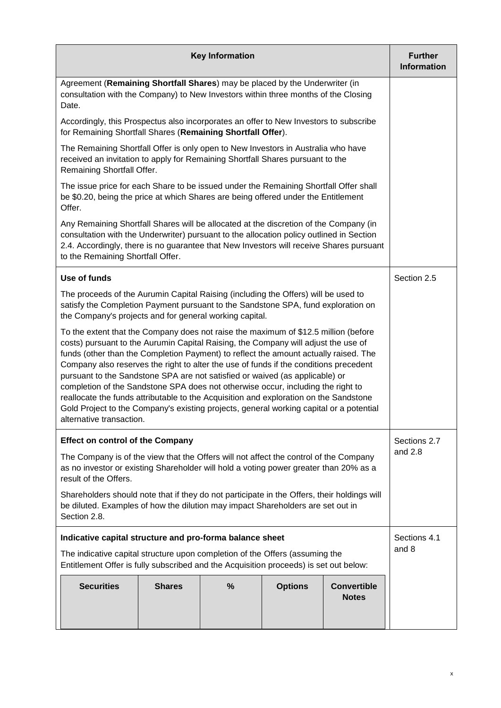|                                                                                                                                                                                                                                                                                                                                                                                                                                                                                                                                                                                                                                                                                                                                                | <b>Further</b><br><b>Information</b> |  |  |  |              |
|------------------------------------------------------------------------------------------------------------------------------------------------------------------------------------------------------------------------------------------------------------------------------------------------------------------------------------------------------------------------------------------------------------------------------------------------------------------------------------------------------------------------------------------------------------------------------------------------------------------------------------------------------------------------------------------------------------------------------------------------|--------------------------------------|--|--|--|--------------|
| Agreement (Remaining Shortfall Shares) may be placed by the Underwriter (in<br>consultation with the Company) to New Investors within three months of the Closing<br>Date.                                                                                                                                                                                                                                                                                                                                                                                                                                                                                                                                                                     |                                      |  |  |  |              |
| Accordingly, this Prospectus also incorporates an offer to New Investors to subscribe<br>for Remaining Shortfall Shares (Remaining Shortfall Offer).                                                                                                                                                                                                                                                                                                                                                                                                                                                                                                                                                                                           |                                      |  |  |  |              |
| The Remaining Shortfall Offer is only open to New Investors in Australia who have<br>received an invitation to apply for Remaining Shortfall Shares pursuant to the<br>Remaining Shortfall Offer.                                                                                                                                                                                                                                                                                                                                                                                                                                                                                                                                              |                                      |  |  |  |              |
| The issue price for each Share to be issued under the Remaining Shortfall Offer shall<br>be \$0.20, being the price at which Shares are being offered under the Entitlement<br>Offer.                                                                                                                                                                                                                                                                                                                                                                                                                                                                                                                                                          |                                      |  |  |  |              |
| Any Remaining Shortfall Shares will be allocated at the discretion of the Company (in<br>consultation with the Underwriter) pursuant to the allocation policy outlined in Section<br>2.4. Accordingly, there is no guarantee that New Investors will receive Shares pursuant<br>to the Remaining Shortfall Offer.                                                                                                                                                                                                                                                                                                                                                                                                                              |                                      |  |  |  |              |
| Use of funds                                                                                                                                                                                                                                                                                                                                                                                                                                                                                                                                                                                                                                                                                                                                   |                                      |  |  |  | Section 2.5  |
| The proceeds of the Aurumin Capital Raising (including the Offers) will be used to<br>satisfy the Completion Payment pursuant to the Sandstone SPA, fund exploration on<br>the Company's projects and for general working capital.                                                                                                                                                                                                                                                                                                                                                                                                                                                                                                             |                                      |  |  |  |              |
| To the extent that the Company does not raise the maximum of \$12.5 million (before<br>costs) pursuant to the Aurumin Capital Raising, the Company will adjust the use of<br>funds (other than the Completion Payment) to reflect the amount actually raised. The<br>Company also reserves the right to alter the use of funds if the conditions precedent<br>pursuant to the Sandstone SPA are not satisfied or waived (as applicable) or<br>completion of the Sandstone SPA does not otherwise occur, including the right to<br>reallocate the funds attributable to the Acquisition and exploration on the Sandstone<br>Gold Project to the Company's existing projects, general working capital or a potential<br>alternative transaction. |                                      |  |  |  |              |
| <b>Effect on control of the Company</b>                                                                                                                                                                                                                                                                                                                                                                                                                                                                                                                                                                                                                                                                                                        |                                      |  |  |  | Sections 2.7 |
| The Company is of the view that the Offers will not affect the control of the Company<br>as no investor or existing Shareholder will hold a voting power greater than 20% as a<br>result of the Offers.                                                                                                                                                                                                                                                                                                                                                                                                                                                                                                                                        |                                      |  |  |  | and $2.8$    |
| Shareholders should note that if they do not participate in the Offers, their holdings will<br>be diluted. Examples of how the dilution may impact Shareholders are set out in<br>Section 2.8.                                                                                                                                                                                                                                                                                                                                                                                                                                                                                                                                                 |                                      |  |  |  |              |
| Indicative capital structure and pro-forma balance sheet                                                                                                                                                                                                                                                                                                                                                                                                                                                                                                                                                                                                                                                                                       |                                      |  |  |  | Sections 4.1 |
| The indicative capital structure upon completion of the Offers (assuming the<br>Entitlement Offer is fully subscribed and the Acquisition proceeds) is set out below:                                                                                                                                                                                                                                                                                                                                                                                                                                                                                                                                                                          |                                      |  |  |  | and 8        |
| <b>Securities</b>                                                                                                                                                                                                                                                                                                                                                                                                                                                                                                                                                                                                                                                                                                                              |                                      |  |  |  |              |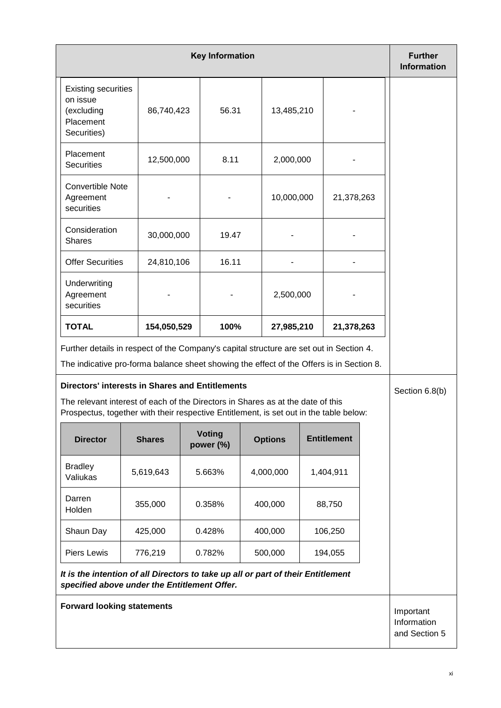| <b>Key Information</b>                                                                                                                                                              |  |               |  |                            |            | <b>Further</b><br><b>Information</b> |                |                    |  |                                           |
|-------------------------------------------------------------------------------------------------------------------------------------------------------------------------------------|--|---------------|--|----------------------------|------------|--------------------------------------|----------------|--------------------|--|-------------------------------------------|
| <b>Existing securities</b><br>on issue<br>(excluding<br>Placement<br>Securities)                                                                                                    |  | 86,740,423    |  | 56.31                      | 13,485,210 |                                      |                |                    |  |                                           |
| Placement<br><b>Securities</b>                                                                                                                                                      |  | 12,500,000    |  | 8.11                       |            | 2,000,000                            |                |                    |  |                                           |
| <b>Convertible Note</b><br>Agreement<br>securities                                                                                                                                  |  |               |  |                            |            | 10,000,000                           |                | 21,378,263         |  |                                           |
| Consideration<br><b>Shares</b>                                                                                                                                                      |  | 30,000,000    |  | 19.47                      |            |                                      |                |                    |  |                                           |
| <b>Offer Securities</b>                                                                                                                                                             |  | 24,810,106    |  | 16.11                      |            |                                      |                |                    |  |                                           |
| Underwriting<br>Agreement<br>securities                                                                                                                                             |  |               |  |                            |            | 2,500,000                            |                |                    |  |                                           |
| <b>TOTAL</b>                                                                                                                                                                        |  | 154,050,529   |  | 100%                       |            | 27,985,210                           |                | 21,378,263         |  |                                           |
| Further details in respect of the Company's capital structure are set out in Section 4.<br>The indicative pro-forma balance sheet showing the effect of the Offers is in Section 8. |  |               |  |                            |            |                                      |                |                    |  |                                           |
| <b>Directors' interests in Shares and Entitlements</b>                                                                                                                              |  |               |  |                            |            |                                      | Section 6.8(b) |                    |  |                                           |
| The relevant interest of each of the Directors in Shares as at the date of this<br>Prospectus, together with their respective Entitlement, is set out in the table below:           |  |               |  |                            |            |                                      |                |                    |  |                                           |
| <b>Director</b>                                                                                                                                                                     |  | <b>Shares</b> |  | <b>Voting</b><br>power (%) |            | <b>Options</b>                       |                | <b>Entitlement</b> |  |                                           |
| <b>Bradley</b><br>Valiukas                                                                                                                                                          |  | 5,619,643     |  | 5.663%                     | 4,000,000  |                                      |                | 1,404,911          |  |                                           |
| Darren<br>Holden                                                                                                                                                                    |  | 355,000       |  | 0.358%                     | 400,000    |                                      | 88,750         |                    |  |                                           |
| Shaun Day                                                                                                                                                                           |  | 425,000       |  | 0.428%                     |            | 400,000                              | 106,250        |                    |  |                                           |
| Piers Lewis                                                                                                                                                                         |  | 776,219       |  | 0.782%                     |            | 500,000                              |                | 194,055            |  |                                           |
| It is the intention of all Directors to take up all or part of their Entitlement<br>specified above under the Entitlement Offer.                                                    |  |               |  |                            |            |                                      |                |                    |  |                                           |
| <b>Forward looking statements</b>                                                                                                                                                   |  |               |  |                            |            |                                      |                |                    |  | Important<br>Information<br>and Section 5 |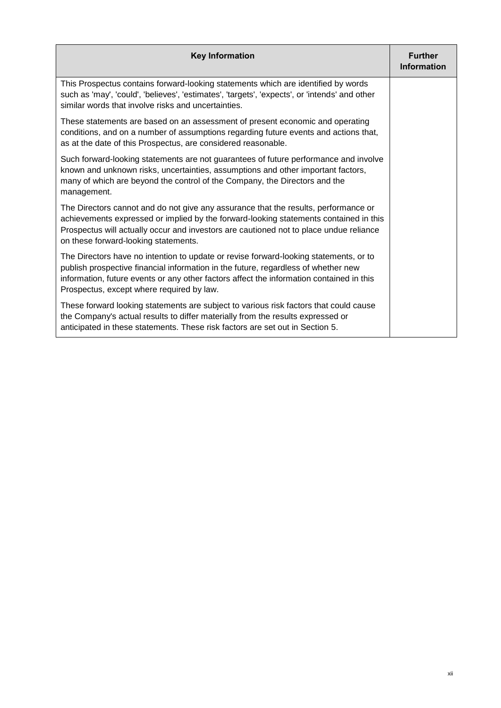| <b>Key Information</b>                                                                                                                                                                                                                                                                                               | <b>Further</b><br><b>Information</b> |
|----------------------------------------------------------------------------------------------------------------------------------------------------------------------------------------------------------------------------------------------------------------------------------------------------------------------|--------------------------------------|
| This Prospectus contains forward-looking statements which are identified by words<br>such as 'may', 'could', 'believes', 'estimates', 'targets', 'expects', or 'intends' and other<br>similar words that involve risks and uncertainties.                                                                            |                                      |
| These statements are based on an assessment of present economic and operating<br>conditions, and on a number of assumptions regarding future events and actions that,<br>as at the date of this Prospectus, are considered reasonable.                                                                               |                                      |
| Such forward-looking statements are not guarantees of future performance and involve<br>known and unknown risks, uncertainties, assumptions and other important factors,<br>many of which are beyond the control of the Company, the Directors and the<br>management.                                                |                                      |
| The Directors cannot and do not give any assurance that the results, performance or<br>achievements expressed or implied by the forward-looking statements contained in this<br>Prospectus will actually occur and investors are cautioned not to place undue reliance<br>on these forward-looking statements.       |                                      |
| The Directors have no intention to update or revise forward-looking statements, or to<br>publish prospective financial information in the future, regardless of whether new<br>information, future events or any other factors affect the information contained in this<br>Prospectus, except where required by law. |                                      |
| These forward looking statements are subject to various risk factors that could cause<br>the Company's actual results to differ materially from the results expressed or<br>anticipated in these statements. These risk factors are set out in Section 5.                                                            |                                      |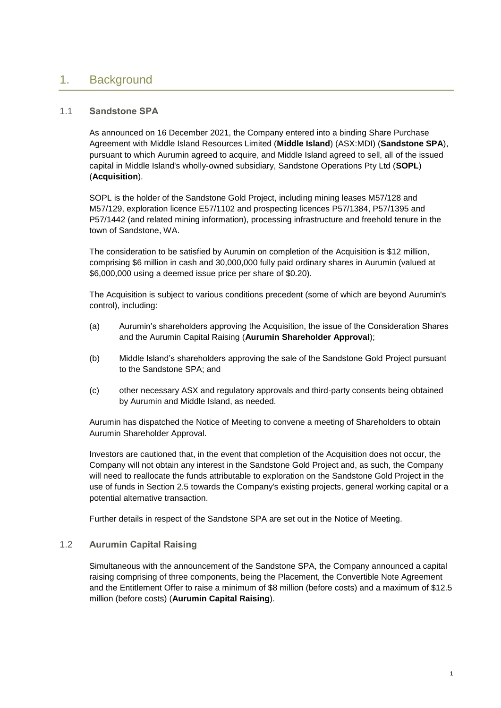# <span id="page-14-0"></span>1. Background

# <span id="page-14-2"></span>1.1 **Sandstone SPA**

As announced on 16 December 2021, the Company entered into a binding Share Purchase Agreement with Middle Island Resources Limited (**Middle Island**) (ASX:MDI) (**Sandstone SPA**), pursuant to which Aurumin agreed to acquire, and Middle Island agreed to sell, all of the issued capital in Middle Island's wholly-owned subsidiary, Sandstone Operations Pty Ltd (**SOPL**) (**Acquisition**).

SOPL is the holder of the Sandstone Gold Project, including mining leases M57/128 and M57/129, exploration licence E57/1102 and prospecting licences P57/1384, P57/1395 and P57/1442 (and related mining information), processing infrastructure and freehold tenure in the town of Sandstone, WA.

The consideration to be satisfied by Aurumin on completion of the Acquisition is \$12 million, comprising \$6 million in cash and 30,000,000 fully paid ordinary shares in Aurumin (valued at \$6,000,000 using a deemed issue price per share of \$0.20).

The Acquisition is subject to various conditions precedent (some of which are beyond Aurumin's control), including:

- (a) Aurumin's shareholders approving the Acquisition, the issue of the Consideration Shares and the Aurumin Capital Raising (**Aurumin Shareholder Approval**);
- (b) Middle Island's shareholders approving the sale of the Sandstone Gold Project pursuant to the Sandstone SPA; and
- (c) other necessary ASX and regulatory approvals and third-party consents being obtained by Aurumin and Middle Island, as needed.

Aurumin has dispatched the Notice of Meeting to convene a meeting of Shareholders to obtain Aurumin Shareholder Approval.

Investors are cautioned that, in the event that completion of the Acquisition does not occur, the Company will not obtain any interest in the Sandstone Gold Project and, as such, the Company will need to reallocate the funds attributable to exploration on the Sandstone Gold Project in the use of funds in Section [2.5](#page-19-0) towards the Company's existing projects, general working capital or a potential alternative transaction.

Further details in respect of the Sandstone SPA are set out in the Notice of Meeting.

# <span id="page-14-1"></span>1.2 **Aurumin Capital Raising**

Simultaneous with the announcement of the Sandstone SPA, the Company announced a capital raising comprising of three components, being the Placement, the Convertible Note Agreement and the Entitlement Offer to raise a minimum of \$8 million (before costs) and a maximum of \$12.5 million (before costs) (**Aurumin Capital Raising**).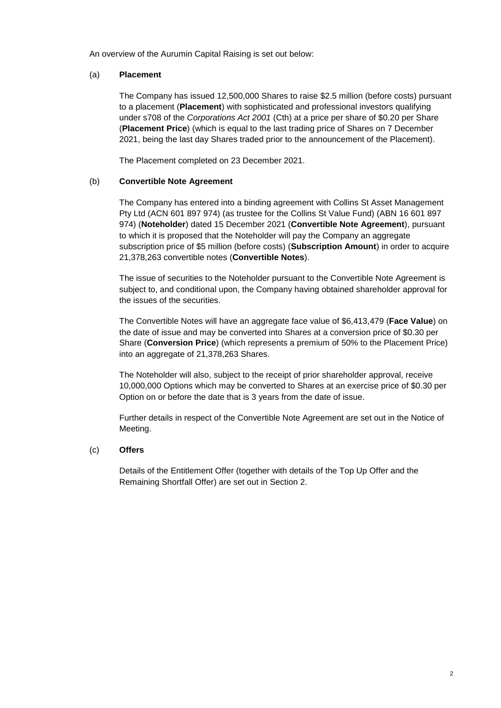An overview of the Aurumin Capital Raising is set out below:

# (a) **Placement**

The Company has issued 12,500,000 Shares to raise \$2.5 million (before costs) pursuant to a placement (**Placement**) with sophisticated and professional investors qualifying under s708 of the *Corporations Act 2001* (Cth) at a price per share of \$0.20 per Share (**Placement Price**) (which is equal to the last trading price of Shares on 7 December 2021, being the last day Shares traded prior to the announcement of the Placement).

The Placement completed on 23 December 2021.

### <span id="page-15-0"></span>(b) **Convertible Note Agreement**

The Company has entered into a binding agreement with Collins St Asset Management Pty Ltd (ACN 601 897 974) (as trustee for the Collins St Value Fund) (ABN 16 601 897 974) (**Noteholder**) dated 15 December 2021 (**Convertible Note Agreement**), pursuant to which it is proposed that the Noteholder will pay the Company an aggregate subscription price of \$5 million (before costs) (**Subscription Amount**) in order to acquire 21,378,263 convertible notes (**Convertible Notes**).

The issue of securities to the Noteholder pursuant to the Convertible Note Agreement is subject to, and conditional upon, the Company having obtained shareholder approval for the issues of the securities.

The Convertible Notes will have an aggregate face value of \$6,413,479 (**Face Value**) on the date of issue and may be converted into Shares at a conversion price of \$0.30 per Share (**Conversion Price**) (which represents a premium of 50% to the Placement Price) into an aggregate of 21,378,263 Shares.

The Noteholder will also, subject to the receipt of prior shareholder approval, receive 10,000,000 Options which may be converted to Shares at an exercise price of \$0.30 per Option on or before the date that is 3 years from the date of issue.

Further details in respect of the Convertible Note Agreement are set out in the Notice of Meeting.

# (c) **Offers**

Details of the Entitlement Offer (together with details of the Top Up Offer and the Remaining Shortfall Offer) are set out in Section [2.](#page-16-0)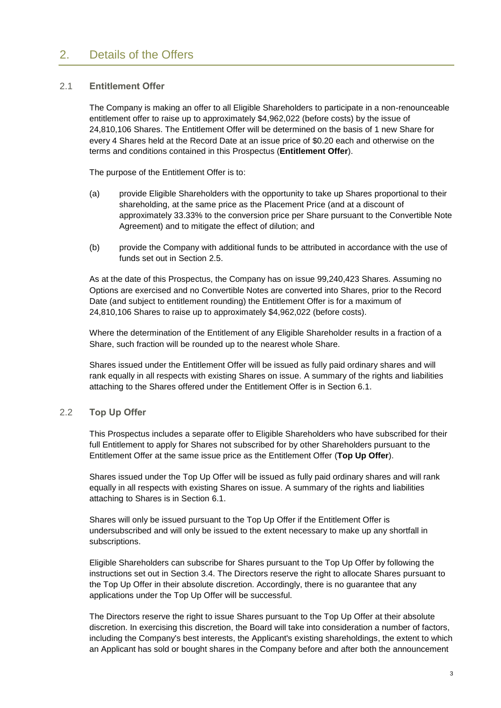# <span id="page-16-0"></span>2. Details of the Offers

# 2.1 **Entitlement Offer**

The Company is making an offer to all Eligible Shareholders to participate in a non-renounceable entitlement offer to raise up to approximately \$4,962,022 (before costs) by the issue of 24,810,106 Shares. The Entitlement Offer will be determined on the basis of 1 new Share for every 4 Shares held at the Record Date at an issue price of \$0.20 each and otherwise on the terms and conditions contained in this Prospectus (**Entitlement Offer**).

The purpose of the Entitlement Offer is to:

- (a) provide Eligible Shareholders with the opportunity to take up Shares proportional to their shareholding, at the same price as the Placement Price (and at a discount of approximately 33.33% to the conversion price per Share pursuant to the Convertible Note Agreement) and to mitigate the effect of dilution; and
- (b) provide the Company with additional funds to be attributed in accordance with the use of funds set out in Section [2.5.](#page-19-0)

As at the date of this Prospectus, the Company has on issue 99,240,423 Shares. Assuming no Options are exercised and no Convertible Notes are converted into Shares, prior to the Record Date (and subject to entitlement rounding) the Entitlement Offer is for a maximum of 24,810,106 Shares to raise up to approximately \$4,962,022 (before costs).

Where the determination of the Entitlement of any Eligible Shareholder results in a fraction of a Share, such fraction will be rounded up to the nearest whole Share.

Shares issued under the Entitlement Offer will be issued as fully paid ordinary shares and will rank equally in all respects with existing Shares on issue. A summary of the rights and liabilities attaching to the Shares offered under the Entitlement Offer is in Section [6.1.](#page-42-1)

# <span id="page-16-1"></span>2.2 **Top Up Offer**

This Prospectus includes a separate offer to Eligible Shareholders who have subscribed for their full Entitlement to apply for Shares not subscribed for by other Shareholders pursuant to the Entitlement Offer at the same issue price as the Entitlement Offer (**Top Up Offer**).

Shares issued under the Top Up Offer will be issued as fully paid ordinary shares and will rank equally in all respects with existing Shares on issue. A summary of the rights and liabilities attaching to Shares is in Section [6.1.](#page-42-1)

Shares will only be issued pursuant to the Top Up Offer if the Entitlement Offer is undersubscribed and will only be issued to the extent necessary to make up any shortfall in subscriptions.

Eligible Shareholders can subscribe for Shares pursuant to the Top Up Offer by following the instructions set out in Section [3.4.](#page-26-3) The Directors reserve the right to allocate Shares pursuant to the Top Up Offer in their absolute discretion. Accordingly, there is no guarantee that any applications under the Top Up Offer will be successful.

The Directors reserve the right to issue Shares pursuant to the Top Up Offer at their absolute discretion. In exercising this discretion, the Board will take into consideration a number of factors, including the Company's best interests, the Applicant's existing shareholdings, the extent to which an Applicant has sold or bought shares in the Company before and after both the announcement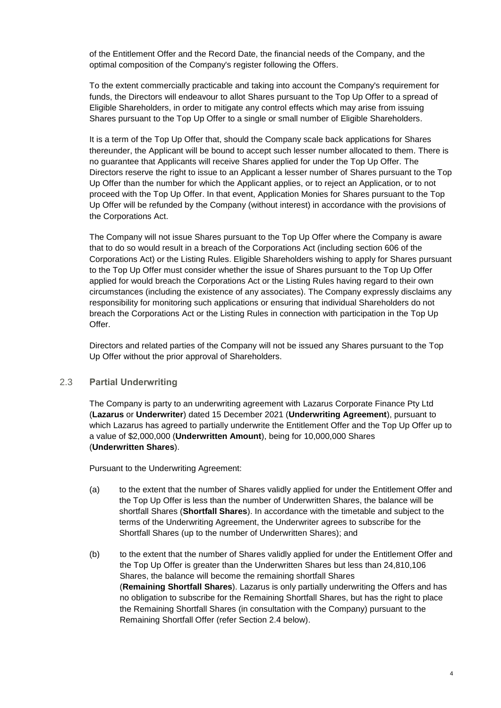of the Entitlement Offer and the Record Date, the financial needs of the Company, and the optimal composition of the Company's register following the Offers.

To the extent commercially practicable and taking into account the Company's requirement for funds, the Directors will endeavour to allot Shares pursuant to the Top Up Offer to a spread of Eligible Shareholders, in order to mitigate any control effects which may arise from issuing Shares pursuant to the Top Up Offer to a single or small number of Eligible Shareholders.

It is a term of the Top Up Offer that, should the Company scale back applications for Shares thereunder, the Applicant will be bound to accept such lesser number allocated to them. There is no guarantee that Applicants will receive Shares applied for under the Top Up Offer. The Directors reserve the right to issue to an Applicant a lesser number of Shares pursuant to the Top Up Offer than the number for which the Applicant applies, or to reject an Application, or to not proceed with the Top Up Offer. In that event, Application Monies for Shares pursuant to the Top Up Offer will be refunded by the Company (without interest) in accordance with the provisions of the Corporations Act.

The Company will not issue Shares pursuant to the Top Up Offer where the Company is aware that to do so would result in a breach of the Corporations Act (including section 606 of the Corporations Act) or the Listing Rules. Eligible Shareholders wishing to apply for Shares pursuant to the Top Up Offer must consider whether the issue of Shares pursuant to the Top Up Offer applied for would breach the Corporations Act or the Listing Rules having regard to their own circumstances (including the existence of any associates). The Company expressly disclaims any responsibility for monitoring such applications or ensuring that individual Shareholders do not breach the Corporations Act or the Listing Rules in connection with participation in the Top Up Offer.

Directors and related parties of the Company will not be issued any Shares pursuant to the Top Up Offer without the prior approval of Shareholders.

# <span id="page-17-0"></span>2.3 **Partial Underwriting**

The Company is party to an underwriting agreement with Lazarus Corporate Finance Pty Ltd (**Lazarus** or **Underwriter**) dated 15 December 2021 (**Underwriting Agreement**), pursuant to which Lazarus has agreed to partially underwrite the Entitlement Offer and the Top Up Offer up to a value of \$2,000,000 (**Underwritten Amount**), being for 10,000,000 Shares (**Underwritten Shares**).

Pursuant to the Underwriting Agreement:

- (a) to the extent that the number of Shares validly applied for under the Entitlement Offer and the Top Up Offer is less than the number of Underwritten Shares, the balance will be shortfall Shares (**Shortfall Shares**). In accordance with the timetable and subject to the terms of the Underwriting Agreement, the Underwriter agrees to subscribe for the Shortfall Shares (up to the number of Underwritten Shares); and
- (b) to the extent that the number of Shares validly applied for under the Entitlement Offer and the Top Up Offer is greater than the Underwritten Shares but less than 24,810,106 Shares, the balance will become the remaining shortfall Shares (**Remaining Shortfall Shares**). Lazarus is only partially underwriting the Offers and has no obligation to subscribe for the Remaining Shortfall Shares, but has the right to place the Remaining Shortfall Shares (in consultation with the Company) pursuant to the Remaining Shortfall Offer (refer Section [2.4](#page-18-0) below).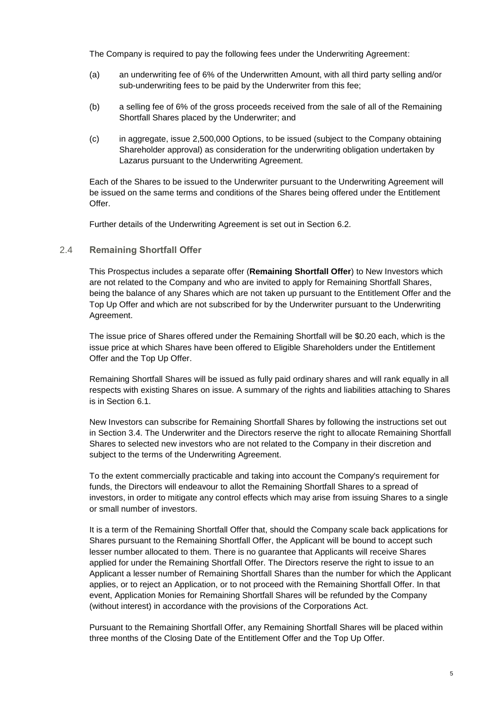The Company is required to pay the following fees under the Underwriting Agreement:

- (a) an underwriting fee of 6% of the Underwritten Amount, with all third party selling and/or sub-underwriting fees to be paid by the Underwriter from this fee;
- (b) a selling fee of 6% of the gross proceeds received from the sale of all of the Remaining Shortfall Shares placed by the Underwriter; and
- (c) in aggregate, issue 2,500,000 Options, to be issued (subject to the Company obtaining Shareholder approval) as consideration for the underwriting obligation undertaken by Lazarus pursuant to the Underwriting Agreement.

Each of the Shares to be issued to the Underwriter pursuant to the Underwriting Agreement will be issued on the same terms and conditions of the Shares being offered under the Entitlement Offer.

Further details of the Underwriting Agreement is set out in Section [6.2.](#page-43-0)

# <span id="page-18-0"></span>2.4 **Remaining Shortfall Offer**

This Prospectus includes a separate offer (**Remaining Shortfall Offer**) to New Investors which are not related to the Company and who are invited to apply for Remaining Shortfall Shares, being the balance of any Shares which are not taken up pursuant to the Entitlement Offer and the Top Up Offer and which are not subscribed for by the Underwriter pursuant to the Underwriting Agreement.

The issue price of Shares offered under the Remaining Shortfall will be \$0.20 each, which is the issue price at which Shares have been offered to Eligible Shareholders under the Entitlement Offer and the Top Up Offer.

Remaining Shortfall Shares will be issued as fully paid ordinary shares and will rank equally in all respects with existing Shares on issue. A summary of the rights and liabilities attaching to Shares is in Section [6.1.](#page-42-1)

New Investors can subscribe for Remaining Shortfall Shares by following the instructions set out in Section [3.4.](#page-26-3) The Underwriter and the Directors reserve the right to allocate Remaining Shortfall Shares to selected new investors who are not related to the Company in their discretion and subject to the terms of the Underwriting Agreement.

To the extent commercially practicable and taking into account the Company's requirement for funds, the Directors will endeavour to allot the Remaining Shortfall Shares to a spread of investors, in order to mitigate any control effects which may arise from issuing Shares to a single or small number of investors.

It is a term of the Remaining Shortfall Offer that, should the Company scale back applications for Shares pursuant to the Remaining Shortfall Offer, the Applicant will be bound to accept such lesser number allocated to them. There is no guarantee that Applicants will receive Shares applied for under the Remaining Shortfall Offer. The Directors reserve the right to issue to an Applicant a lesser number of Remaining Shortfall Shares than the number for which the Applicant applies, or to reject an Application, or to not proceed with the Remaining Shortfall Offer. In that event, Application Monies for Remaining Shortfall Shares will be refunded by the Company (without interest) in accordance with the provisions of the Corporations Act.

Pursuant to the Remaining Shortfall Offer, any Remaining Shortfall Shares will be placed within three months of the Closing Date of the Entitlement Offer and the Top Up Offer.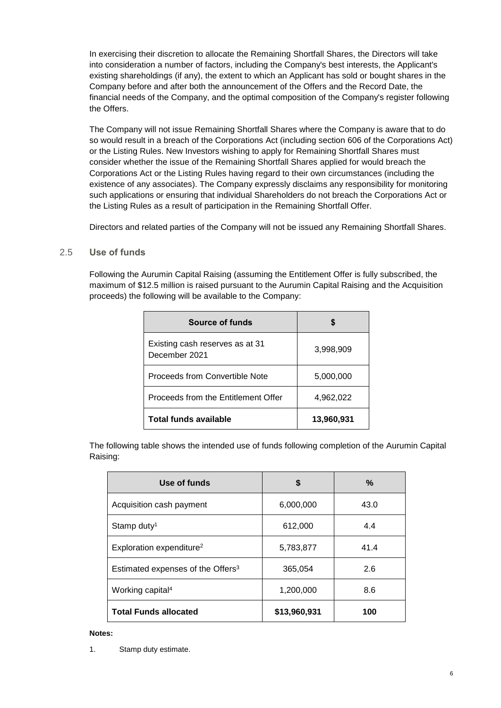In exercising their discretion to allocate the Remaining Shortfall Shares, the Directors will take into consideration a number of factors, including the Company's best interests, the Applicant's existing shareholdings (if any), the extent to which an Applicant has sold or bought shares in the Company before and after both the announcement of the Offers and the Record Date, the financial needs of the Company, and the optimal composition of the Company's register following the Offers.

The Company will not issue Remaining Shortfall Shares where the Company is aware that to do so would result in a breach of the Corporations Act (including section 606 of the Corporations Act) or the Listing Rules. New Investors wishing to apply for Remaining Shortfall Shares must consider whether the issue of the Remaining Shortfall Shares applied for would breach the Corporations Act or the Listing Rules having regard to their own circumstances (including the existence of any associates). The Company expressly disclaims any responsibility for monitoring such applications or ensuring that individual Shareholders do not breach the Corporations Act or the Listing Rules as a result of participation in the Remaining Shortfall Offer.

Directors and related parties of the Company will not be issued any Remaining Shortfall Shares.

# <span id="page-19-0"></span>2.5 **Use of funds**

Following the Aurumin Capital Raising (assuming the Entitlement Offer is fully subscribed, the maximum of \$12.5 million is raised pursuant to the Aurumin Capital Raising and the Acquisition proceeds) the following will be available to the Company:

| Source of funds                                  |            |
|--------------------------------------------------|------------|
| Existing cash reserves as at 31<br>December 2021 | 3,998,909  |
| Proceeds from Convertible Note                   | 5,000,000  |
| Proceeds from the Entitlement Offer              | 4,962,022  |
| Total funds available                            | 13,960,931 |

The following table shows the intended use of funds following completion of the Aurumin Capital Raising:

| Use of funds                                  | \$           | %    |
|-----------------------------------------------|--------------|------|
| Acquisition cash payment                      | 6,000,000    | 43.0 |
| Stamp duty <sup>1</sup>                       | 612,000      | 4.4  |
| Exploration expenditure <sup>2</sup>          | 5,783,877    | 41.4 |
| Estimated expenses of the Offers <sup>3</sup> | 365,054      | 2.6  |
| Working capital <sup>4</sup>                  | 1,200,000    | 8.6  |
| <b>Total Funds allocated</b>                  | \$13,960,931 | 100  |

#### **Notes:**

1. Stamp duty estimate.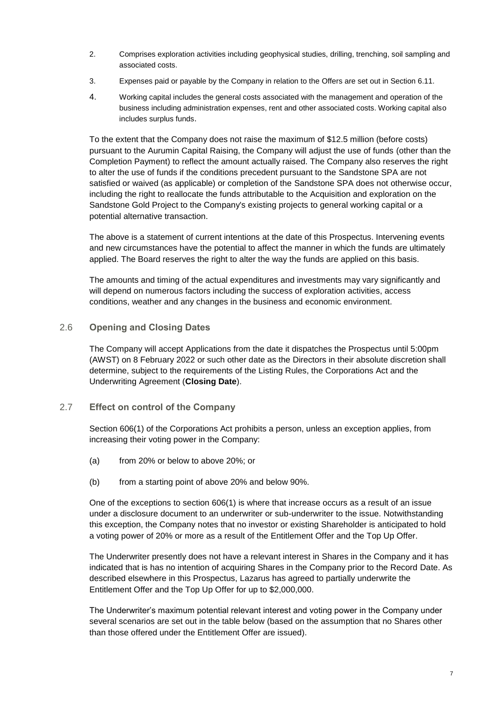- 2. Comprises exploration activities including geophysical studies, drilling, trenching, soil sampling and associated costs.
- 3. Expenses paid or payable by the Company in relation to the Offers are set out in Section [6.11.](#page-53-0)
- 4. Working capital includes the general costs associated with the management and operation of the business including administration expenses, rent and other associated costs. Working capital also includes surplus funds.

To the extent that the Company does not raise the maximum of \$12.5 million (before costs) pursuant to the Aurumin Capital Raising, the Company will adjust the use of funds (other than the Completion Payment) to reflect the amount actually raised. The Company also reserves the right to alter the use of funds if the conditions precedent pursuant to the Sandstone SPA are not satisfied or waived (as applicable) or completion of the Sandstone SPA does not otherwise occur, including the right to reallocate the funds attributable to the Acquisition and exploration on the Sandstone Gold Project to the Company's existing projects to general working capital or a potential alternative transaction.

The above is a statement of current intentions at the date of this Prospectus. Intervening events and new circumstances have the potential to affect the manner in which the funds are ultimately applied. The Board reserves the right to alter the way the funds are applied on this basis.

The amounts and timing of the actual expenditures and investments may vary significantly and will depend on numerous factors including the success of exploration activities, access conditions, weather and any changes in the business and economic environment.

# 2.6 **Opening and Closing Dates**

The Company will accept Applications from the date it dispatches the Prospectus until 5:00pm (AWST) on 8 February 2022 or such other date as the Directors in their absolute discretion shall determine, subject to the requirements of the Listing Rules, the Corporations Act and the Underwriting Agreement (**Closing Date**).

# <span id="page-20-0"></span>2.7 **Effect on control of the Company**

Section 606(1) of the Corporations Act prohibits a person, unless an exception applies, from increasing their voting power in the Company:

- (a) from 20% or below to above 20%; or
- (b) from a starting point of above 20% and below 90%.

One of the exceptions to section 606(1) is where that increase occurs as a result of an issue under a disclosure document to an underwriter or sub-underwriter to the issue. Notwithstanding this exception, the Company notes that no investor or existing Shareholder is anticipated to hold a voting power of 20% or more as a result of the Entitlement Offer and the Top Up Offer.

The Underwriter presently does not have a relevant interest in Shares in the Company and it has indicated that is has no intention of acquiring Shares in the Company prior to the Record Date. As described elsewhere in this Prospectus, Lazarus has agreed to partially underwrite the Entitlement Offer and the Top Up Offer for up to \$2,000,000.

The Underwriter's maximum potential relevant interest and voting power in the Company under several scenarios are set out in the table below (based on the assumption that no Shares other than those offered under the Entitlement Offer are issued).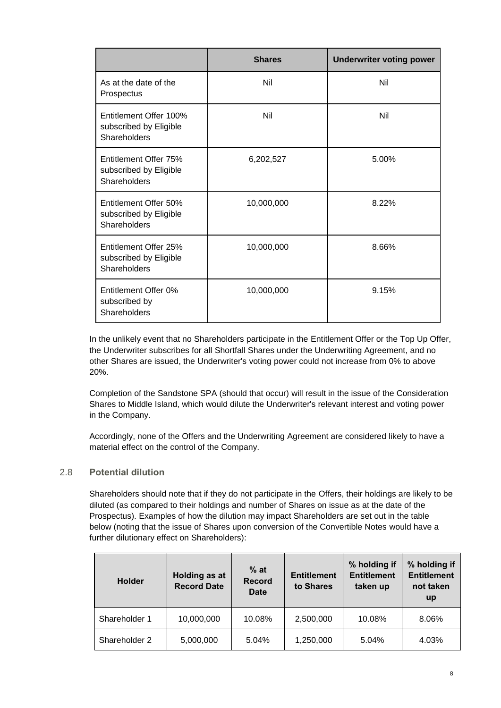|                                                                  | <b>Shares</b> | <b>Underwriter voting power</b> |
|------------------------------------------------------------------|---------------|---------------------------------|
| As at the date of the<br>Prospectus                              | Nil           | Nil                             |
| Entitlement Offer 100%<br>subscribed by Eligible<br>Shareholders | Nil           | Nil                             |
| Entitlement Offer 75%<br>subscribed by Eligible<br>Shareholders  | 6,202,527     | 5.00%                           |
| Entitlement Offer 50%<br>subscribed by Eligible<br>Shareholders  | 10,000,000    | 8.22%                           |
| Entitlement Offer 25%<br>subscribed by Eligible<br>Shareholders  | 10,000,000    | 8.66%                           |
| Entitlement Offer 0%<br>subscribed by<br>Shareholders            | 10,000,000    | 9.15%                           |

In the unlikely event that no Shareholders participate in the Entitlement Offer or the Top Up Offer, the Underwriter subscribes for all Shortfall Shares under the Underwriting Agreement, and no other Shares are issued, the Underwriter's voting power could not increase from 0% to above 20%.

Completion of the Sandstone SPA (should that occur) will result in the issue of the Consideration Shares to Middle Island, which would dilute the Underwriter's relevant interest and voting power in the Company.

Accordingly, none of the Offers and the Underwriting Agreement are considered likely to have a material effect on the control of the Company.

# <span id="page-21-0"></span>2.8 **Potential dilution**

Shareholders should note that if they do not participate in the Offers, their holdings are likely to be diluted (as compared to their holdings and number of Shares on issue as at the date of the Prospectus). Examples of how the dilution may impact Shareholders are set out in the table below (noting that the issue of Shares upon conversion of the Convertible Notes would have a further dilutionary effect on Shareholders):

| <b>Holder</b> | Holding as at<br><b>Record Date</b> | $%$ at<br><b>Record</b><br><b>Date</b> | <b>Entitlement</b><br>to Shares | % holding if<br><b>Entitlement</b><br>taken up | % holding if<br><b>Entitlement</b><br>not taken<br>up |
|---------------|-------------------------------------|----------------------------------------|---------------------------------|------------------------------------------------|-------------------------------------------------------|
| Shareholder 1 | 10,000,000                          | 10.08%                                 | 2,500,000                       | 10.08%                                         | 8.06%                                                 |
| Shareholder 2 | 5,000,000                           | 5.04%                                  | 1,250,000                       | 5.04%                                          | 4.03%                                                 |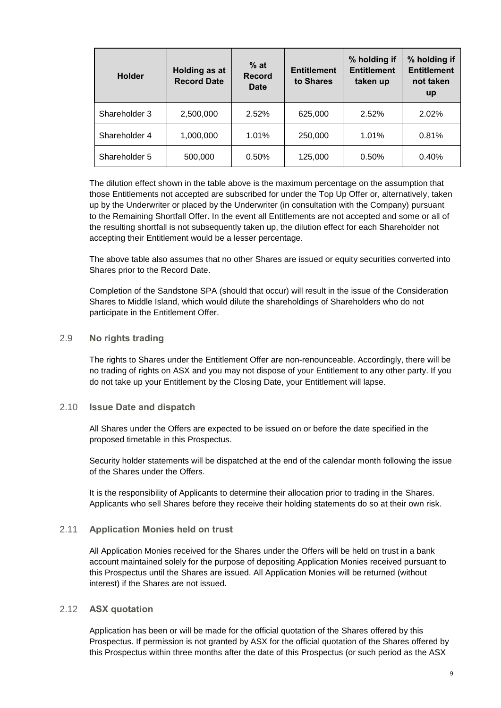| <b>Holder</b> | Holding as at<br><b>Record Date</b> | $%$ at<br><b>Record</b><br><b>Date</b> | <b>Entitlement</b><br>to Shares | % holding if<br><b>Entitlement</b><br>taken up | % holding if<br><b>Entitlement</b><br>not taken<br><b>up</b> |
|---------------|-------------------------------------|----------------------------------------|---------------------------------|------------------------------------------------|--------------------------------------------------------------|
| Shareholder 3 | 2,500,000                           | 2.52%                                  | 625,000                         | 2.52%                                          | 2.02%                                                        |
| Shareholder 4 | 1,000,000                           | 1.01%                                  | 250,000                         | 1.01%                                          | 0.81%                                                        |
| Shareholder 5 | 500,000                             | 0.50%                                  | 125,000                         | 0.50%                                          | 0.40%                                                        |

The dilution effect shown in the table above is the maximum percentage on the assumption that those Entitlements not accepted are subscribed for under the Top Up Offer or, alternatively, taken up by the Underwriter or placed by the Underwriter (in consultation with the Company) pursuant to the Remaining Shortfall Offer. In the event all Entitlements are not accepted and some or all of the resulting shortfall is not subsequently taken up, the dilution effect for each Shareholder not accepting their Entitlement would be a lesser percentage.

The above table also assumes that no other Shares are issued or equity securities converted into Shares prior to the Record Date.

Completion of the Sandstone SPA (should that occur) will result in the issue of the Consideration Shares to Middle Island, which would dilute the shareholdings of Shareholders who do not participate in the Entitlement Offer.

# 2.9 **No rights trading**

The rights to Shares under the Entitlement Offer are non-renounceable. Accordingly, there will be no trading of rights on ASX and you may not dispose of your Entitlement to any other party. If you do not take up your Entitlement by the Closing Date, your Entitlement will lapse.

# <span id="page-22-0"></span>2.10 **Issue Date and dispatch**

All Shares under the Offers are expected to be issued on or before the date specified in the proposed timetable in this Prospectus.

Security holder statements will be dispatched at the end of the calendar month following the issue of the Shares under the Offers.

It is the responsibility of Applicants to determine their allocation prior to trading in the Shares. Applicants who sell Shares before they receive their holding statements do so at their own risk.

# 2.11 **Application Monies held on trust**

All Application Monies received for the Shares under the Offers will be held on trust in a bank account maintained solely for the purpose of depositing Application Monies received pursuant to this Prospectus until the Shares are issued. All Application Monies will be returned (without interest) if the Shares are not issued.

# 2.12 **ASX quotation**

Application has been or will be made for the official quotation of the Shares offered by this Prospectus. If permission is not granted by ASX for the official quotation of the Shares offered by this Prospectus within three months after the date of this Prospectus (or such period as the ASX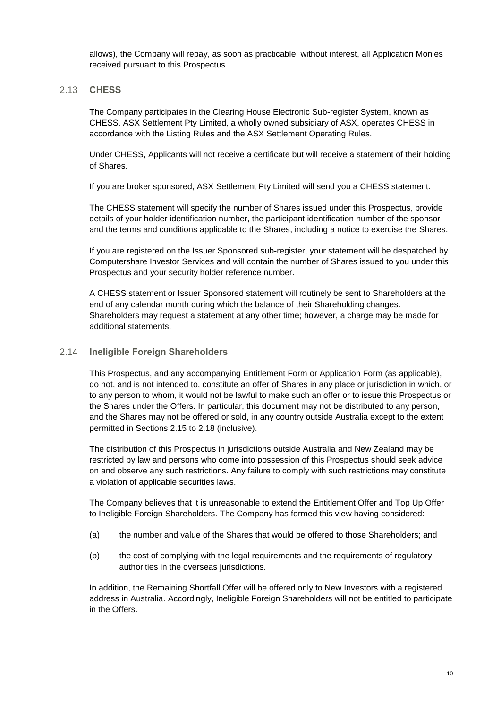allows), the Company will repay, as soon as practicable, without interest, all Application Monies received pursuant to this Prospectus.

# 2.13 **CHESS**

The Company participates in the Clearing House Electronic Sub-register System, known as CHESS. ASX Settlement Pty Limited, a wholly owned subsidiary of ASX, operates CHESS in accordance with the Listing Rules and the ASX Settlement Operating Rules.

Under CHESS, Applicants will not receive a certificate but will receive a statement of their holding of Shares.

If you are broker sponsored, ASX Settlement Pty Limited will send you a CHESS statement.

The CHESS statement will specify the number of Shares issued under this Prospectus, provide details of your holder identification number, the participant identification number of the sponsor and the terms and conditions applicable to the Shares, including a notice to exercise the Shares.

If you are registered on the Issuer Sponsored sub-register, your statement will be despatched by Computershare Investor Services and will contain the number of Shares issued to you under this Prospectus and your security holder reference number.

A CHESS statement or Issuer Sponsored statement will routinely be sent to Shareholders at the end of any calendar month during which the balance of their Shareholding changes. Shareholders may request a statement at any other time; however, a charge may be made for additional statements.

# <span id="page-23-0"></span>2.14 **Ineligible Foreign Shareholders**

This Prospectus, and any accompanying Entitlement Form or Application Form (as applicable), do not, and is not intended to, constitute an offer of Shares in any place or jurisdiction in which, or to any person to whom, it would not be lawful to make such an offer or to issue this Prospectus or the Shares under the Offers. In particular, this document may not be distributed to any person, and the Shares may not be offered or sold, in any country outside Australia except to the extent permitted in Sections [2.15](#page-24-0) to [2.18](#page-24-1) (inclusive).

The distribution of this Prospectus in jurisdictions outside Australia and New Zealand may be restricted by law and persons who come into possession of this Prospectus should seek advice on and observe any such restrictions. Any failure to comply with such restrictions may constitute a violation of applicable securities laws.

The Company believes that it is unreasonable to extend the Entitlement Offer and Top Up Offer to Ineligible Foreign Shareholders. The Company has formed this view having considered:

- (a) the number and value of the Shares that would be offered to those Shareholders; and
- (b) the cost of complying with the legal requirements and the requirements of regulatory authorities in the overseas jurisdictions.

In addition, the Remaining Shortfall Offer will be offered only to New Investors with a registered address in Australia. Accordingly, Ineligible Foreign Shareholders will not be entitled to participate in the Offers.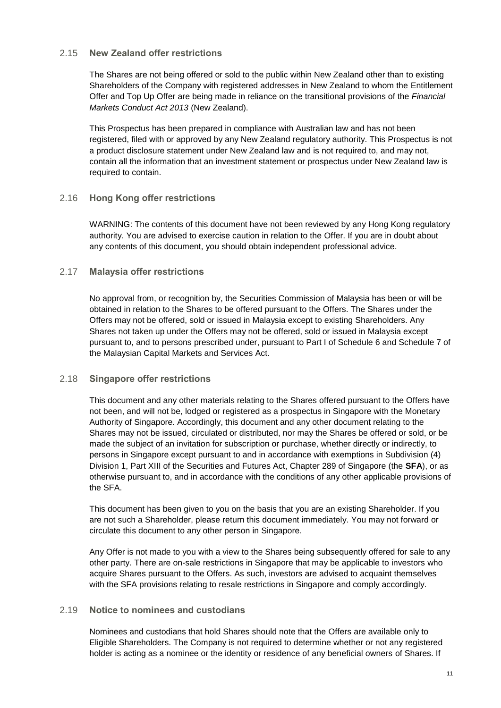# <span id="page-24-0"></span>2.15 **New Zealand offer restrictions**

The Shares are not being offered or sold to the public within New Zealand other than to existing Shareholders of the Company with registered addresses in New Zealand to whom the Entitlement Offer and Top Up Offer are being made in reliance on the transitional provisions of the *Financial Markets Conduct Act 2013* (New Zealand).

This Prospectus has been prepared in compliance with Australian law and has not been registered, filed with or approved by any New Zealand regulatory authority. This Prospectus is not a product disclosure statement under New Zealand law and is not required to, and may not, contain all the information that an investment statement or prospectus under New Zealand law is required to contain.

# 2.16 **Hong Kong offer restrictions**

WARNING: The contents of this document have not been reviewed by any Hong Kong regulatory authority. You are advised to exercise caution in relation to the Offer. If you are in doubt about any contents of this document, you should obtain independent professional advice.

# 2.17 **Malaysia offer restrictions**

No approval from, or recognition by, the Securities Commission of Malaysia has been or will be obtained in relation to the Shares to be offered pursuant to the Offers. The Shares under the Offers may not be offered, sold or issued in Malaysia except to existing Shareholders. Any Shares not taken up under the Offers may not be offered, sold or issued in Malaysia except pursuant to, and to persons prescribed under, pursuant to Part I of Schedule 6 and Schedule 7 of the Malaysian Capital Markets and Services Act.

# <span id="page-24-1"></span>2.18 **Singapore offer restrictions**

This document and any other materials relating to the Shares offered pursuant to the Offers have not been, and will not be, lodged or registered as a prospectus in Singapore with the Monetary Authority of Singapore. Accordingly, this document and any other document relating to the Shares may not be issued, circulated or distributed, nor may the Shares be offered or sold, or be made the subject of an invitation for subscription or purchase, whether directly or indirectly, to persons in Singapore except pursuant to and in accordance with exemptions in Subdivision (4) Division 1, Part XIII of the Securities and Futures Act, Chapter 289 of Singapore (the **SFA**), or as otherwise pursuant to, and in accordance with the conditions of any other applicable provisions of the SFA.

This document has been given to you on the basis that you are an existing Shareholder. If you are not such a Shareholder, please return this document immediately. You may not forward or circulate this document to any other person in Singapore.

Any Offer is not made to you with a view to the Shares being subsequently offered for sale to any other party. There are on-sale restrictions in Singapore that may be applicable to investors who acquire Shares pursuant to the Offers. As such, investors are advised to acquaint themselves with the SFA provisions relating to resale restrictions in Singapore and comply accordingly.

# 2.19 **Notice to nominees and custodians**

Nominees and custodians that hold Shares should note that the Offers are available only to Eligible Shareholders. The Company is not required to determine whether or not any registered holder is acting as a nominee or the identity or residence of any beneficial owners of Shares. If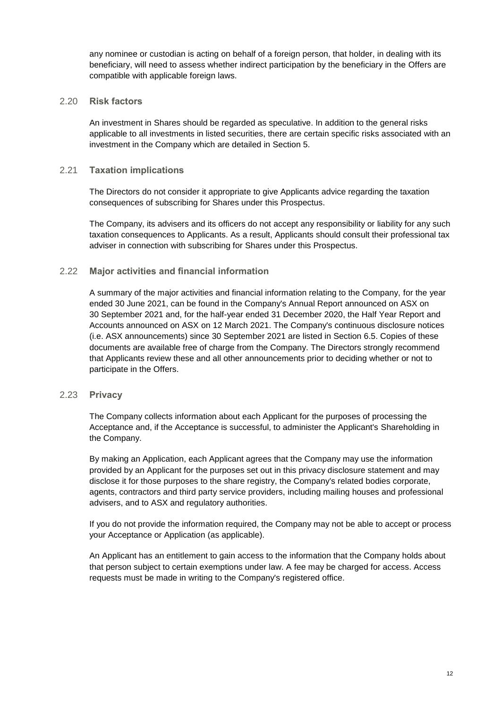any nominee or custodian is acting on behalf of a foreign person, that holder, in dealing with its beneficiary, will need to assess whether indirect participation by the beneficiary in the Offers are compatible with applicable foreign laws.

# 2.20 **Risk factors**

An investment in Shares should be regarded as speculative. In addition to the general risks applicable to all investments in listed securities, there are certain specific risks associated with an investment in the Company which are detailed in Section [5.](#page-32-0)

# 2.21 **Taxation implications**

The Directors do not consider it appropriate to give Applicants advice regarding the taxation consequences of subscribing for Shares under this Prospectus.

The Company, its advisers and its officers do not accept any responsibility or liability for any such taxation consequences to Applicants. As a result, Applicants should consult their professional tax adviser in connection with subscribing for Shares under this Prospectus.

# 2.22 **Major activities and financial information**

A summary of the major activities and financial information relating to the Company, for the year ended 30 June 2021, can be found in the Company's Annual Report announced on ASX on 30 September 2021 and, for the half-year ended 31 December 2020, the Half Year Report and Accounts announced on ASX on 12 March 2021. The Company's continuous disclosure notices (i.e. ASX announcements) since 30 September 2021 are listed in Section [6.5.](#page-49-0) Copies of these documents are available free of charge from the Company. The Directors strongly recommend that Applicants review these and all other announcements prior to deciding whether or not to participate in the Offers.

#### 2.23 **Privacy**

The Company collects information about each Applicant for the purposes of processing the Acceptance and, if the Acceptance is successful, to administer the Applicant's Shareholding in the Company.

By making an Application, each Applicant agrees that the Company may use the information provided by an Applicant for the purposes set out in this privacy disclosure statement and may disclose it for those purposes to the share registry, the Company's related bodies corporate, agents, contractors and third party service providers, including mailing houses and professional advisers, and to ASX and regulatory authorities.

If you do not provide the information required, the Company may not be able to accept or process your Acceptance or Application (as applicable).

An Applicant has an entitlement to gain access to the information that the Company holds about that person subject to certain exemptions under law. A fee may be charged for access. Access requests must be made in writing to the Company's registered office.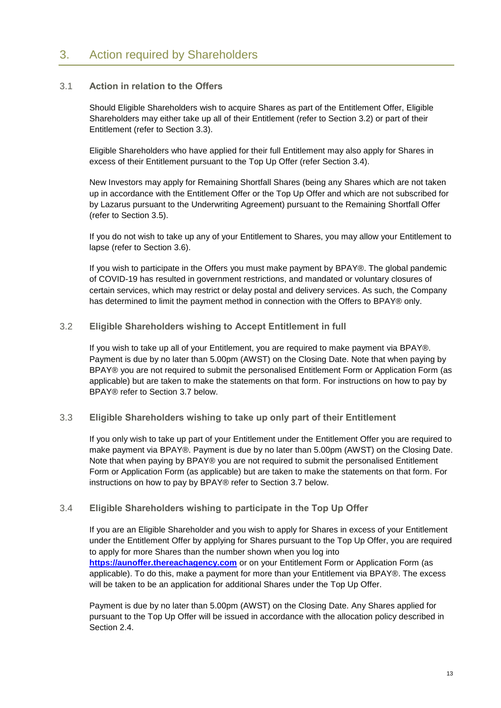# <span id="page-26-0"></span>3. Action required by Shareholders

# 3.1 **Action in relation to the Offers**

Should Eligible Shareholders wish to acquire Shares as part of the Entitlement Offer, Eligible Shareholders may either take up all of their Entitlement (refer to Section [3.2\)](#page-26-1) or part of their Entitlement (refer to Section [3.3\)](#page-26-2).

Eligible Shareholders who have applied for their full Entitlement may also apply for Shares in excess of their Entitlement pursuant to the Top Up Offer (refer Section [3.4\)](#page-26-3).

New Investors may apply for Remaining Shortfall Shares (being any Shares which are not taken up in accordance with the Entitlement Offer or the Top Up Offer and which are not subscribed for by Lazarus pursuant to the Underwriting Agreement) pursuant to the Remaining Shortfall Offer (refer to Section [3.5\)](#page-27-0).

If you do not wish to take up any of your Entitlement to Shares, you may allow your Entitlement to lapse (refer to Section [3.6\)](#page-27-1).

If you wish to participate in the Offers you must make payment by BPAY®. The global pandemic of COVID-19 has resulted in government restrictions, and mandated or voluntary closures of certain services, which may restrict or delay postal and delivery services. As such, the Company has determined to limit the payment method in connection with the Offers to BPAY® only.

# 3.2 **Eligible Shareholders wishing to Accept Entitlement in full**

<span id="page-26-1"></span>If you wish to take up all of your Entitlement, you are required to make payment via BPAY®. Payment is due by no later than 5.00pm (AWST) on the Closing Date. Note that when paying by BPAY® you are not required to submit the personalised Entitlement Form or Application Form (as applicable) but are taken to make the statements on that form. For instructions on how to pay by BPAY® refer to Section [3.7](#page-27-2) below.

# <span id="page-26-2"></span>3.3 **Eligible Shareholders wishing to take up only part of their Entitlement**

If you only wish to take up part of your Entitlement under the Entitlement Offer you are required to make payment via BPAY®. Payment is due by no later than 5.00pm (AWST) on the Closing Date. Note that when paying by BPAY® you are not required to submit the personalised Entitlement Form or Application Form (as applicable) but are taken to make the statements on that form. For instructions on how to pay by BPAY® refer to Section [3.7](#page-27-2) below.

# 3.4 **Eligible Shareholders wishing to participate in the Top Up Offer**

<span id="page-26-3"></span>If you are an Eligible Shareholder and you wish to apply for Shares in excess of your Entitlement under the Entitlement Offer by applying for Shares pursuant to the Top Up Offer, you are required to apply for more Shares than the number shown when you log into **[https://aunoffer.thereachagency.com](https://aunoffer.thereachagency.com/)** or on your Entitlement Form or Application Form (as applicable). To do this, make a payment for more than your Entitlement via BPAY®. The excess will be taken to be an application for additional Shares under the Top Up Offer.

Payment is due by no later than 5.00pm (AWST) on the Closing Date. Any Shares applied for pursuant to the Top Up Offer will be issued in accordance with the allocation policy described in Section [2.4.](#page-18-0)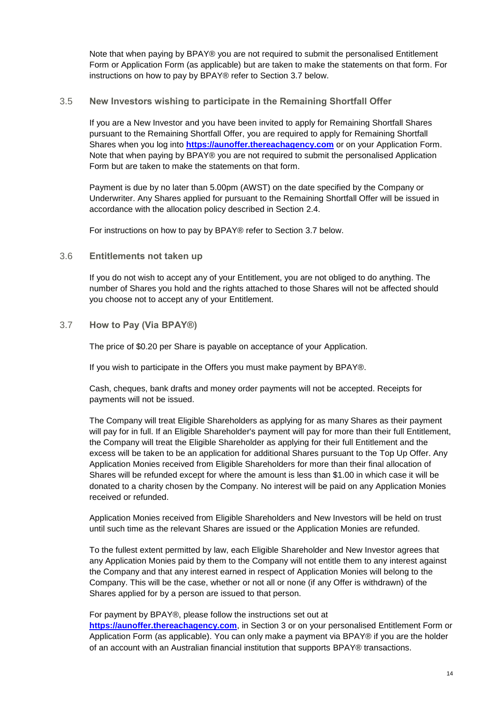Note that when paying by BPAY® you are not required to submit the personalised Entitlement Form or Application Form (as applicable) but are taken to make the statements on that form. For instructions on how to pay by BPAY® refer to Section [3.7](#page-27-2) below.

# <span id="page-27-0"></span>3.5 **New Investors wishing to participate in the Remaining Shortfall Offer**

If you are a New Investor and you have been invited to apply for Remaining Shortfall Shares pursuant to the Remaining Shortfall Offer, you are required to apply for Remaining Shortfall Shares when you log into **[https://aunoffer.thereachagency.com](https://aunoffer.thereachagency.com/)** or on your Application Form. Note that when paying by BPAY® you are not required to submit the personalised Application Form but are taken to make the statements on that form.

Payment is due by no later than 5.00pm (AWST) on the date specified by the Company or Underwriter. Any Shares applied for pursuant to the Remaining Shortfall Offer will be issued in accordance with the allocation policy described in Section [2.4.](#page-18-0)

For instructions on how to pay by BPAY® refer to Section [3.7](#page-27-2) below.

# <span id="page-27-1"></span>3.6 **Entitlements not taken up**

If you do not wish to accept any of your Entitlement, you are not obliged to do anything. The number of Shares you hold and the rights attached to those Shares will not be affected should you choose not to accept any of your Entitlement.

# <span id="page-27-2"></span>3.7 **How to Pay (Via BPAY®)**

The price of \$0.20 per Share is payable on acceptance of your Application.

If you wish to participate in the Offers you must make payment by BPAY®.

Cash, cheques, bank drafts and money order payments will not be accepted. Receipts for payments will not be issued.

The Company will treat Eligible Shareholders as applying for as many Shares as their payment will pay for in full. If an Eligible Shareholder's payment will pay for more than their full Entitlement, the Company will treat the Eligible Shareholder as applying for their full Entitlement and the excess will be taken to be an application for additional Shares pursuant to the Top Up Offer. Any Application Monies received from Eligible Shareholders for more than their final allocation of Shares will be refunded except for where the amount is less than \$1.00 in which case it will be donated to a charity chosen by the Company. No interest will be paid on any Application Monies received or refunded.

Application Monies received from Eligible Shareholders and New Investors will be held on trust until such time as the relevant Shares are issued or the Application Monies are refunded.

To the fullest extent permitted by law, each Eligible Shareholder and New Investor agrees that any Application Monies paid by them to the Company will not entitle them to any interest against the Company and that any interest earned in respect of Application Monies will belong to the Company. This will be the case, whether or not all or none (if any Offer is withdrawn) of the Shares applied for by a person are issued to that person.

For payment by BPAY®, please follow the instructions set out at **[https://aunoffer.thereachagency.com](https://aunoffer.thereachagency.com/)**, in Section [3](#page-26-0) or on your personalised Entitlement Form or Application Form (as applicable). You can only make a payment via BPAY® if you are the holder of an account with an Australian financial institution that supports BPAY® transactions.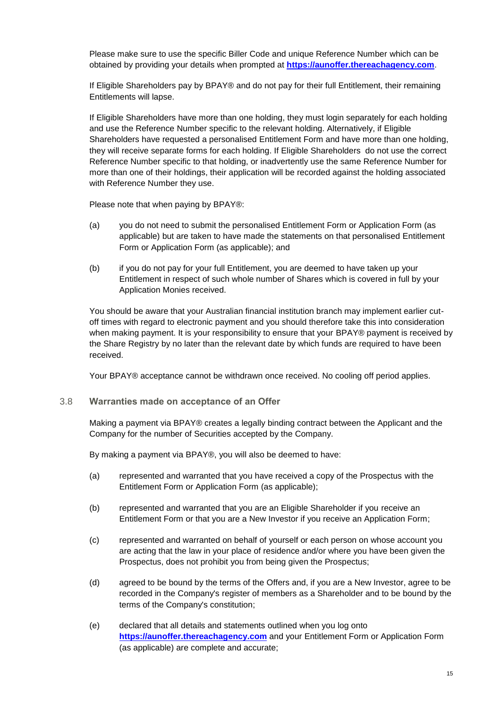Please make sure to use the specific Biller Code and unique Reference Number which can be obtained by providing your details when prompted at **[https://aunoffer.thereachagency.com](https://aunoffer.thereachagency.com/)**.

If Eligible Shareholders pay by BPAY® and do not pay for their full Entitlement, their remaining Entitlements will lapse.

If Eligible Shareholders have more than one holding, they must login separately for each holding and use the Reference Number specific to the relevant holding. Alternatively, if Eligible Shareholders have requested a personalised Entitlement Form and have more than one holding, they will receive separate forms for each holding. If Eligible Shareholders do not use the correct Reference Number specific to that holding, or inadvertently use the same Reference Number for more than one of their holdings, their application will be recorded against the holding associated with Reference Number they use.

Please note that when paying by BPAY®:

- (a) you do not need to submit the personalised Entitlement Form or Application Form (as applicable) but are taken to have made the statements on that personalised Entitlement Form or Application Form (as applicable); and
- (b) if you do not pay for your full Entitlement, you are deemed to have taken up your Entitlement in respect of such whole number of Shares which is covered in full by your Application Monies received.

You should be aware that your Australian financial institution branch may implement earlier cutoff times with regard to electronic payment and you should therefore take this into consideration when making payment. It is your responsibility to ensure that your BPAY® payment is received by the Share Registry by no later than the relevant date by which funds are required to have been received.

Your BPAY® acceptance cannot be withdrawn once received. No cooling off period applies.

#### 3.8 **Warranties made on acceptance of an Offer**

Making a payment via BPAY® creates a legally binding contract between the Applicant and the Company for the number of Securities accepted by the Company.

By making a payment via BPAY®, you will also be deemed to have:

- (a) represented and warranted that you have received a copy of the Prospectus with the Entitlement Form or Application Form (as applicable);
- (b) represented and warranted that you are an Eligible Shareholder if you receive an Entitlement Form or that you are a New Investor if you receive an Application Form;
- (c) represented and warranted on behalf of yourself or each person on whose account you are acting that the law in your place of residence and/or where you have been given the Prospectus, does not prohibit you from being given the Prospectus;
- (d) agreed to be bound by the terms of the Offers and, if you are a New Investor, agree to be recorded in the Company's register of members as a Shareholder and to be bound by the terms of the Company's constitution;
- (e) declared that all details and statements outlined when you log onto **[https://aunoffer.thereachagency.com](https://aunoffer.thereachagency.com/)** and your Entitlement Form or Application Form (as applicable) are complete and accurate;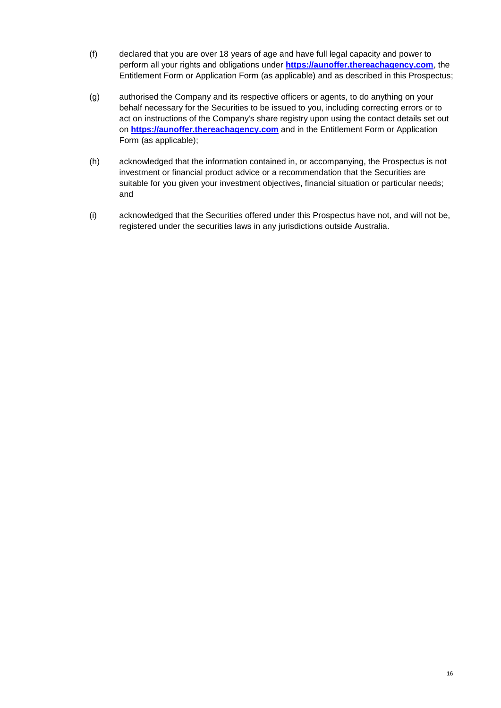- (f) declared that you are over 18 years of age and have full legal capacity and power to perform all your rights and obligations under **[https://aunoffer.thereachagency.com](https://aunoffer.thereachagency.com/)**, the Entitlement Form or Application Form (as applicable) and as described in this Prospectus;
- (g) authorised the Company and its respective officers or agents, to do anything on your behalf necessary for the Securities to be issued to you, including correcting errors or to act on instructions of the Company's share registry upon using the contact details set out on **[https://aunoffer.thereachagency.com](https://aunoffer.thereachagency.com/)** and in the Entitlement Form or Application Form (as applicable);
- (h) acknowledged that the information contained in, or accompanying, the Prospectus is not investment or financial product advice or a recommendation that the Securities are suitable for you given your investment objectives, financial situation or particular needs; and
- (i) acknowledged that the Securities offered under this Prospectus have not, and will not be, registered under the securities laws in any jurisdictions outside Australia.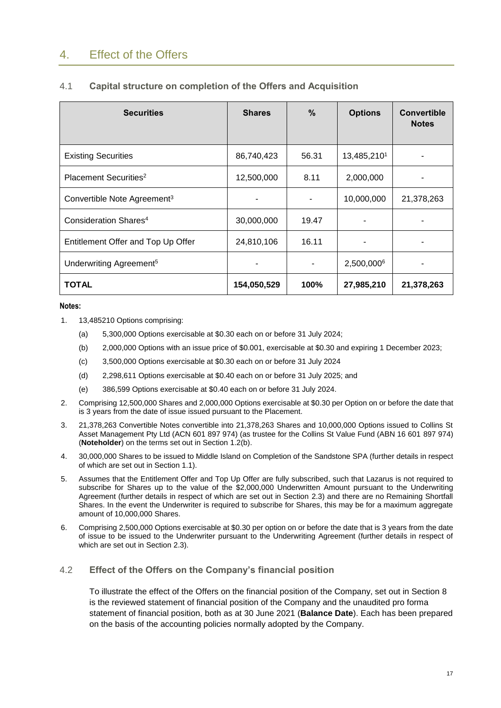# <span id="page-30-0"></span>4. Effect of the Offers

| <b>Securities</b>                       | <b>Shares</b> | $\%$  | <b>Options</b> | <b>Convertible</b><br><b>Notes</b> |
|-----------------------------------------|---------------|-------|----------------|------------------------------------|
| <b>Existing Securities</b>              | 86,740,423    | 56.31 | 13,485,2101    |                                    |
| Placement Securities <sup>2</sup>       | 12,500,000    | 8.11  | 2,000,000      |                                    |
| Convertible Note Agreement <sup>3</sup> |               |       | 10,000,000     | 21,378,263                         |
| Consideration Shares <sup>4</sup>       | 30,000,000    | 19.47 |                |                                    |
| Entitlement Offer and Top Up Offer      | 24,810,106    | 16.11 |                |                                    |
| Underwriting Agreement <sup>5</sup>     |               |       | 2,500,0006     |                                    |
| <b>TOTAL</b>                            | 154,050,529   | 100%  | 27,985,210     | 21,378,263                         |

# <span id="page-30-1"></span>4.1 **Capital structure on completion of the Offers and Acquisition**

#### **Notes:**

- 1. 13,485210 Options comprising:
	- (a) 5,300,000 Options exercisable at \$0.30 each on or before 31 July 2024;
	- (b) 2,000,000 Options with an issue price of \$0.001, exercisable at \$0.30 and expiring 1 December 2023;
	- (c) 3,500,000 Options exercisable at \$0.30 each on or before 31 July 2024
	- (d) 2,298,611 Options exercisable at \$0.40 each on or before 31 July 2025; and
	- (e) 386,599 Options exercisable at \$0.40 each on or before 31 July 2024.
- 2. Comprising 12,500,000 Shares and 2,000,000 Options exercisable at \$0.30 per Option on or before the date that is 3 years from the date of issue issued pursuant to the Placement.
- 3. 21,378,263 Convertible Notes convertible into 21,378,263 Shares and 10,000,000 Options issued to Collins St Asset Management Pty Ltd (ACN 601 897 974) (as trustee for the Collins St Value Fund (ABN 16 601 897 974) (**Noteholder**) on the terms set out in Sectio[n 1.2\(b\).](#page-15-0)
- 4. 30,000,000 Shares to be issued to Middle Island on Completion of the Sandstone SPA (further details in respect of which are set out in Section [1.1\)](#page-14-2).
- 5. Assumes that the Entitlement Offer and Top Up Offer are fully subscribed, such that Lazarus is not required to subscribe for Shares up to the value of the \$2,000,000 Underwritten Amount pursuant to the Underwriting Agreement (further details in respect of which are set out in Section [2.3\)](#page-17-0) and there are no Remaining Shortfall Shares. In the event the Underwriter is required to subscribe for Shares, this may be for a maximum aggregate amount of 10,000,000 Shares.
- 6. Comprising 2,500,000 Options exercisable at \$0.30 per option on or before the date that is 3 years from the date of issue to be issued to the Underwriter pursuant to the Underwriting Agreement (further details in respect of which are set out in Section [2.3\)](#page-17-0).

# 4.2 **Effect of the Offers on the Company's financial position**

To illustrate the effect of the Offers on the financial position of the Company, set out in Section [8](#page-56-0) is the reviewed statement of financial position of the Company and the unaudited pro forma statement of financial position, both as at 30 June 2021 (**Balance Date**). Each has been prepared on the basis of the accounting policies normally adopted by the Company.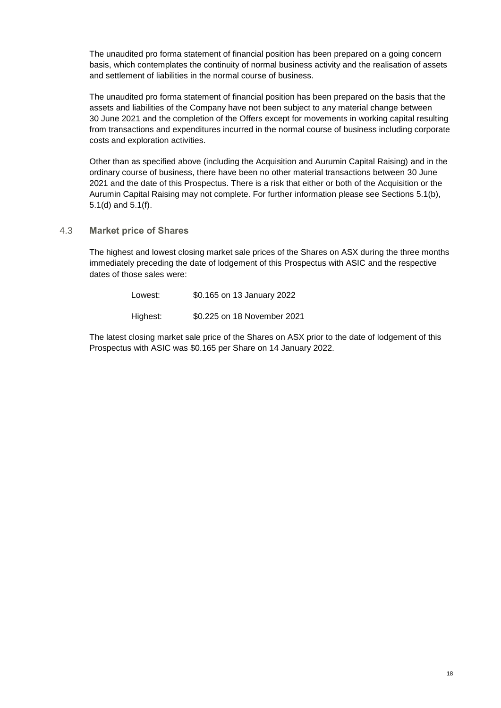The unaudited pro forma statement of financial position has been prepared on a going concern basis, which contemplates the continuity of normal business activity and the realisation of assets and settlement of liabilities in the normal course of business.

The unaudited pro forma statement of financial position has been prepared on the basis that the assets and liabilities of the Company have not been subject to any material change between 30 June 2021 and the completion of the Offers except for movements in working capital resulting from transactions and expenditures incurred in the normal course of business including corporate costs and exploration activities.

Other than as specified above (including the Acquisition and Aurumin Capital Raising) and in the ordinary course of business, there have been no other material transactions between 30 June 2021 and the date of this Prospectus. There is a risk that either or both of the Acquisition or the Aurumin Capital Raising may not complete. For further information please see Sections [5.1\(b\),](#page-32-1) [5.1\(d\)](#page-33-0) and [5.1\(f\).](#page-33-1)

# 4.3 **Market price of Shares**

The highest and lowest closing market sale prices of the Shares on ASX during the three months immediately preceding the date of lodgement of this Prospectus with ASIC and the respective dates of those sales were:

| Lowest:  | \$0.165 on 13 January 2022  |
|----------|-----------------------------|
| Highest: | \$0.225 on 18 November 2021 |

The latest closing market sale price of the Shares on ASX prior to the date of lodgement of this Prospectus with ASIC was \$0.165 per Share on 14 January 2022.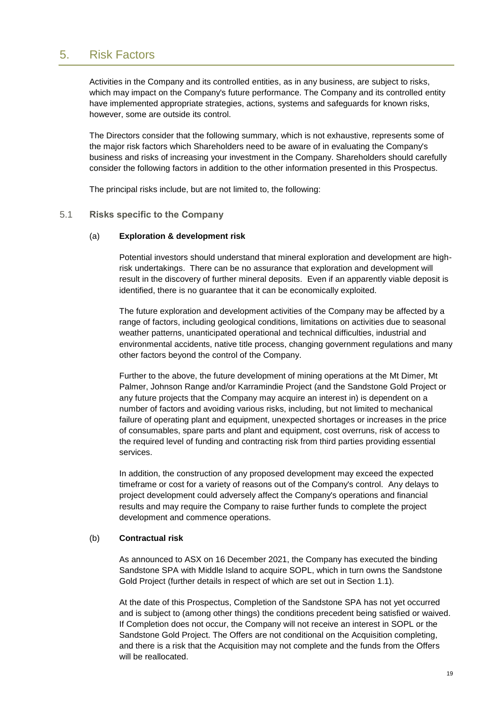# <span id="page-32-0"></span>5. Risk Factors

Activities in the Company and its controlled entities, as in any business, are subject to risks, which may impact on the Company's future performance. The Company and its controlled entity have implemented appropriate strategies, actions, systems and safeguards for known risks, however, some are outside its control.

The Directors consider that the following summary, which is not exhaustive, represents some of the major risk factors which Shareholders need to be aware of in evaluating the Company's business and risks of increasing your investment in the Company. Shareholders should carefully consider the following factors in addition to the other information presented in this Prospectus.

The principal risks include, but are not limited to, the following:

# 5.1 **Risks specific to the Company**

# (a) **Exploration & development risk**

Potential investors should understand that mineral exploration and development are highrisk undertakings. There can be no assurance that exploration and development will result in the discovery of further mineral deposits. Even if an apparently viable deposit is identified, there is no guarantee that it can be economically exploited.

The future exploration and development activities of the Company may be affected by a range of factors, including geological conditions, limitations on activities due to seasonal weather patterns, unanticipated operational and technical difficulties, industrial and environmental accidents, native title process, changing government regulations and many other factors beyond the control of the Company.

Further to the above, the future development of mining operations at the Mt Dimer, Mt Palmer, Johnson Range and/or Karramindie Project (and the Sandstone Gold Project or any future projects that the Company may acquire an interest in) is dependent on a number of factors and avoiding various risks, including, but not limited to mechanical failure of operating plant and equipment, unexpected shortages or increases in the price of consumables, spare parts and plant and equipment, cost overruns, risk of access to the required level of funding and contracting risk from third parties providing essential services.

In addition, the construction of any proposed development may exceed the expected timeframe or cost for a variety of reasons out of the Company's control. Any delays to project development could adversely affect the Company's operations and financial results and may require the Company to raise further funds to complete the project development and commence operations.

# <span id="page-32-1"></span>(b) **Contractual risk**

As announced to ASX on 16 December 2021, the Company has executed the binding Sandstone SPA with Middle Island to acquire SOPL, which in turn owns the Sandstone Gold Project (further details in respect of which are set out in Section [1.1\)](#page-14-2).

At the date of this Prospectus, Completion of the Sandstone SPA has not yet occurred and is subject to (among other things) the conditions precedent being satisfied or waived. If Completion does not occur, the Company will not receive an interest in SOPL or the Sandstone Gold Project. The Offers are not conditional on the Acquisition completing, and there is a risk that the Acquisition may not complete and the funds from the Offers will be reallocated.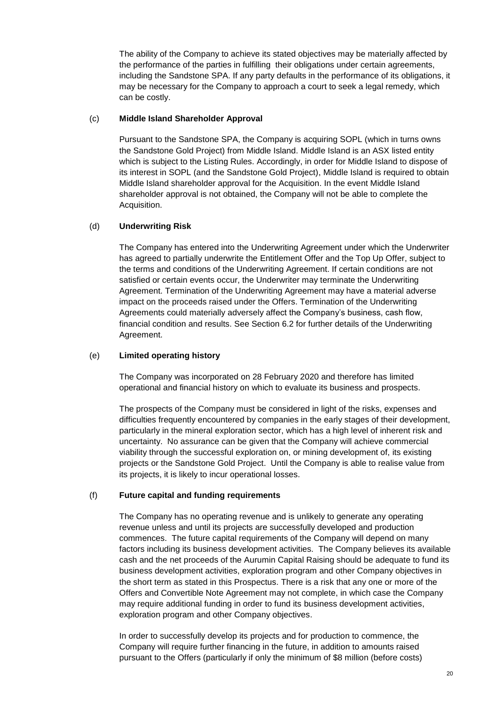The ability of the Company to achieve its stated objectives may be materially affected by the performance of the parties in fulfilling their obligations under certain agreements, including the Sandstone SPA. If any party defaults in the performance of its obligations, it may be necessary for the Company to approach a court to seek a legal remedy, which can be costly.

### (c) **Middle Island Shareholder Approval**

Pursuant to the Sandstone SPA, the Company is acquiring SOPL (which in turns owns the Sandstone Gold Project) from Middle Island. Middle Island is an ASX listed entity which is subject to the Listing Rules. Accordingly, in order for Middle Island to dispose of its interest in SOPL (and the Sandstone Gold Project), Middle Island is required to obtain Middle Island shareholder approval for the Acquisition. In the event Middle Island shareholder approval is not obtained, the Company will not be able to complete the Acquisition.

### <span id="page-33-0"></span>(d) **Underwriting Risk**

The Company has entered into the Underwriting Agreement under which the Underwriter has agreed to partially underwrite the Entitlement Offer and the Top Up Offer, subject to the terms and conditions of the Underwriting Agreement. If certain conditions are not satisfied or certain events occur, the Underwriter may terminate the Underwriting Agreement. Termination of the Underwriting Agreement may have a material adverse impact on the proceeds raised under the Offers. Termination of the Underwriting Agreements could materially adversely affect the Company's business, cash flow, financial condition and results. See Section [6.2](#page-43-0) for further details of the Underwriting Agreement.

### (e) **Limited operating history**

The Company was incorporated on 28 February 2020 and therefore has limited operational and financial history on which to evaluate its business and prospects.

The prospects of the Company must be considered in light of the risks, expenses and difficulties frequently encountered by companies in the early stages of their development, particularly in the mineral exploration sector, which has a high level of inherent risk and uncertainty. No assurance can be given that the Company will achieve commercial viability through the successful exploration on, or mining development of, its existing projects or the Sandstone Gold Project. Until the Company is able to realise value from its projects, it is likely to incur operational losses.

#### <span id="page-33-1"></span>(f) **Future capital and funding requirements**

The Company has no operating revenue and is unlikely to generate any operating revenue unless and until its projects are successfully developed and production commences. The future capital requirements of the Company will depend on many factors including its business development activities. The Company believes its available cash and the net proceeds of the Aurumin Capital Raising should be adequate to fund its business development activities, exploration program and other Company objectives in the short term as stated in this Prospectus. There is a risk that any one or more of the Offers and Convertible Note Agreement may not complete, in which case the Company may require additional funding in order to fund its business development activities, exploration program and other Company objectives.

In order to successfully develop its projects and for production to commence, the Company will require further financing in the future, in addition to amounts raised pursuant to the Offers (particularly if only the minimum of \$8 million (before costs)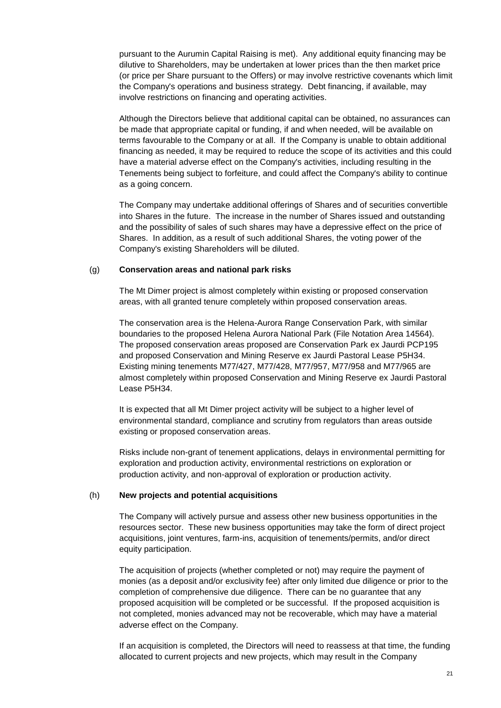pursuant to the Aurumin Capital Raising is met). Any additional equity financing may be dilutive to Shareholders, may be undertaken at lower prices than the then market price (or price per Share pursuant to the Offers) or may involve restrictive covenants which limit the Company's operations and business strategy. Debt financing, if available, may involve restrictions on financing and operating activities.

Although the Directors believe that additional capital can be obtained, no assurances can be made that appropriate capital or funding, if and when needed, will be available on terms favourable to the Company or at all. If the Company is unable to obtain additional financing as needed, it may be required to reduce the scope of its activities and this could have a material adverse effect on the Company's activities, including resulting in the Tenements being subject to forfeiture, and could affect the Company's ability to continue as a going concern.

The Company may undertake additional offerings of Shares and of securities convertible into Shares in the future. The increase in the number of Shares issued and outstanding and the possibility of sales of such shares may have a depressive effect on the price of Shares. In addition, as a result of such additional Shares, the voting power of the Company's existing Shareholders will be diluted.

#### (g) **Conservation areas and national park risks**

The Mt Dimer project is almost completely within existing or proposed conservation areas, with all granted tenure completely within proposed conservation areas.

The conservation area is the Helena-Aurora Range Conservation Park, with similar boundaries to the proposed Helena Aurora National Park (File Notation Area 14564). The proposed conservation areas proposed are Conservation Park ex Jaurdi PCP195 and proposed Conservation and Mining Reserve ex Jaurdi Pastoral Lease P5H34. Existing mining tenements M77/427, M77/428, M77/957, M77/958 and M77/965 are almost completely within proposed Conservation and Mining Reserve ex Jaurdi Pastoral Lease P5H34.

It is expected that all Mt Dimer project activity will be subject to a higher level of environmental standard, compliance and scrutiny from regulators than areas outside existing or proposed conservation areas.

Risks include non-grant of tenement applications, delays in environmental permitting for exploration and production activity, environmental restrictions on exploration or production activity, and non-approval of exploration or production activity.

#### (h) **New projects and potential acquisitions**

The Company will actively pursue and assess other new business opportunities in the resources sector. These new business opportunities may take the form of direct project acquisitions, joint ventures, farm-ins, acquisition of tenements/permits, and/or direct equity participation.

The acquisition of projects (whether completed or not) may require the payment of monies (as a deposit and/or exclusivity fee) after only limited due diligence or prior to the completion of comprehensive due diligence. There can be no guarantee that any proposed acquisition will be completed or be successful. If the proposed acquisition is not completed, monies advanced may not be recoverable, which may have a material adverse effect on the Company.

If an acquisition is completed, the Directors will need to reassess at that time, the funding allocated to current projects and new projects, which may result in the Company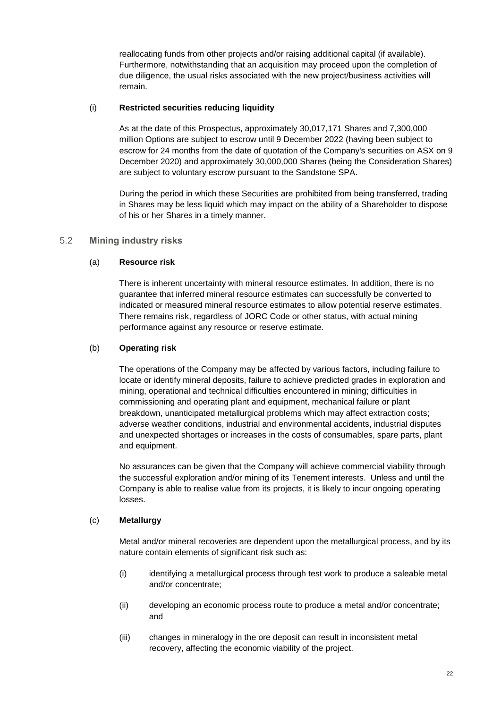reallocating funds from other projects and/or raising additional capital (if available). Furthermore, notwithstanding that an acquisition may proceed upon the completion of due diligence, the usual risks associated with the new project/business activities will remain.

# (i) **Restricted securities reducing liquidity**

As at the date of this Prospectus, approximately 30,017,171 Shares and 7,300,000 million Options are subject to escrow until 9 December 2022 (having been subject to escrow for 24 months from the date of quotation of the Company's securities on ASX on 9 December 2020) and approximately 30,000,000 Shares (being the Consideration Shares) are subject to voluntary escrow pursuant to the Sandstone SPA.

During the period in which these Securities are prohibited from being transferred, trading in Shares may be less liquid which may impact on the ability of a Shareholder to dispose of his or her Shares in a timely manner.

# 5.2 **Mining industry risks**

# (a) **Resource risk**

There is inherent uncertainty with mineral resource estimates. In addition, there is no guarantee that inferred mineral resource estimates can successfully be converted to indicated or measured mineral resource estimates to allow potential reserve estimates. There remains risk, regardless of JORC Code or other status, with actual mining performance against any resource or reserve estimate.

# (b) **Operating risk**

The operations of the Company may be affected by various factors, including failure to locate or identify mineral deposits, failure to achieve predicted grades in exploration and mining, operational and technical difficulties encountered in mining; difficulties in commissioning and operating plant and equipment, mechanical failure or plant breakdown, unanticipated metallurgical problems which may affect extraction costs; adverse weather conditions, industrial and environmental accidents, industrial disputes and unexpected shortages or increases in the costs of consumables, spare parts, plant and equipment.

No assurances can be given that the Company will achieve commercial viability through the successful exploration and/or mining of its Tenement interests. Unless and until the Company is able to realise value from its projects, it is likely to incur ongoing operating losses.

# (c) **Metallurgy**

Metal and/or mineral recoveries are dependent upon the metallurgical process, and by its nature contain elements of significant risk such as:

- (i) identifying a metallurgical process through test work to produce a saleable metal and/or concentrate;
- (ii) developing an economic process route to produce a metal and/or concentrate; and
- (iii) changes in mineralogy in the ore deposit can result in inconsistent metal recovery, affecting the economic viability of the project.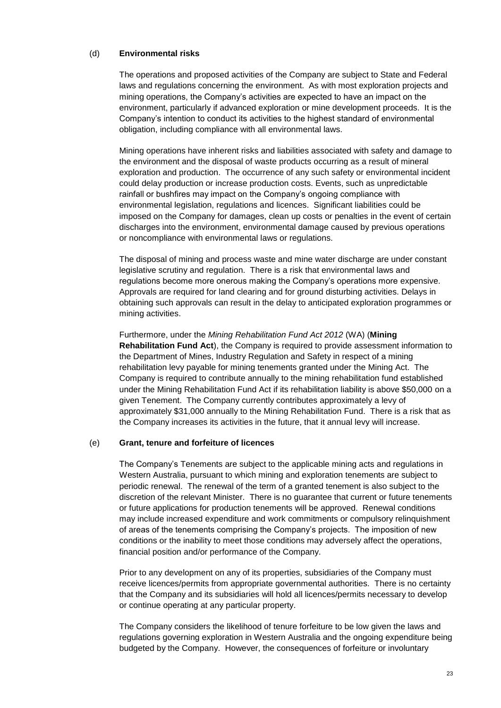### (d) **Environmental risks**

The operations and proposed activities of the Company are subject to State and Federal laws and regulations concerning the environment. As with most exploration projects and mining operations, the Company's activities are expected to have an impact on the environment, particularly if advanced exploration or mine development proceeds. It is the Company's intention to conduct its activities to the highest standard of environmental obligation, including compliance with all environmental laws.

Mining operations have inherent risks and liabilities associated with safety and damage to the environment and the disposal of waste products occurring as a result of mineral exploration and production. The occurrence of any such safety or environmental incident could delay production or increase production costs. Events, such as unpredictable rainfall or bushfires may impact on the Company's ongoing compliance with environmental legislation, regulations and licences. Significant liabilities could be imposed on the Company for damages, clean up costs or penalties in the event of certain discharges into the environment, environmental damage caused by previous operations or noncompliance with environmental laws or regulations.

The disposal of mining and process waste and mine water discharge are under constant legislative scrutiny and regulation. There is a risk that environmental laws and regulations become more onerous making the Company's operations more expensive. Approvals are required for land clearing and for ground disturbing activities. Delays in obtaining such approvals can result in the delay to anticipated exploration programmes or mining activities.

Furthermore, under the *Mining Rehabilitation Fund Act 2012* (WA) (**Mining Rehabilitation Fund Act**), the Company is required to provide assessment information to the Department of Mines, Industry Regulation and Safety in respect of a mining rehabilitation levy payable for mining tenements granted under the Mining Act. The Company is required to contribute annually to the mining rehabilitation fund established under the Mining Rehabilitation Fund Act if its rehabilitation liability is above \$50,000 on a given Tenement. The Company currently contributes approximately a levy of approximately \$31,000 annually to the Mining Rehabilitation Fund. There is a risk that as the Company increases its activities in the future, that it annual levy will increase.

#### (e) **Grant, tenure and forfeiture of licences**

The Company's Tenements are subject to the applicable mining acts and regulations in Western Australia, pursuant to which mining and exploration tenements are subject to periodic renewal. The renewal of the term of a granted tenement is also subject to the discretion of the relevant Minister. There is no guarantee that current or future tenements or future applications for production tenements will be approved. Renewal conditions may include increased expenditure and work commitments or compulsory relinquishment of areas of the tenements comprising the Company's projects. The imposition of new conditions or the inability to meet those conditions may adversely affect the operations, financial position and/or performance of the Company.

Prior to any development on any of its properties, subsidiaries of the Company must receive licences/permits from appropriate governmental authorities. There is no certainty that the Company and its subsidiaries will hold all licences/permits necessary to develop or continue operating at any particular property.

The Company considers the likelihood of tenure forfeiture to be low given the laws and regulations governing exploration in Western Australia and the ongoing expenditure being budgeted by the Company. However, the consequences of forfeiture or involuntary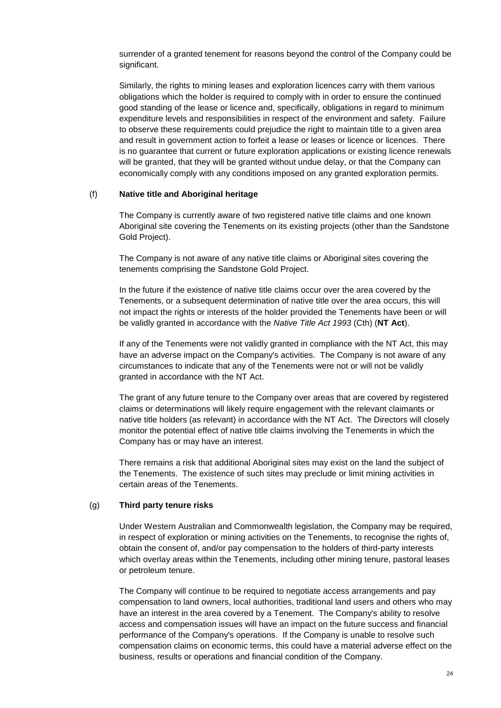surrender of a granted tenement for reasons beyond the control of the Company could be significant.

Similarly, the rights to mining leases and exploration licences carry with them various obligations which the holder is required to comply with in order to ensure the continued good standing of the lease or licence and, specifically, obligations in regard to minimum expenditure levels and responsibilities in respect of the environment and safety. Failure to observe these requirements could prejudice the right to maintain title to a given area and result in government action to forfeit a lease or leases or licence or licences. There is no guarantee that current or future exploration applications or existing licence renewals will be granted, that they will be granted without undue delay, or that the Company can economically comply with any conditions imposed on any granted exploration permits.

#### (f) **Native title and Aboriginal heritage**

The Company is currently aware of two registered native title claims and one known Aboriginal site covering the Tenements on its existing projects (other than the Sandstone Gold Project).

The Company is not aware of any native title claims or Aboriginal sites covering the tenements comprising the Sandstone Gold Project.

In the future if the existence of native title claims occur over the area covered by the Tenements, or a subsequent determination of native title over the area occurs, this will not impact the rights or interests of the holder provided the Tenements have been or will be validly granted in accordance with the *Native Title Act 1993* (Cth) (**NT Act**).

If any of the Tenements were not validly granted in compliance with the NT Act, this may have an adverse impact on the Company's activities. The Company is not aware of any circumstances to indicate that any of the Tenements were not or will not be validly granted in accordance with the NT Act.

The grant of any future tenure to the Company over areas that are covered by registered claims or determinations will likely require engagement with the relevant claimants or native title holders (as relevant) in accordance with the NT Act. The Directors will closely monitor the potential effect of native title claims involving the Tenements in which the Company has or may have an interest.

There remains a risk that additional Aboriginal sites may exist on the land the subject of the Tenements. The existence of such sites may preclude or limit mining activities in certain areas of the Tenements.

# (g) **Third party tenure risks**

Under Western Australian and Commonwealth legislation, the Company may be required, in respect of exploration or mining activities on the Tenements, to recognise the rights of, obtain the consent of, and/or pay compensation to the holders of third-party interests which overlay areas within the Tenements, including other mining tenure, pastoral leases or petroleum tenure.

The Company will continue to be required to negotiate access arrangements and pay compensation to land owners, local authorities, traditional land users and others who may have an interest in the area covered by a Tenement. The Company's ability to resolve access and compensation issues will have an impact on the future success and financial performance of the Company's operations. If the Company is unable to resolve such compensation claims on economic terms, this could have a material adverse effect on the business, results or operations and financial condition of the Company.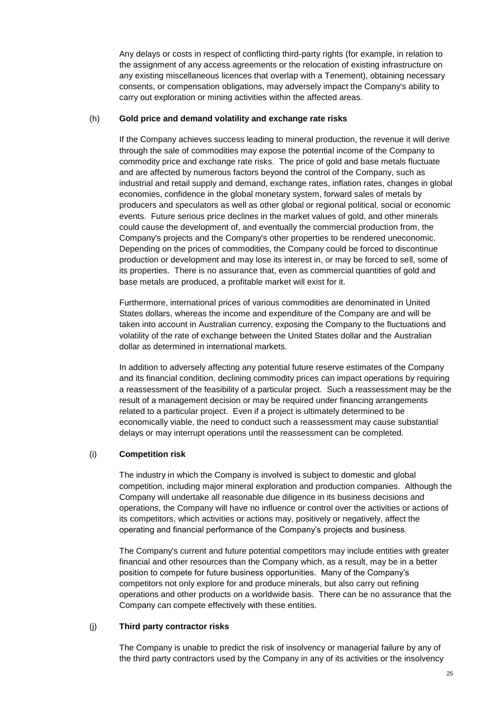Any delays or costs in respect of conflicting third-party rights (for example, in relation to the assignment of any access agreements or the relocation of existing infrastructure on any existing miscellaneous licences that overlap with a Tenement), obtaining necessary consents, or compensation obligations, may adversely impact the Company's ability to carry out exploration or mining activities within the affected areas.

### (h) **Gold price and demand volatility and exchange rate risks**

If the Company achieves success leading to mineral production, the revenue it will derive through the sale of commodities may expose the potential income of the Company to commodity price and exchange rate risks. The price of gold and base metals fluctuate and are affected by numerous factors beyond the control of the Company, such as industrial and retail supply and demand, exchange rates, inflation rates, changes in global economies, confidence in the global monetary system, forward sales of metals by producers and speculators as well as other global or regional political, social or economic events. Future serious price declines in the market values of gold, and other minerals could cause the development of, and eventually the commercial production from, the Company's projects and the Company's other properties to be rendered uneconomic. Depending on the prices of commodities, the Company could be forced to discontinue production or development and may lose its interest in, or may be forced to sell, some of its properties. There is no assurance that, even as commercial quantities of gold and base metals are produced, a profitable market will exist for it.

Furthermore, international prices of various commodities are denominated in United States dollars, whereas the income and expenditure of the Company are and will be taken into account in Australian currency, exposing the Company to the fluctuations and volatility of the rate of exchange between the United States dollar and the Australian dollar as determined in international markets.

In addition to adversely affecting any potential future reserve estimates of the Company and its financial condition, declining commodity prices can impact operations by requiring a reassessment of the feasibility of a particular project. Such a reassessment may be the result of a management decision or may be required under financing arrangements related to a particular project. Even if a project is ultimately determined to be economically viable, the need to conduct such a reassessment may cause substantial delays or may interrupt operations until the reassessment can be completed.

# (i) **Competition risk**

The industry in which the Company is involved is subject to domestic and global competition, including major mineral exploration and production companies. Although the Company will undertake all reasonable due diligence in its business decisions and operations, the Company will have no influence or control over the activities or actions of its competitors, which activities or actions may, positively or negatively, affect the operating and financial performance of the Company's projects and business.

The Company's current and future potential competitors may include entities with greater financial and other resources than the Company which, as a result, may be in a better position to compete for future business opportunities. Many of the Company's competitors not only explore for and produce minerals, but also carry out refining operations and other products on a worldwide basis. There can be no assurance that the Company can compete effectively with these entities.

# (j) **Third party contractor risks**

The Company is unable to predict the risk of insolvency or managerial failure by any of the third party contractors used by the Company in any of its activities or the insolvency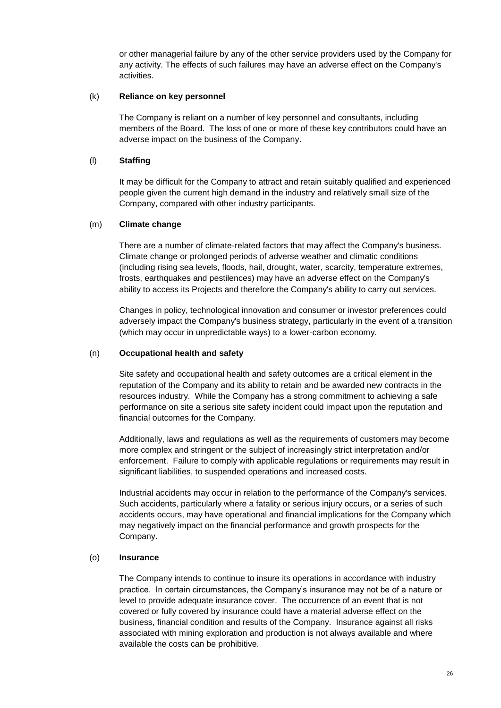or other managerial failure by any of the other service providers used by the Company for any activity. The effects of such failures may have an adverse effect on the Company's activities.

### (k) **Reliance on key personnel**

The Company is reliant on a number of key personnel and consultants, including members of the Board. The loss of one or more of these key contributors could have an adverse impact on the business of the Company.

### (l) **Staffing**

It may be difficult for the Company to attract and retain suitably qualified and experienced people given the current high demand in the industry and relatively small size of the Company, compared with other industry participants.

### (m) **Climate change**

There are a number of climate-related factors that may affect the Company's business. Climate change or prolonged periods of adverse weather and climatic conditions (including rising sea levels, floods, hail, drought, water, scarcity, temperature extremes, frosts, earthquakes and pestilences) may have an adverse effect on the Company's ability to access its Projects and therefore the Company's ability to carry out services.

Changes in policy, technological innovation and consumer or investor preferences could adversely impact the Company's business strategy, particularly in the event of a transition (which may occur in unpredictable ways) to a lower-carbon economy.

### (n) **Occupational health and safety**

Site safety and occupational health and safety outcomes are a critical element in the reputation of the Company and its ability to retain and be awarded new contracts in the resources industry. While the Company has a strong commitment to achieving a safe performance on site a serious site safety incident could impact upon the reputation and financial outcomes for the Company.

Additionally, laws and regulations as well as the requirements of customers may become more complex and stringent or the subject of increasingly strict interpretation and/or enforcement. Failure to comply with applicable regulations or requirements may result in significant liabilities, to suspended operations and increased costs.

Industrial accidents may occur in relation to the performance of the Company's services. Such accidents, particularly where a fatality or serious injury occurs, or a series of such accidents occurs, may have operational and financial implications for the Company which may negatively impact on the financial performance and growth prospects for the Company.

#### (o) **Insurance**

The Company intends to continue to insure its operations in accordance with industry practice. In certain circumstances, the Company's insurance may not be of a nature or level to provide adequate insurance cover. The occurrence of an event that is not covered or fully covered by insurance could have a material adverse effect on the business, financial condition and results of the Company. Insurance against all risks associated with mining exploration and production is not always available and where available the costs can be prohibitive.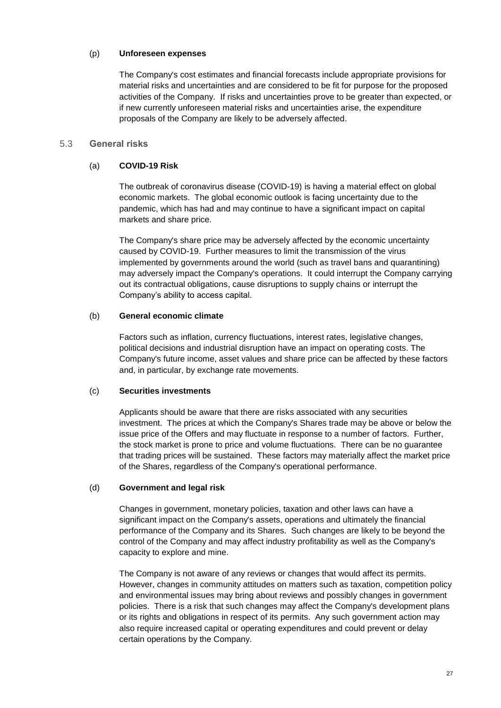# (p) **Unforeseen expenses**

The Company's cost estimates and financial forecasts include appropriate provisions for material risks and uncertainties and are considered to be fit for purpose for the proposed activities of the Company. If risks and uncertainties prove to be greater than expected, or if new currently unforeseen material risks and uncertainties arise, the expenditure proposals of the Company are likely to be adversely affected.

# 5.3 **General risks**

# (a) **COVID-19 Risk**

The outbreak of coronavirus disease (COVID-19) is having a material effect on global economic markets. The global economic outlook is facing uncertainty due to the pandemic, which has had and may continue to have a significant impact on capital markets and share price.

The Company's share price may be adversely affected by the economic uncertainty caused by COVID-19. Further measures to limit the transmission of the virus implemented by governments around the world (such as travel bans and quarantining) may adversely impact the Company's operations. It could interrupt the Company carrying out its contractual obligations, cause disruptions to supply chains or interrupt the Company's ability to access capital.

# (b) **General economic climate**

Factors such as inflation, currency fluctuations, interest rates, legislative changes, political decisions and industrial disruption have an impact on operating costs. The Company's future income, asset values and share price can be affected by these factors and, in particular, by exchange rate movements.

# (c) **Securities investments**

Applicants should be aware that there are risks associated with any securities investment. The prices at which the Company's Shares trade may be above or below the issue price of the Offers and may fluctuate in response to a number of factors. Further, the stock market is prone to price and volume fluctuations. There can be no guarantee that trading prices will be sustained. These factors may materially affect the market price of the Shares, regardless of the Company's operational performance.

# (d) **Government and legal risk**

Changes in government, monetary policies, taxation and other laws can have a significant impact on the Company's assets, operations and ultimately the financial performance of the Company and its Shares. Such changes are likely to be beyond the control of the Company and may affect industry profitability as well as the Company's capacity to explore and mine.

The Company is not aware of any reviews or changes that would affect its permits. However, changes in community attitudes on matters such as taxation, competition policy and environmental issues may bring about reviews and possibly changes in government policies. There is a risk that such changes may affect the Company's development plans or its rights and obligations in respect of its permits. Any such government action may also require increased capital or operating expenditures and could prevent or delay certain operations by the Company.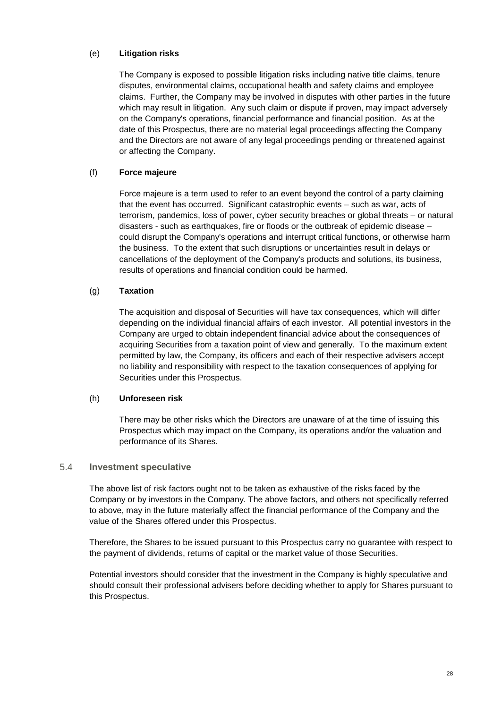# (e) **Litigation risks**

The Company is exposed to possible litigation risks including native title claims, tenure disputes, environmental claims, occupational health and safety claims and employee claims. Further, the Company may be involved in disputes with other parties in the future which may result in litigation. Any such claim or dispute if proven, may impact adversely on the Company's operations, financial performance and financial position. As at the date of this Prospectus, there are no material legal proceedings affecting the Company and the Directors are not aware of any legal proceedings pending or threatened against or affecting the Company.

# (f) **Force majeure**

Force majeure is a term used to refer to an event beyond the control of a party claiming that the event has occurred. Significant catastrophic events – such as war, acts of terrorism, pandemics, loss of power, cyber security breaches or global threats – or natural disasters - such as earthquakes, fire or floods or the outbreak of epidemic disease – could disrupt the Company's operations and interrupt critical functions, or otherwise harm the business. To the extent that such disruptions or uncertainties result in delays or cancellations of the deployment of the Company's products and solutions, its business, results of operations and financial condition could be harmed.

# (g) **Taxation**

The acquisition and disposal of Securities will have tax consequences, which will differ depending on the individual financial affairs of each investor. All potential investors in the Company are urged to obtain independent financial advice about the consequences of acquiring Securities from a taxation point of view and generally. To the maximum extent permitted by law, the Company, its officers and each of their respective advisers accept no liability and responsibility with respect to the taxation consequences of applying for Securities under this Prospectus.

# (h) **Unforeseen risk**

There may be other risks which the Directors are unaware of at the time of issuing this Prospectus which may impact on the Company, its operations and/or the valuation and performance of its Shares.

# 5.4 **Investment speculative**

The above list of risk factors ought not to be taken as exhaustive of the risks faced by the Company or by investors in the Company. The above factors, and others not specifically referred to above, may in the future materially affect the financial performance of the Company and the value of the Shares offered under this Prospectus.

Therefore, the Shares to be issued pursuant to this Prospectus carry no guarantee with respect to the payment of dividends, returns of capital or the market value of those Securities.

Potential investors should consider that the investment in the Company is highly speculative and should consult their professional advisers before deciding whether to apply for Shares pursuant to this Prospectus.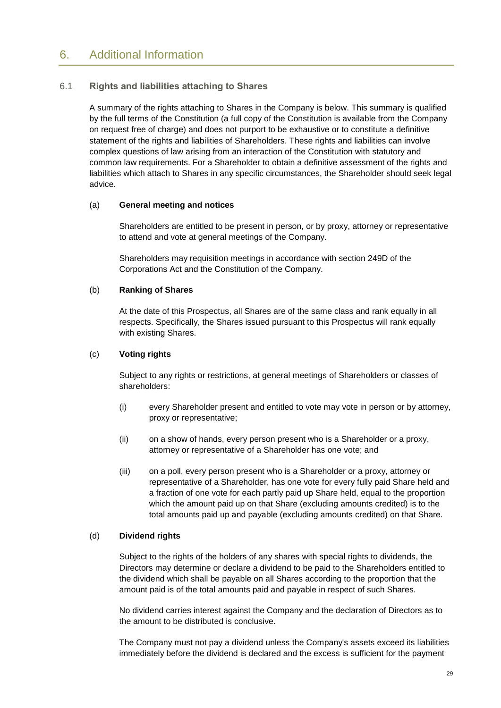# <span id="page-42-0"></span>6. Additional Information

# <span id="page-42-1"></span>6.1 **Rights and liabilities attaching to Shares**

A summary of the rights attaching to Shares in the Company is below. This summary is qualified by the full terms of the Constitution (a full copy of the Constitution is available from the Company on request free of charge) and does not purport to be exhaustive or to constitute a definitive statement of the rights and liabilities of Shareholders. These rights and liabilities can involve complex questions of law arising from an interaction of the Constitution with statutory and common law requirements. For a Shareholder to obtain a definitive assessment of the rights and liabilities which attach to Shares in any specific circumstances, the Shareholder should seek legal advice.

### (a) **General meeting and notices**

Shareholders are entitled to be present in person, or by proxy, attorney or representative to attend and vote at general meetings of the Company.

Shareholders may requisition meetings in accordance with section 249D of the Corporations Act and the Constitution of the Company.

### (b) **Ranking of Shares**

At the date of this Prospectus, all Shares are of the same class and rank equally in all respects. Specifically, the Shares issued pursuant to this Prospectus will rank equally with existing Shares.

### (c) **Voting rights**

Subject to any rights or restrictions, at general meetings of Shareholders or classes of shareholders:

- (i) every Shareholder present and entitled to vote may vote in person or by attorney, proxy or representative;
- (ii) on a show of hands, every person present who is a Shareholder or a proxy, attorney or representative of a Shareholder has one vote; and
- (iii) on a poll, every person present who is a Shareholder or a proxy, attorney or representative of a Shareholder, has one vote for every fully paid Share held and a fraction of one vote for each partly paid up Share held, equal to the proportion which the amount paid up on that Share (excluding amounts credited) is to the total amounts paid up and payable (excluding amounts credited) on that Share.

#### (d) **Dividend rights**

Subject to the rights of the holders of any shares with special rights to dividends, the Directors may determine or declare a dividend to be paid to the Shareholders entitled to the dividend which shall be payable on all Shares according to the proportion that the amount paid is of the total amounts paid and payable in respect of such Shares.

No dividend carries interest against the Company and the declaration of Directors as to the amount to be distributed is conclusive.

The Company must not pay a dividend unless the Company's assets exceed its liabilities immediately before the dividend is declared and the excess is sufficient for the payment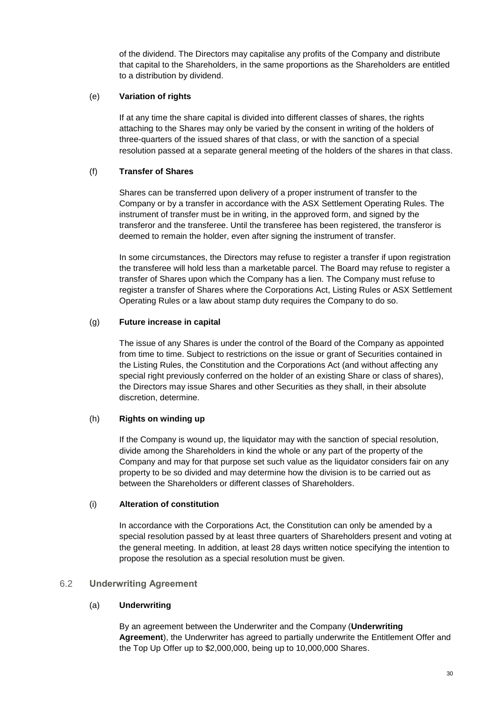of the dividend. The Directors may capitalise any profits of the Company and distribute that capital to the Shareholders, in the same proportions as the Shareholders are entitled to a distribution by dividend.

### (e) **Variation of rights**

If at any time the share capital is divided into different classes of shares, the rights attaching to the Shares may only be varied by the consent in writing of the holders of three-quarters of the issued shares of that class, or with the sanction of a special resolution passed at a separate general meeting of the holders of the shares in that class.

### (f) **Transfer of Shares**

Shares can be transferred upon delivery of a proper instrument of transfer to the Company or by a transfer in accordance with the ASX Settlement Operating Rules. The instrument of transfer must be in writing, in the approved form, and signed by the transferor and the transferee. Until the transferee has been registered, the transferor is deemed to remain the holder, even after signing the instrument of transfer.

In some circumstances, the Directors may refuse to register a transfer if upon registration the transferee will hold less than a marketable parcel. The Board may refuse to register a transfer of Shares upon which the Company has a lien. The Company must refuse to register a transfer of Shares where the Corporations Act, Listing Rules or ASX Settlement Operating Rules or a law about stamp duty requires the Company to do so.

### (g) **Future increase in capital**

The issue of any Shares is under the control of the Board of the Company as appointed from time to time. Subject to restrictions on the issue or grant of Securities contained in the Listing Rules, the Constitution and the Corporations Act (and without affecting any special right previously conferred on the holder of an existing Share or class of shares), the Directors may issue Shares and other Securities as they shall, in their absolute discretion, determine.

### (h) **Rights on winding up**

If the Company is wound up, the liquidator may with the sanction of special resolution, divide among the Shareholders in kind the whole or any part of the property of the Company and may for that purpose set such value as the liquidator considers fair on any property to be so divided and may determine how the division is to be carried out as between the Shareholders or different classes of Shareholders.

#### (i) **Alteration of constitution**

In accordance with the Corporations Act, the Constitution can only be amended by a special resolution passed by at least three quarters of Shareholders present and voting at the general meeting. In addition, at least 28 days written notice specifying the intention to propose the resolution as a special resolution must be given.

# <span id="page-43-0"></span>6.2 **Underwriting Agreement**

# (a) **Underwriting**

By an agreement between the Underwriter and the Company (**Underwriting Agreement**), the Underwriter has agreed to partially underwrite the Entitlement Offer and the Top Up Offer up to \$2,000,000, being up to 10,000,000 Shares.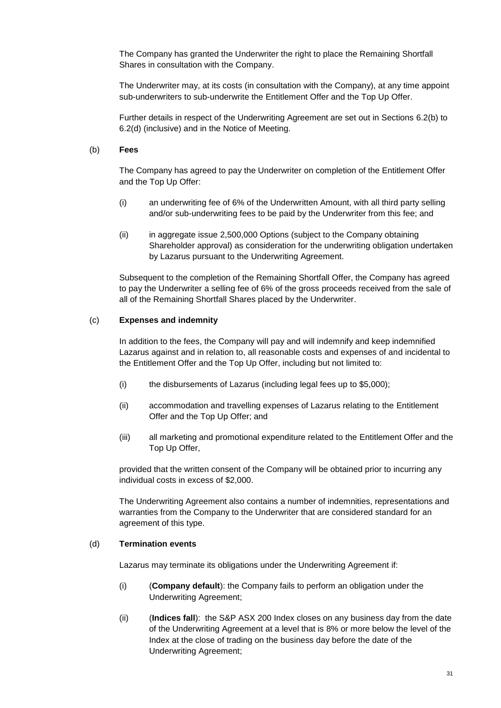The Company has granted the Underwriter the right to place the Remaining Shortfall Shares in consultation with the Company.

The Underwriter may, at its costs (in consultation with the Company), at any time appoint sub-underwriters to sub-underwrite the Entitlement Offer and the Top Up Offer.

Further details in respect of the Underwriting Agreement are set out in Sections [6.2\(b\)](#page-44-0) to [6.2\(d\)](#page-44-1) (inclusive) and in the Notice of Meeting.

#### <span id="page-44-0"></span>(b) **Fees**

The Company has agreed to pay the Underwriter on completion of the Entitlement Offer and the Top Up Offer:

- (i) an underwriting fee of 6% of the Underwritten Amount, with all third party selling and/or sub-underwriting fees to be paid by the Underwriter from this fee; and
- (ii) in aggregate issue 2,500,000 Options (subject to the Company obtaining Shareholder approval) as consideration for the underwriting obligation undertaken by Lazarus pursuant to the Underwriting Agreement.

Subsequent to the completion of the Remaining Shortfall Offer, the Company has agreed to pay the Underwriter a selling fee of 6% of the gross proceeds received from the sale of all of the Remaining Shortfall Shares placed by the Underwriter.

#### (c) **Expenses and indemnity**

In addition to the fees, the Company will pay and will indemnify and keep indemnified Lazarus against and in relation to, all reasonable costs and expenses of and incidental to the Entitlement Offer and the Top Up Offer, including but not limited to:

- (i) the disbursements of Lazarus (including legal fees up to \$5,000);
- (ii) accommodation and travelling expenses of Lazarus relating to the Entitlement Offer and the Top Up Offer; and
- (iii) all marketing and promotional expenditure related to the Entitlement Offer and the Top Up Offer,

provided that the written consent of the Company will be obtained prior to incurring any individual costs in excess of \$2,000.

The Underwriting Agreement also contains a number of indemnities, representations and warranties from the Company to the Underwriter that are considered standard for an agreement of this type.

#### <span id="page-44-1"></span>(d) **Termination events**

Lazarus may terminate its obligations under the Underwriting Agreement if:

- (i) (**Company default**): the Company fails to perform an obligation under the Underwriting Agreement;
- (ii) (**Indices fall**): the S&P ASX 200 Index closes on any business day from the date of the Underwriting Agreement at a level that is 8% or more below the level of the Index at the close of trading on the business day before the date of the Underwriting Agreement;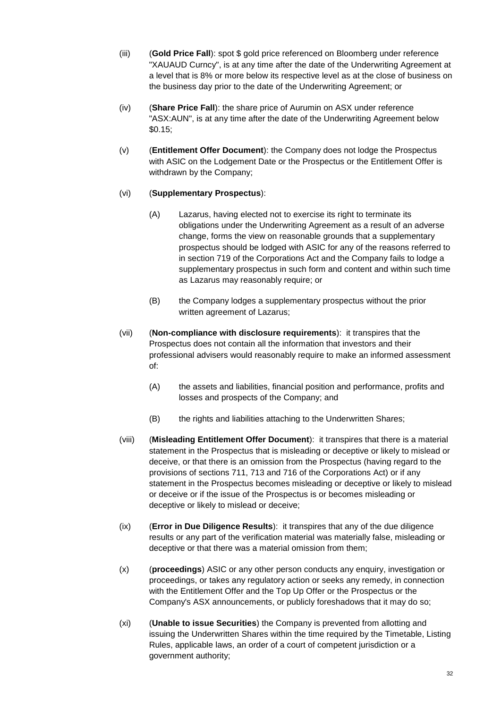- (iii) (**Gold Price Fall**): spot \$ gold price referenced on Bloomberg under reference "XAUAUD Curncy", is at any time after the date of the Underwriting Agreement at a level that is 8% or more below its respective level as at the close of business on the business day prior to the date of the Underwriting Agreement; or
- (iv) (**Share Price Fall**): the share price of Aurumin on ASX under reference "ASX:AUN", is at any time after the date of the Underwriting Agreement below \$0.15;
- (v) (**Entitlement Offer Document**): the Company does not lodge the Prospectus with ASIC on the Lodgement Date or the Prospectus or the Entitlement Offer is withdrawn by the Company;

# (vi) (**Supplementary Prospectus**):

- (A) Lazarus, having elected not to exercise its right to terminate its obligations under the Underwriting Agreement as a result of an adverse change, forms the view on reasonable grounds that a supplementary prospectus should be lodged with ASIC for any of the reasons referred to in section 719 of the Corporations Act and the Company fails to lodge a supplementary prospectus in such form and content and within such time as Lazarus may reasonably require; or
- (B) the Company lodges a supplementary prospectus without the prior written agreement of Lazarus;
- (vii) (**Non-compliance with disclosure requirements**): it transpires that the Prospectus does not contain all the information that investors and their professional advisers would reasonably require to make an informed assessment of:
	- (A) the assets and liabilities, financial position and performance, profits and losses and prospects of the Company; and
	- (B) the rights and liabilities attaching to the Underwritten Shares;
- (viii) (**Misleading Entitlement Offer Document**): it transpires that there is a material statement in the Prospectus that is misleading or deceptive or likely to mislead or deceive, or that there is an omission from the Prospectus (having regard to the provisions of sections 711, 713 and 716 of the Corporations Act) or if any statement in the Prospectus becomes misleading or deceptive or likely to mislead or deceive or if the issue of the Prospectus is or becomes misleading or deceptive or likely to mislead or deceive;
- (ix) (**Error in Due Diligence Results**): it transpires that any of the due diligence results or any part of the verification material was materially false, misleading or deceptive or that there was a material omission from them;
- (x) (**proceedings**) ASIC or any other person conducts any enquiry, investigation or proceedings, or takes any regulatory action or seeks any remedy, in connection with the Entitlement Offer and the Top Up Offer or the Prospectus or the Company's ASX announcements, or publicly foreshadows that it may do so;
- (xi) (**Unable to issue Securities**) the Company is prevented from allotting and issuing the Underwritten Shares within the time required by the Timetable, Listing Rules, applicable laws, an order of a court of competent jurisdiction or a government authority;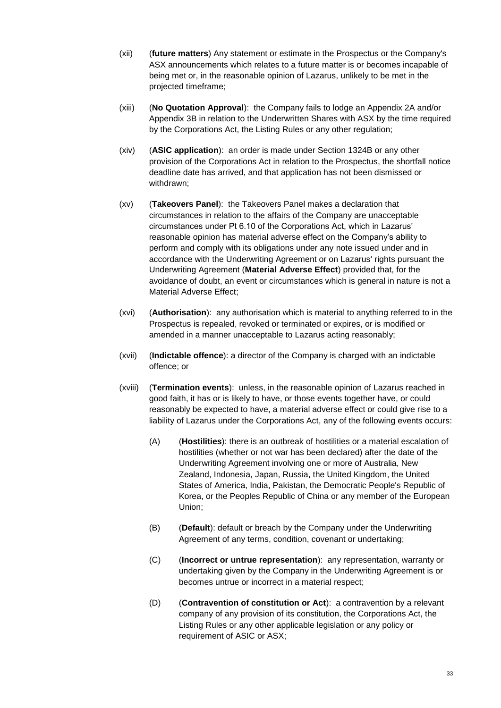- (xii) (**future matters**) Any statement or estimate in the Prospectus or the Company's ASX announcements which relates to a future matter is or becomes incapable of being met or, in the reasonable opinion of Lazarus, unlikely to be met in the projected timeframe;
- (xiii) (**No Quotation Approval**): the Company fails to lodge an Appendix 2A and/or Appendix 3B in relation to the Underwritten Shares with ASX by the time required by the Corporations Act, the Listing Rules or any other regulation;
- (xiv) (**ASIC application**): an order is made under Section 1324B or any other provision of the Corporations Act in relation to the Prospectus, the shortfall notice deadline date has arrived, and that application has not been dismissed or withdrawn;
- (xv) (**Takeovers Panel**): the Takeovers Panel makes a declaration that circumstances in relation to the affairs of the Company are unacceptable circumstances under Pt 6.10 of the Corporations Act, which in Lazarus' reasonable opinion has material adverse effect on the Company's ability to perform and comply with its obligations under any note issued under and in accordance with the Underwriting Agreement or on Lazarus' rights pursuant the Underwriting Agreement (**Material Adverse Effect**) provided that, for the avoidance of doubt, an event or circumstances which is general in nature is not a Material Adverse Effect;
- (xvi) (**Authorisation**): any authorisation which is material to anything referred to in the Prospectus is repealed, revoked or terminated or expires, or is modified or amended in a manner unacceptable to Lazarus acting reasonably;
- (xvii) (**Indictable offence**): a director of the Company is charged with an indictable offence; or
- (xviii) (**Termination events**): unless, in the reasonable opinion of Lazarus reached in good faith, it has or is likely to have, or those events together have, or could reasonably be expected to have, a material adverse effect or could give rise to a liability of Lazarus under the Corporations Act, any of the following events occurs:
	- (A) (**Hostilities**): there is an outbreak of hostilities or a material escalation of hostilities (whether or not war has been declared) after the date of the Underwriting Agreement involving one or more of Australia, New Zealand, Indonesia, Japan, Russia, the United Kingdom, the United States of America, India, Pakistan, the Democratic People's Republic of Korea, or the Peoples Republic of China or any member of the European Union;
	- (B) (**Default**): default or breach by the Company under the Underwriting Agreement of any terms, condition, covenant or undertaking;
	- (C) (**Incorrect or untrue representation**): any representation, warranty or undertaking given by the Company in the Underwriting Agreement is or becomes untrue or incorrect in a material respect;
	- (D) (**Contravention of constitution or Act**): a contravention by a relevant company of any provision of its constitution, the Corporations Act, the Listing Rules or any other applicable legislation or any policy or requirement of ASIC or ASX;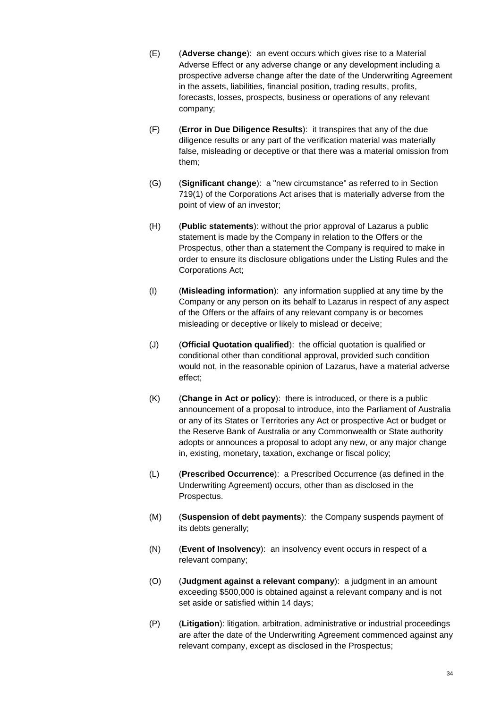- (E) (**Adverse change**): an event occurs which gives rise to a Material Adverse Effect or any adverse change or any development including a prospective adverse change after the date of the Underwriting Agreement in the assets, liabilities, financial position, trading results, profits, forecasts, losses, prospects, business or operations of any relevant company;
- (F) (**Error in Due Diligence Results**): it transpires that any of the due diligence results or any part of the verification material was materially false, misleading or deceptive or that there was a material omission from them;
- (G) (**Significant change**): a "new circumstance" as referred to in Section 719(1) of the Corporations Act arises that is materially adverse from the point of view of an investor;
- (H) (**Public statements**): without the prior approval of Lazarus a public statement is made by the Company in relation to the Offers or the Prospectus, other than a statement the Company is required to make in order to ensure its disclosure obligations under the Listing Rules and the Corporations Act;
- (I) (**Misleading information**): any information supplied at any time by the Company or any person on its behalf to Lazarus in respect of any aspect of the Offers or the affairs of any relevant company is or becomes misleading or deceptive or likely to mislead or deceive;
- (J) (**Official Quotation qualified**): the official quotation is qualified or conditional other than conditional approval, provided such condition would not, in the reasonable opinion of Lazarus, have a material adverse effect;
- (K) (**Change in Act or policy**): there is introduced, or there is a public announcement of a proposal to introduce, into the Parliament of Australia or any of its States or Territories any Act or prospective Act or budget or the Reserve Bank of Australia or any Commonwealth or State authority adopts or announces a proposal to adopt any new, or any major change in, existing, monetary, taxation, exchange or fiscal policy;
- (L) (**Prescribed Occurrence**):a Prescribed Occurrence (as defined in the Underwriting Agreement) occurs, other than as disclosed in the Prospectus.
- (M) (**Suspension of debt payments**): the Company suspends payment of its debts generally;
- (N) (**Event of Insolvency**): an insolvency event occurs in respect of a relevant company;
- (O) (**Judgment against a relevant company**): a judgment in an amount exceeding \$500,000 is obtained against a relevant company and is not set aside or satisfied within 14 days;
- (P) (**Litigation**): litigation, arbitration, administrative or industrial proceedings are after the date of the Underwriting Agreement commenced against any relevant company, except as disclosed in the Prospectus;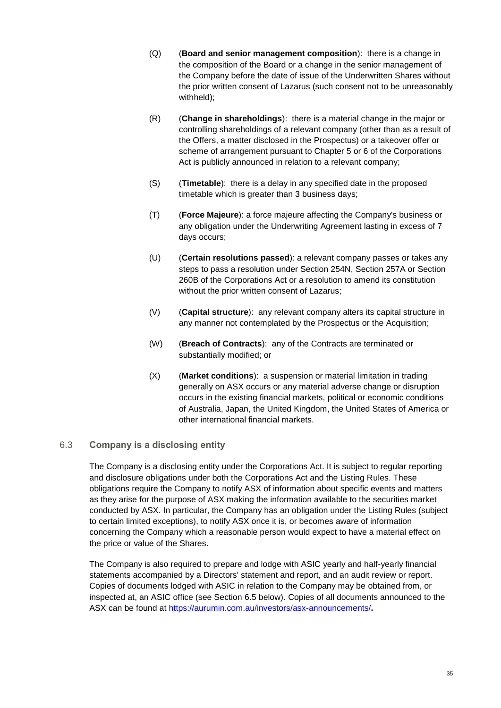- (Q) (**Board and senior management composition**): there is a change in the composition of the Board or a change in the senior management of the Company before the date of issue of the Underwritten Shares without the prior written consent of Lazarus (such consent not to be unreasonably withheld);
- (R) (**Change in shareholdings**): there is a material change in the major or controlling shareholdings of a relevant company (other than as a result of the Offers, a matter disclosed in the Prospectus) or a takeover offer or scheme of arrangement pursuant to Chapter 5 or 6 of the Corporations Act is publicly announced in relation to a relevant company;
- (S) (**Timetable**): there is a delay in any specified date in the proposed timetable which is greater than 3 business days;
- (T) (**Force Majeure**): a force majeure affecting the Company's business or any obligation under the Underwriting Agreement lasting in excess of 7 days occurs;
- (U) (**Certain resolutions passed**): a relevant company passes or takes any steps to pass a resolution under Section 254N, Section 257A or Section 260B of the Corporations Act or a resolution to amend its constitution without the prior written consent of Lazarus;
- (V) (**Capital structure**): any relevant company alters its capital structure in any manner not contemplated by the Prospectus or the Acquisition;
- (W) (**Breach of Contracts**): any of the Contracts are terminated or substantially modified; or
- (X) (**Market conditions**): a suspension or material limitation in trading generally on ASX occurs or any material adverse change or disruption occurs in the existing financial markets, political or economic conditions of Australia, Japan, the United Kingdom, the United States of America or other international financial markets.

# <span id="page-48-0"></span>6.3 **Company is a disclosing entity**

The Company is a disclosing entity under the Corporations Act. It is subject to regular reporting and disclosure obligations under both the Corporations Act and the Listing Rules. These obligations require the Company to notify ASX of information about specific events and matters as they arise for the purpose of ASX making the information available to the securities market conducted by ASX. In particular, the Company has an obligation under the Listing Rules (subject to certain limited exceptions), to notify ASX once it is, or becomes aware of information concerning the Company which a reasonable person would expect to have a material effect on the price or value of the Shares.

The Company is also required to prepare and lodge with ASIC yearly and half-yearly financial statements accompanied by a Directors' statement and report, and an audit review or report. Copies of documents lodged with ASIC in relation to the Company may be obtained from, or inspected at, an ASIC office (see Section [6.5](#page-49-0) below). Copies of all documents announced to the ASX can be found at<https://aurumin.com.au/investors/asx-announcements/>**.**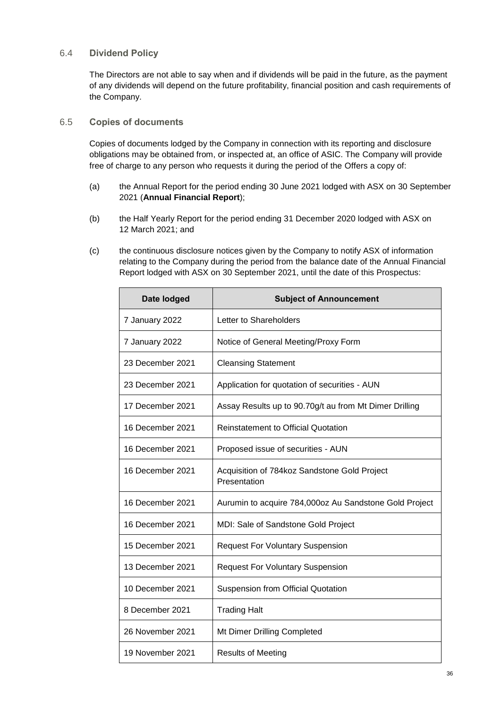# 6.4 **Dividend Policy**

The Directors are not able to say when and if dividends will be paid in the future, as the payment of any dividends will depend on the future profitability, financial position and cash requirements of the Company.

# <span id="page-49-0"></span>6.5 **Copies of documents**

Copies of documents lodged by the Company in connection with its reporting and disclosure obligations may be obtained from, or inspected at, an office of ASIC. The Company will provide free of charge to any person who requests it during the period of the Offers a copy of:

- (a) the Annual Report for the period ending 30 June 2021 lodged with ASX on 30 September 2021 (**Annual Financial Report**);
- (b) the Half Yearly Report for the period ending 31 December 2020 lodged with ASX on 12 March 2021; and
- (c) the continuous disclosure notices given by the Company to notify ASX of information relating to the Company during the period from the balance date of the Annual Financial Report lodged with ASX on 30 September 2021, until the date of this Prospectus:

| Date lodged      | <b>Subject of Announcement</b>                               |
|------------------|--------------------------------------------------------------|
| 7 January 2022   | Letter to Shareholders                                       |
| 7 January 2022   | Notice of General Meeting/Proxy Form                         |
| 23 December 2021 | <b>Cleansing Statement</b>                                   |
| 23 December 2021 | Application for quotation of securities - AUN                |
| 17 December 2021 | Assay Results up to 90.70g/t au from Mt Dimer Drilling       |
| 16 December 2021 | <b>Reinstatement to Official Quotation</b>                   |
| 16 December 2021 | Proposed issue of securities - AUN                           |
| 16 December 2021 | Acquisition of 784koz Sandstone Gold Project<br>Presentation |
| 16 December 2021 | Aurumin to acquire 784,000oz Au Sandstone Gold Project       |
| 16 December 2021 | MDI: Sale of Sandstone Gold Project                          |
| 15 December 2021 | <b>Request For Voluntary Suspension</b>                      |
| 13 December 2021 | <b>Request For Voluntary Suspension</b>                      |
| 10 December 2021 | <b>Suspension from Official Quotation</b>                    |
| 8 December 2021  | <b>Trading Halt</b>                                          |
| 26 November 2021 | Mt Dimer Drilling Completed                                  |
| 19 November 2021 | <b>Results of Meeting</b>                                    |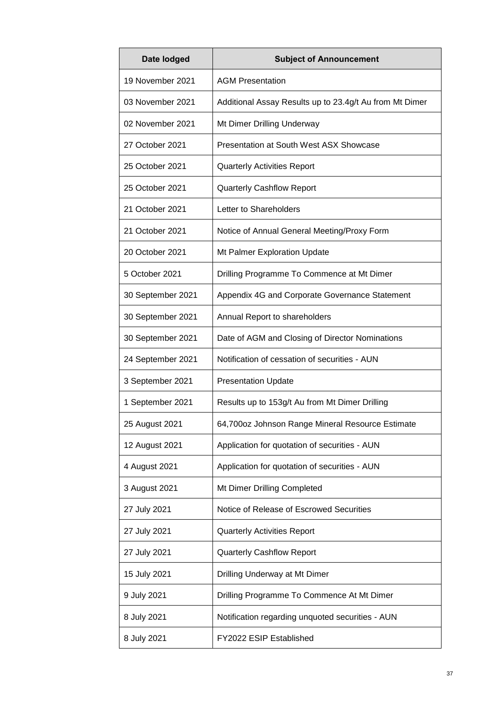| Date lodged       | <b>Subject of Announcement</b>                          |
|-------------------|---------------------------------------------------------|
| 19 November 2021  | <b>AGM Presentation</b>                                 |
| 03 November 2021  | Additional Assay Results up to 23.4g/t Au from Mt Dimer |
| 02 November 2021  | Mt Dimer Drilling Underway                              |
| 27 October 2021   | Presentation at South West ASX Showcase                 |
| 25 October 2021   | <b>Quarterly Activities Report</b>                      |
| 25 October 2021   | <b>Quarterly Cashflow Report</b>                        |
| 21 October 2021   | Letter to Shareholders                                  |
| 21 October 2021   | Notice of Annual General Meeting/Proxy Form             |
| 20 October 2021   | Mt Palmer Exploration Update                            |
| 5 October 2021    | Drilling Programme To Commence at Mt Dimer              |
| 30 September 2021 | Appendix 4G and Corporate Governance Statement          |
| 30 September 2021 | Annual Report to shareholders                           |
| 30 September 2021 | Date of AGM and Closing of Director Nominations         |
| 24 September 2021 | Notification of cessation of securities - AUN           |
| 3 September 2021  | <b>Presentation Update</b>                              |
| 1 September 2021  | Results up to 153g/t Au from Mt Dimer Drilling          |
| 25 August 2021    | 64,700oz Johnson Range Mineral Resource Estimate        |
| 12 August 2021    | Application for quotation of securities - AUN           |
| 4 August 2021     | Application for quotation of securities - AUN           |
| 3 August 2021     | Mt Dimer Drilling Completed                             |
| 27 July 2021      | Notice of Release of Escrowed Securities                |
| 27 July 2021      | <b>Quarterly Activities Report</b>                      |
| 27 July 2021      | <b>Quarterly Cashflow Report</b>                        |
| 15 July 2021      | Drilling Underway at Mt Dimer                           |
| 9 July 2021       | Drilling Programme To Commence At Mt Dimer              |
| 8 July 2021       | Notification regarding unquoted securities - AUN        |
| 8 July 2021       | FY2022 ESIP Established                                 |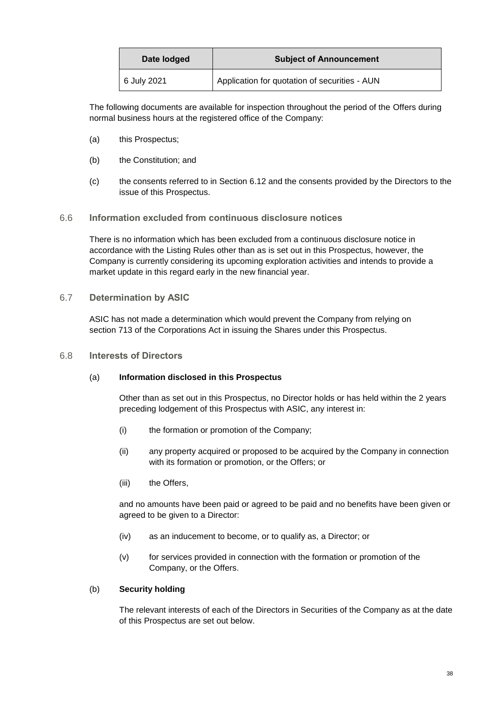| Date lodged | <b>Subject of Announcement</b>                |
|-------------|-----------------------------------------------|
| 6 July 2021 | Application for quotation of securities - AUN |

The following documents are available for inspection throughout the period of the Offers during normal business hours at the registered office of the Company:

- (a) this Prospectus;
- (b) the Constitution; and
- (c) the consents referred to in Section [6.12](#page-54-0) and the consents provided by the Directors to the issue of this Prospectus.

# 6.6 **Information excluded from continuous disclosure notices**

There is no information which has been excluded from a continuous disclosure notice in accordance with the Listing Rules other than as is set out in this Prospectus, however, the Company is currently considering its upcoming exploration activities and intends to provide a market update in this regard early in the new financial year.

# 6.7 **Determination by ASIC**

ASIC has not made a determination which would prevent the Company from relying on section 713 of the Corporations Act in issuing the Shares under this Prospectus.

# 6.8 **Interests of Directors**

# (a) **Information disclosed in this Prospectus**

Other than as set out in this Prospectus, no Director holds or has held within the 2 years preceding lodgement of this Prospectus with ASIC, any interest in:

- (i) the formation or promotion of the Company;
- (ii) any property acquired or proposed to be acquired by the Company in connection with its formation or promotion, or the Offers; or
- (iii) the Offers,

and no amounts have been paid or agreed to be paid and no benefits have been given or agreed to be given to a Director:

- (iv) as an inducement to become, or to qualify as, a Director; or
- (v) for services provided in connection with the formation or promotion of the Company, or the Offers.

# <span id="page-51-0"></span>(b) **Security holding**

The relevant interests of each of the Directors in Securities of the Company as at the date of this Prospectus are set out below.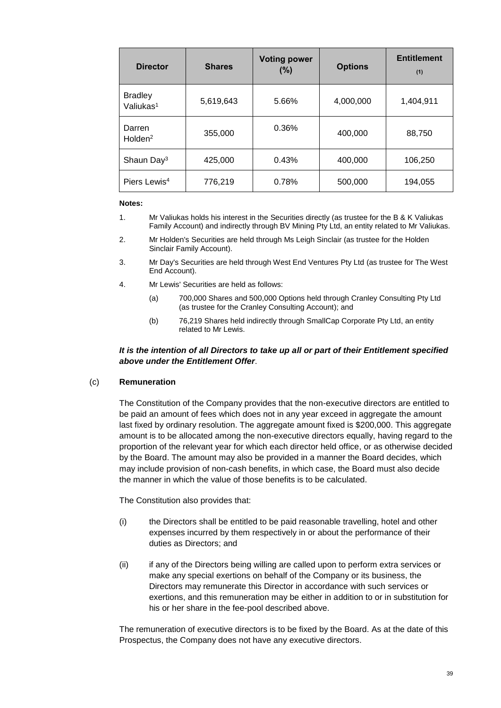| <b>Director</b>                         | <b>Shares</b> | <b>Voting power</b><br>(%) | <b>Options</b> | <b>Entitlement</b><br>(1) |
|-----------------------------------------|---------------|----------------------------|----------------|---------------------------|
| <b>Bradley</b><br>Valiukas <sup>1</sup> | 5,619,643     | 5.66%                      | 4,000,000      | 1,404,911                 |
| Darren<br>$H$ olden <sup>2</sup>        | 355,000       | 0.36%                      | 400,000        | 88,750                    |
| Shaun Day <sup>3</sup>                  | 425,000       | 0.43%                      | 400,000        | 106,250                   |
| Piers Lewis <sup>4</sup>                | 776,219       | 0.78%                      | 500,000        | 194,055                   |

#### **Notes:**

- 1. Mr Valiukas holds his interest in the Securities directly (as trustee for the B & K Valiukas Family Account) and indirectly through BV Mining Pty Ltd, an entity related to Mr Valiukas.
- 2. Mr Holden's Securities are held through Ms Leigh Sinclair (as trustee for the Holden Sinclair Family Account).
- 3. Mr Day's Securities are held through West End Ventures Pty Ltd (as trustee for The West End Account).
- 4. Mr Lewis' Securities are held as follows:
	- (a) 700,000 Shares and 500,000 Options held through Cranley Consulting Pty Ltd (as trustee for the Cranley Consulting Account); and
	- (b) 76,219 Shares held indirectly through SmallCap Corporate Pty Ltd, an entity related to Mr Lewis.

# *It is the intention of all Directors to take up all or part of their Entitlement specified above under the Entitlement Offer*.

### (c) **Remuneration**

The Constitution of the Company provides that the non-executive directors are entitled to be paid an amount of fees which does not in any year exceed in aggregate the amount last fixed by ordinary resolution. The aggregate amount fixed is \$200,000. This aggregate amount is to be allocated among the non-executive directors equally, having regard to the proportion of the relevant year for which each director held office, or as otherwise decided by the Board. The amount may also be provided in a manner the Board decides, which may include provision of non-cash benefits, in which case, the Board must also decide the manner in which the value of those benefits is to be calculated.

The Constitution also provides that:

- (i) the Directors shall be entitled to be paid reasonable travelling, hotel and other expenses incurred by them respectively in or about the performance of their duties as Directors; and
- (ii) if any of the Directors being willing are called upon to perform extra services or make any special exertions on behalf of the Company or its business, the Directors may remunerate this Director in accordance with such services or exertions, and this remuneration may be either in addition to or in substitution for his or her share in the fee-pool described above.

The remuneration of executive directors is to be fixed by the Board. As at the date of this Prospectus, the Company does not have any executive directors.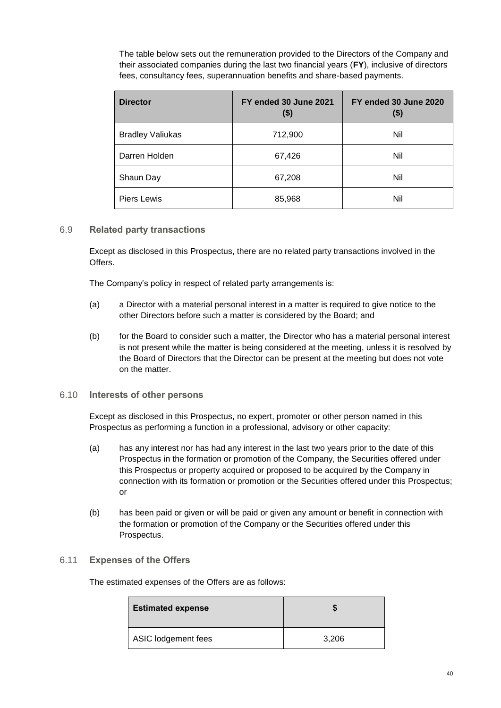The table below sets out the remuneration provided to the Directors of the Company and their associated companies during the last two financial years (**FY**), inclusive of directors fees, consultancy fees, superannuation benefits and share-based payments.

| <b>Director</b>         | FY ended 30 June 2021<br>(\$) | FY ended 30 June 2020<br>$($ \$) |
|-------------------------|-------------------------------|----------------------------------|
| <b>Bradley Valiukas</b> | 712,900                       | Nil                              |
| Darren Holden           | 67,426                        | Nil                              |
| Shaun Day               | 67,208                        | Nil                              |
| Piers Lewis             | 85,968                        | Nil                              |

# 6.9 **Related party transactions**

Except as disclosed in this Prospectus, there are no related party transactions involved in the Offers.

The Company's policy in respect of related party arrangements is:

- (a) a Director with a material personal interest in a matter is required to give notice to the other Directors before such a matter is considered by the Board; and
- (b) for the Board to consider such a matter, the Director who has a material personal interest is not present while the matter is being considered at the meeting, unless it is resolved by the Board of Directors that the Director can be present at the meeting but does not vote on the matter.

# 6.10 **Interests of other persons**

Except as disclosed in this Prospectus, no expert, promoter or other person named in this Prospectus as performing a function in a professional, advisory or other capacity:

- (a) has any interest nor has had any interest in the last two years prior to the date of this Prospectus in the formation or promotion of the Company, the Securities offered under this Prospectus or property acquired or proposed to be acquired by the Company in connection with its formation or promotion or the Securities offered under this Prospectus; or
- (b) has been paid or given or will be paid or given any amount or benefit in connection with the formation or promotion of the Company or the Securities offered under this Prospectus.

#### <span id="page-53-0"></span>6.11 **Expenses of the Offers**

The estimated expenses of the Offers are as follows:

| <b>Estimated expense</b> |       |
|--------------------------|-------|
| ASIC lodgement fees      | 3,206 |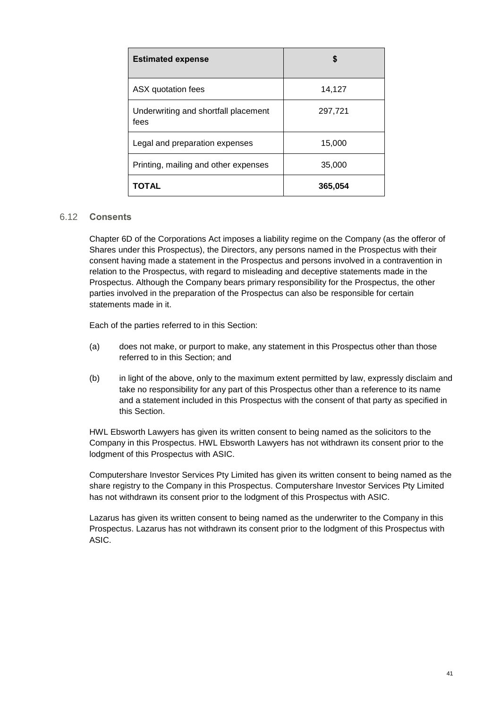| <b>Estimated expense</b>                     | S       |
|----------------------------------------------|---------|
| ASX quotation fees                           | 14,127  |
| Underwriting and shortfall placement<br>fees | 297,721 |
| Legal and preparation expenses               | 15,000  |
| Printing, mailing and other expenses         | 35,000  |
| <b>TOTAL</b>                                 | 365,054 |

# <span id="page-54-0"></span>6.12 **Consents**

Chapter 6D of the Corporations Act imposes a liability regime on the Company (as the offeror of Shares under this Prospectus), the Directors, any persons named in the Prospectus with their consent having made a statement in the Prospectus and persons involved in a contravention in relation to the Prospectus, with regard to misleading and deceptive statements made in the Prospectus. Although the Company bears primary responsibility for the Prospectus, the other parties involved in the preparation of the Prospectus can also be responsible for certain statements made in it.

Each of the parties referred to in this Section:

- (a) does not make, or purport to make, any statement in this Prospectus other than those referred to in this Section; and
- (b) in light of the above, only to the maximum extent permitted by law, expressly disclaim and take no responsibility for any part of this Prospectus other than a reference to its name and a statement included in this Prospectus with the consent of that party as specified in this Section.

HWL Ebsworth Lawyers has given its written consent to being named as the solicitors to the Company in this Prospectus. HWL Ebsworth Lawyers has not withdrawn its consent prior to the lodgment of this Prospectus with ASIC.

Computershare Investor Services Pty Limited has given its written consent to being named as the share registry to the Company in this Prospectus. Computershare Investor Services Pty Limited has not withdrawn its consent prior to the lodgment of this Prospectus with ASIC.

Lazarus has given its written consent to being named as the underwriter to the Company in this Prospectus. Lazarus has not withdrawn its consent prior to the lodgment of this Prospectus with ASIC.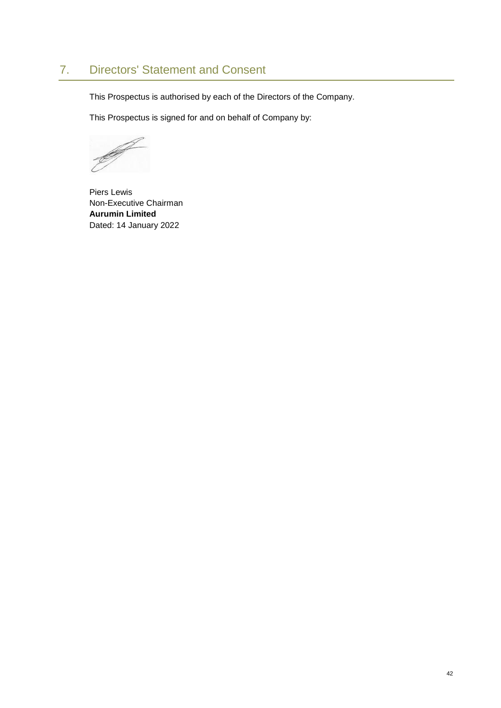# <span id="page-55-0"></span>7. Directors' Statement and Consent

This Prospectus is authorised by each of the Directors of the Company.

This Prospectus is signed for and on behalf of Company by:

Piers Lewis Non-Executive Chairman **Aurumin Limited** Dated: 14 January 2022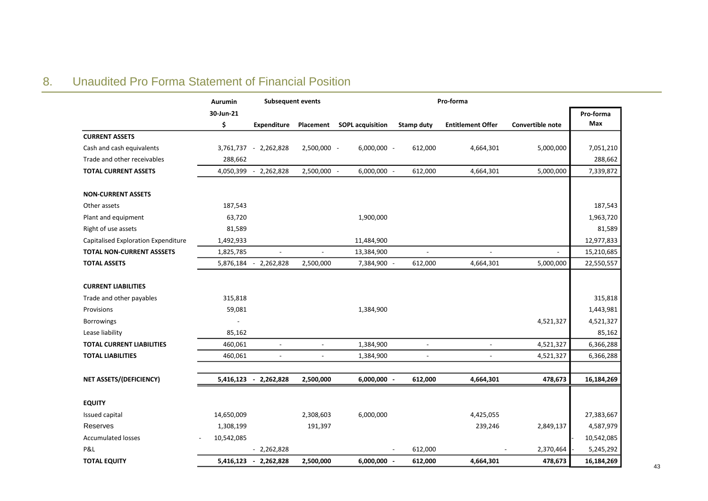# 8. Unaudited Pro Forma Statement of Financial Position

<span id="page-56-0"></span>

|                                     | <b>Aurumin</b>  | <b>Subsequent events</b> |                          | Pro-forma               |                          |                          |                  |            |
|-------------------------------------|-----------------|--------------------------|--------------------------|-------------------------|--------------------------|--------------------------|------------------|------------|
|                                     | 30-Jun-21<br>\$ |                          |                          |                         |                          |                          |                  | Pro-forma  |
|                                     |                 | Expenditure              | Placement                | <b>SOPL acquisition</b> | <b>Stamp duty</b>        | <b>Entitlement Offer</b> | Convertible note | Max        |
| <b>CURRENT ASSETS</b>               |                 |                          |                          |                         |                          |                          |                  |            |
| Cash and cash equivalents           |                 | 3,761,737 - 2,262,828    | 2,500,000 -              | 6,000,000 -             | 612,000                  | 4,664,301                | 5,000,000        | 7,051,210  |
| Trade and other receivables         | 288,662         |                          |                          |                         |                          |                          |                  | 288,662    |
| <b>TOTAL CURRENT ASSETS</b>         | 4,050,399       | 2,262,828<br>$\sim$      | 2,500,000 -              | $6,000,000 -$           | 612,000                  | 4,664,301                | 5,000,000        | 7,339,872  |
| <b>NON-CURRENT ASSETS</b>           |                 |                          |                          |                         |                          |                          |                  |            |
| Other assets                        | 187,543         |                          |                          |                         |                          |                          |                  | 187,543    |
| Plant and equipment                 | 63,720          |                          |                          | 1,900,000               |                          |                          |                  | 1,963,720  |
| Right of use assets                 | 81,589          |                          |                          |                         |                          |                          |                  | 81,589     |
| Capitalised Exploration Expenditure | 1,492,933       |                          |                          | 11,484,900              |                          |                          |                  | 12,977,833 |
| <b>TOTAL NON-CURRENT ASSSETS</b>    | 1,825,785       | $\mathcal{L}$            | $\overline{a}$           | 13,384,900              | $\blacksquare$           | $\overline{a}$           |                  | 15,210,685 |
| <b>TOTAL ASSETS</b>                 | 5,876,184       | 2,262,828<br>$\sim$      | 2,500,000                | 7,384,900 -             | 612,000                  | 4,664,301                | 5,000,000        | 22,550,557 |
| <b>CURRENT LIABILITIES</b>          |                 |                          |                          |                         |                          |                          |                  |            |
| Trade and other payables            | 315,818         |                          |                          |                         |                          |                          |                  | 315,818    |
| Provisions                          | 59,081          |                          |                          | 1,384,900               |                          |                          |                  | 1,443,981  |
| <b>Borrowings</b>                   |                 |                          |                          |                         |                          |                          | 4,521,327        | 4,521,327  |
| Lease liability                     | 85,162          |                          |                          |                         |                          |                          |                  | 85,162     |
| <b>TOTAL CURRENT LIABILITIES</b>    | 460,061         |                          |                          | 1,384,900               | $\blacksquare$           |                          | 4,521,327        | 6,366,288  |
| <b>TOTAL LIABILITIES</b>            | 460,061         | $\blacksquare$           | $\overline{\phantom{a}}$ | 1,384,900               | $\overline{\phantom{a}}$ | $\blacksquare$           | 4,521,327        | 6,366,288  |
| NET ASSETS/(DEFICIENCY)             |                 | 5,416,123 - 2,262,828    | 2,500,000                | 6,000,000 -             | 612,000                  | 4,664,301                | 478,673          | 16,184,269 |
|                                     |                 |                          |                          |                         |                          |                          |                  |            |
| <b>EQUITY</b>                       |                 |                          |                          |                         |                          |                          |                  |            |
| Issued capital                      | 14,650,009      |                          | 2,308,603                | 6,000,000               |                          | 4,425,055                |                  | 27,383,667 |
| Reserves                            | 1,308,199       |                          | 191,397                  |                         |                          | 239,246                  | 2,849,137        | 4,587,979  |
| <b>Accumulated losses</b>           | 10,542,085      |                          |                          |                         |                          |                          |                  | 10,542,085 |
| P&L                                 |                 | $-2,262,828$             |                          |                         | 612,000                  |                          | 2,370,464        | 5,245,292  |
| <b>TOTAL EQUITY</b>                 |                 | 5,416,123 - 2,262,828    | 2,500,000                | 6,000,000 -             | 612,000                  | 4,664,301                | 478,673          | 16,184,269 |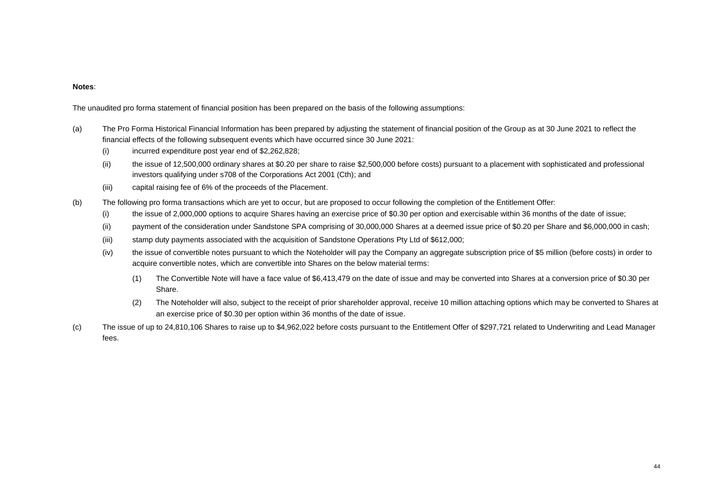#### **Notes**:

The unaudited pro forma statement of financial position has been prepared on the basis of the following assumptions:

- (a) The Pro Forma Historical Financial Information has been prepared by adjusting the statement of financial position of the Group as at 30 June 2021 to reflect the financial effects of the following subsequent events which have occurred since 30 June 2021:
	- (i) incurred expenditure post year end of  $$2,262,828$ ;
	- (ii) the issue of 12,500,000 ordinary shares at \$0.20 per share to raise \$2,500,000 before costs) pursuant to a placement with sophisticated and professional investors qualifying under s708 of the Corporations Act 2001 (Cth); and
	- (iii) capital raising fee of 6% of the proceeds of the Placement.
- (b) The following pro forma transactions which are yet to occur, but are proposed to occur following the completion of the Entitlement Offer:
	- (i) the issue of 2,000,000 options to acquire Shares having an exercise price of \$0.30 per option and exercisable within 36 months of the date of issue;
	- (ii) payment of the consideration under Sandstone SPA comprising of 30,000,000 Shares at a deemed issue price of \$0.20 per Share and \$6,000,000 in cash;
	- (iii) stamp duty payments associated with the acquisition of Sandstone Operations Pty Ltd of \$612,000;
	- (iv) the issue of convertible notes pursuant to which the Noteholder will pay the Company an aggregate subscription price of \$5 million (before costs) in order to acquire convertible notes, which are convertible into Shares on the below material terms:
		- (1) The Convertible Note will have a face value of \$6,413,479 on the date of issue and may be converted into Shares at a conversion price of \$0.30 per Share.
		- (2) The Noteholder will also, subject to the receipt of prior shareholder approval, receive 10 million attaching options which may be converted to Shares at an exercise price of \$0.30 per option within 36 months of the date of issue.
- (c) The issue of up to 24,810,106 Shares to raise up to \$4,962,022 before costs pursuant to the Entitlement Offer of \$297,721 related to Underwriting and Lead Manager fees.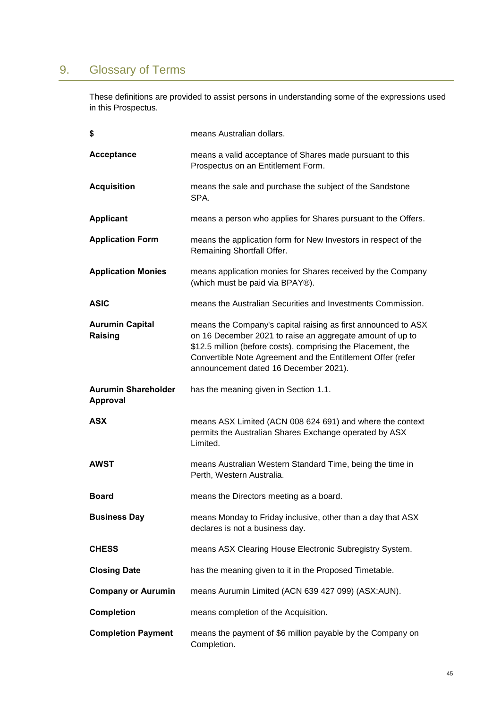# <span id="page-58-0"></span>9. Glossary of Terms

These definitions are provided to assist persons in understanding some of the expressions used in this Prospectus.

| \$                                            | means Australian dollars.                                                                                                                                                                                                                                                                          |
|-----------------------------------------------|----------------------------------------------------------------------------------------------------------------------------------------------------------------------------------------------------------------------------------------------------------------------------------------------------|
| Acceptance                                    | means a valid acceptance of Shares made pursuant to this<br>Prospectus on an Entitlement Form.                                                                                                                                                                                                     |
| <b>Acquisition</b>                            | means the sale and purchase the subject of the Sandstone<br>SPA.                                                                                                                                                                                                                                   |
| <b>Applicant</b>                              | means a person who applies for Shares pursuant to the Offers.                                                                                                                                                                                                                                      |
| <b>Application Form</b>                       | means the application form for New Investors in respect of the<br>Remaining Shortfall Offer.                                                                                                                                                                                                       |
| <b>Application Monies</b>                     | means application monies for Shares received by the Company<br>(which must be paid via BPAY®).                                                                                                                                                                                                     |
| <b>ASIC</b>                                   | means the Australian Securities and Investments Commission.                                                                                                                                                                                                                                        |
| <b>Aurumin Capital</b><br>Raising             | means the Company's capital raising as first announced to ASX<br>on 16 December 2021 to raise an aggregate amount of up to<br>\$12.5 million (before costs), comprising the Placement, the<br>Convertible Note Agreement and the Entitlement Offer (refer<br>announcement dated 16 December 2021). |
| <b>Aurumin Shareholder</b><br><b>Approval</b> | has the meaning given in Section 1.1.                                                                                                                                                                                                                                                              |
| <b>ASX</b>                                    | means ASX Limited (ACN 008 624 691) and where the context<br>permits the Australian Shares Exchange operated by ASX<br>Limited.                                                                                                                                                                    |
| AWST                                          | means Australian Western Standard Time, being the time in<br>Perth, Western Australia.                                                                                                                                                                                                             |
| <b>Board</b>                                  | means the Directors meeting as a board.                                                                                                                                                                                                                                                            |
| <b>Business Day</b>                           | means Monday to Friday inclusive, other than a day that ASX<br>declares is not a business day.                                                                                                                                                                                                     |
| <b>CHESS</b>                                  | means ASX Clearing House Electronic Subregistry System.                                                                                                                                                                                                                                            |
| <b>Closing Date</b>                           | has the meaning given to it in the Proposed Timetable.                                                                                                                                                                                                                                             |
| <b>Company or Aurumin</b>                     | means Aurumin Limited (ACN 639 427 099) (ASX:AUN).                                                                                                                                                                                                                                                 |
| <b>Completion</b>                             | means completion of the Acquisition.                                                                                                                                                                                                                                                               |
| <b>Completion Payment</b>                     | means the payment of \$6 million payable by the Company on<br>Completion.                                                                                                                                                                                                                          |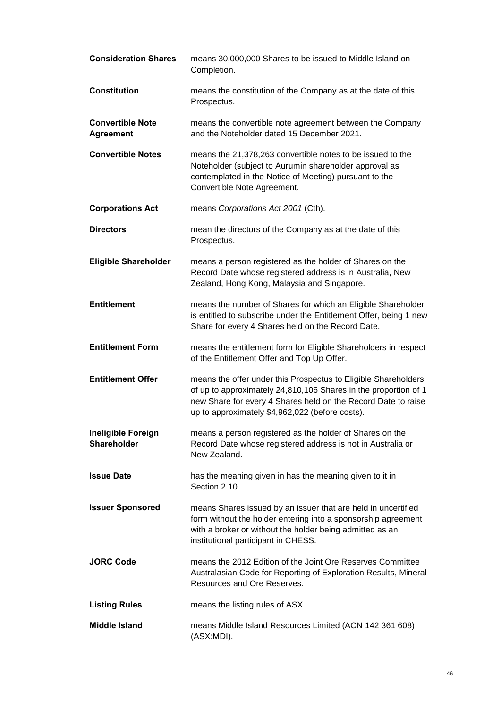| <b>Consideration Shares</b>                 | means 30,000,000 Shares to be issued to Middle Island on<br>Completion.                                                                                                                                                                               |
|---------------------------------------------|-------------------------------------------------------------------------------------------------------------------------------------------------------------------------------------------------------------------------------------------------------|
| <b>Constitution</b>                         | means the constitution of the Company as at the date of this<br>Prospectus.                                                                                                                                                                           |
| <b>Convertible Note</b><br><b>Agreement</b> | means the convertible note agreement between the Company<br>and the Noteholder dated 15 December 2021.                                                                                                                                                |
| <b>Convertible Notes</b>                    | means the 21,378,263 convertible notes to be issued to the<br>Noteholder (subject to Aurumin shareholder approval as<br>contemplated in the Notice of Meeting) pursuant to the<br>Convertible Note Agreement.                                         |
| <b>Corporations Act</b>                     | means Corporations Act 2001 (Cth).                                                                                                                                                                                                                    |
| <b>Directors</b>                            | mean the directors of the Company as at the date of this<br>Prospectus.                                                                                                                                                                               |
| <b>Eligible Shareholder</b>                 | means a person registered as the holder of Shares on the<br>Record Date whose registered address is in Australia, New<br>Zealand, Hong Kong, Malaysia and Singapore.                                                                                  |
| <b>Entitlement</b>                          | means the number of Shares for which an Eligible Shareholder<br>is entitled to subscribe under the Entitlement Offer, being 1 new<br>Share for every 4 Shares held on the Record Date.                                                                |
| <b>Entitlement Form</b>                     | means the entitlement form for Eligible Shareholders in respect<br>of the Entitlement Offer and Top Up Offer.                                                                                                                                         |
| <b>Entitlement Offer</b>                    | means the offer under this Prospectus to Eligible Shareholders<br>of up to approximately 24,810,106 Shares in the proportion of 1<br>new Share for every 4 Shares held on the Record Date to raise<br>up to approximately \$4,962,022 (before costs). |
| <b>Ineligible Foreign</b><br>Shareholder    | means a person registered as the holder of Shares on the<br>Record Date whose registered address is not in Australia or<br>New Zealand.                                                                                                               |
| <b>Issue Date</b>                           | has the meaning given in has the meaning given to it in<br>Section 2.10.                                                                                                                                                                              |
| <b>Issuer Sponsored</b>                     | means Shares issued by an issuer that are held in uncertified<br>form without the holder entering into a sponsorship agreement<br>with a broker or without the holder being admitted as an<br>institutional participant in CHESS.                     |
| <b>JORC Code</b>                            | means the 2012 Edition of the Joint Ore Reserves Committee<br>Australasian Code for Reporting of Exploration Results, Mineral<br>Resources and Ore Reserves.                                                                                          |
| <b>Listing Rules</b>                        | means the listing rules of ASX.                                                                                                                                                                                                                       |
| <b>Middle Island</b>                        | means Middle Island Resources Limited (ACN 142 361 608)<br>(ASX:MDI).                                                                                                                                                                                 |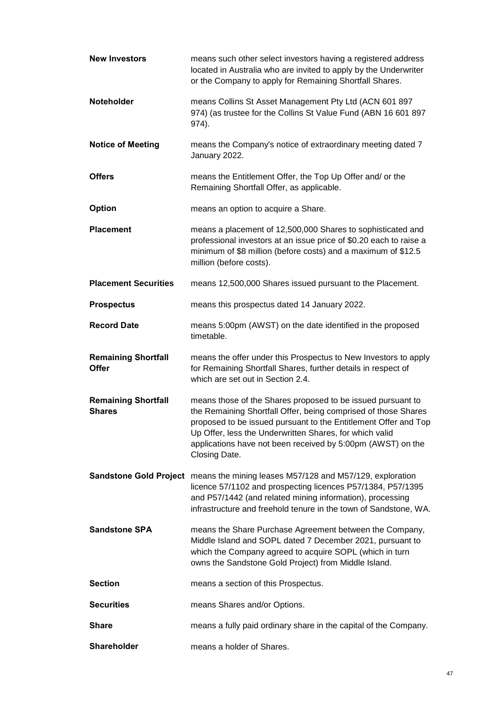| <b>New Investors</b>                        | means such other select investors having a registered address<br>located in Australia who are invited to apply by the Underwriter<br>or the Company to apply for Remaining Shortfall Shares.                                                                                                                                                |
|---------------------------------------------|---------------------------------------------------------------------------------------------------------------------------------------------------------------------------------------------------------------------------------------------------------------------------------------------------------------------------------------------|
| <b>Noteholder</b>                           | means Collins St Asset Management Pty Ltd (ACN 601 897<br>974) (as trustee for the Collins St Value Fund (ABN 16 601 897<br>974).                                                                                                                                                                                                           |
| <b>Notice of Meeting</b>                    | means the Company's notice of extraordinary meeting dated 7<br>January 2022.                                                                                                                                                                                                                                                                |
| <b>Offers</b>                               | means the Entitlement Offer, the Top Up Offer and/ or the<br>Remaining Shortfall Offer, as applicable.                                                                                                                                                                                                                                      |
| Option                                      | means an option to acquire a Share.                                                                                                                                                                                                                                                                                                         |
| <b>Placement</b>                            | means a placement of 12,500,000 Shares to sophisticated and<br>professional investors at an issue price of \$0.20 each to raise a<br>minimum of \$8 million (before costs) and a maximum of \$12.5<br>million (before costs).                                                                                                               |
| <b>Placement Securities</b>                 | means 12,500,000 Shares issued pursuant to the Placement.                                                                                                                                                                                                                                                                                   |
| <b>Prospectus</b>                           | means this prospectus dated 14 January 2022.                                                                                                                                                                                                                                                                                                |
| <b>Record Date</b>                          | means 5:00pm (AWST) on the date identified in the proposed<br>timetable.                                                                                                                                                                                                                                                                    |
| <b>Remaining Shortfall</b><br><b>Offer</b>  | means the offer under this Prospectus to New Investors to apply<br>for Remaining Shortfall Shares, further details in respect of<br>which are set out in Section 2.4.                                                                                                                                                                       |
| <b>Remaining Shortfall</b><br><b>Shares</b> | means those of the Shares proposed to be issued pursuant to<br>the Remaining Shortfall Offer, being comprised of those Shares<br>proposed to be issued pursuant to the Entitlement Offer and Top<br>Up Offer, less the Underwritten Shares, for which valid<br>applications have not been received by 5:00pm (AWST) on the<br>Closing Date. |
| <b>Sandstone Gold Project</b>               | means the mining leases M57/128 and M57/129, exploration<br>licence 57/1102 and prospecting licences P57/1384, P57/1395<br>and P57/1442 (and related mining information), processing<br>infrastructure and freehold tenure in the town of Sandstone, WA.                                                                                    |
| <b>Sandstone SPA</b>                        | means the Share Purchase Agreement between the Company,<br>Middle Island and SOPL dated 7 December 2021, pursuant to<br>which the Company agreed to acquire SOPL (which in turn<br>owns the Sandstone Gold Project) from Middle Island.                                                                                                     |
| <b>Section</b>                              | means a section of this Prospectus.                                                                                                                                                                                                                                                                                                         |
| <b>Securities</b>                           | means Shares and/or Options.                                                                                                                                                                                                                                                                                                                |
| <b>Share</b>                                | means a fully paid ordinary share in the capital of the Company.                                                                                                                                                                                                                                                                            |
| Shareholder                                 | means a holder of Shares.                                                                                                                                                                                                                                                                                                                   |